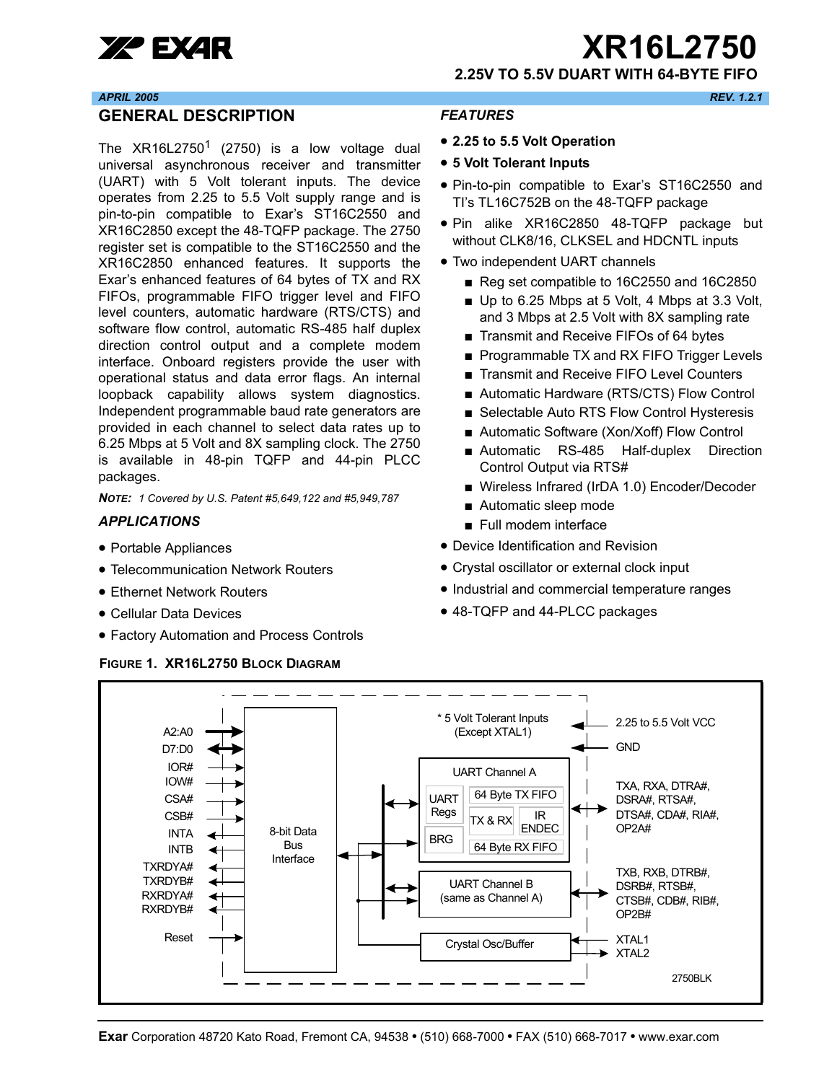

**XP EXAR TEXT ARTICLE 2750** 

**2.25V TO 5.5V DUART WITH 64-BYTE FIFO**

#### *APRIL 2005 REV. 1.2.1*

#### <span id="page-0-0"></span>**GENERAL DESCRIPTION**

The  $XR16L2750<sup>1</sup>$  (2750) is a low voltage dual universal asynchronous receiver and transmitter (UART) with 5 Volt tolerant inputs. The device operates from 2.25 to 5.5 Volt supply range and is pin-to-pin compatible to Exar's ST16C2550 and XR16C2850 except the 48-TQFP package. The 2750 register set is compatible to the ST16C2550 and the XR16C2850 enhanced features. It supports the Exar's enhanced features of 64 bytes of TX and RX FIFOs, programmable FIFO trigger level and FIFO level counters, automatic hardware (RTS/CTS) and software flow control, automatic RS-485 half duplex direction control output and a complete modem interface. Onboard registers provide the user with operational status and data error flags. An internal loopback capability allows system diagnostics. Independent programmable baud rate generators are provided in each channel to select data rates up to 6.25 Mbps at 5 Volt and 8X sampling clock. The 2750 is available in 48-pin TQFP and 44-pin PLCC packages.

*NOTE: 1 Covered by U.S. Patent #5,649,122 and #5,949,787* 

#### <span id="page-0-1"></span>*APPLICATIONS*

- Portable Appliances
- Telecommunication Network Routers
- Ethernet Network Routers
- Cellular Data Devices
- Factory Automation and Process Controls

#### <span id="page-0-3"></span>**FIGURE 1. XR16L2750 BLOCK DIAGRAM**

#### <span id="page-0-2"></span>*FEATURES*

- **2.25 to 5.5 Volt Operation**
- **5 Volt Tolerant Inputs**
- Pin-to-pin compatible to Exar's ST16C2550 and TI's TL16C752B on the 48-TQFP package
- Pin alike XR16C2850 48-TQFP package but without CLK8/16, CLKSEL and HDCNTL inputs
- Two independent UART channels
	- Reg set compatible to 16C2550 and 16C2850
	- Up to 6.25 Mbps at 5 Volt, 4 Mbps at 3.3 Volt, and 3 Mbps at 2.5 Volt with 8X sampling rate
	- Transmit and Receive FIFOs of 64 bytes
	- Programmable TX and RX FIFO Trigger Levels
	- Transmit and Receive FIFO Level Counters
	- Automatic Hardware (RTS/CTS) Flow Control
	- Selectable Auto RTS Flow Control Hysteresis
	- Automatic Software (Xon/Xoff) Flow Control
	- Automatic RS-485 Half-duplex Direction Control Output via RTS#
	- Wireless Infrared (IrDA 1.0) Encoder/Decoder
	- Automatic sleep mode
	- Full modem interface
- Device Identification and Revision
- Crystal oscillator or external clock input
- Industrial and commercial temperature ranges
- 48-TQFP and 44-PLCC packages

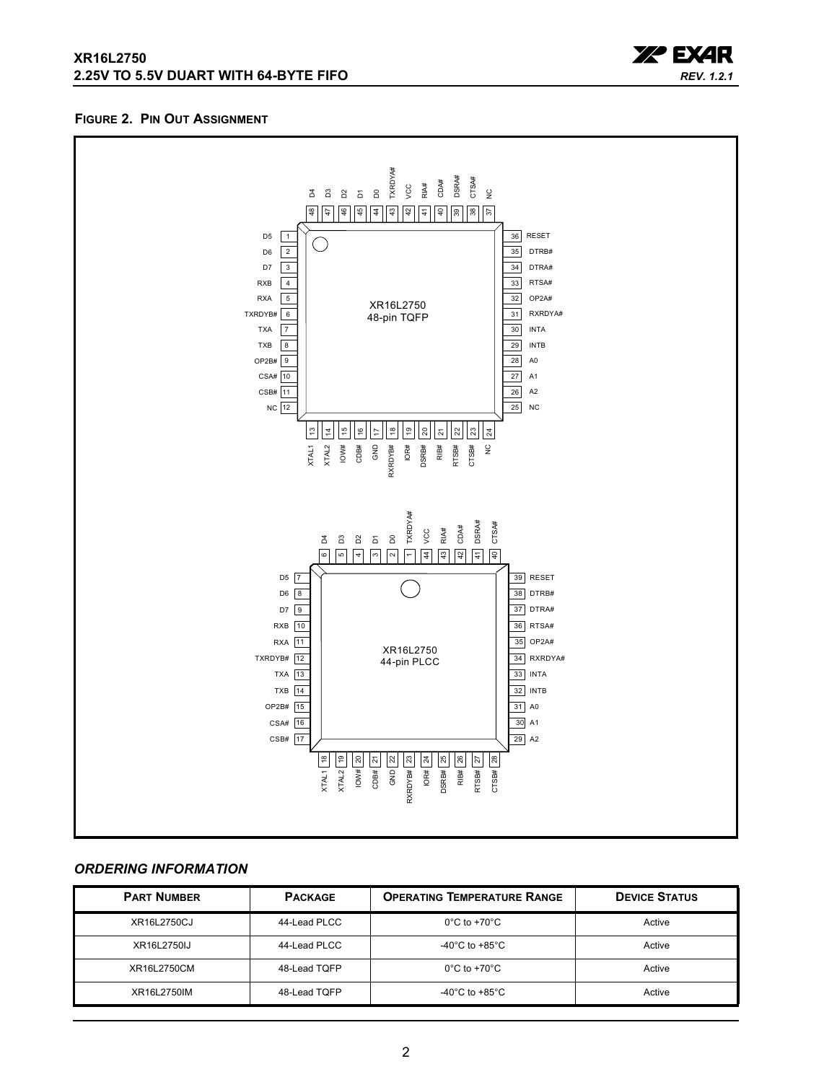

#### <span id="page-1-0"></span>**FIGURE 2. PIN OUT ASSIGNMENT**



#### <span id="page-1-1"></span>*ORDERING INFORMATION*

| <b>PART NUMBER</b> | <b>PACKAGE</b> | <b>OPERATING TEMPERATURE RANGE</b>   | <b>DEVICE STATUS</b> |
|--------------------|----------------|--------------------------------------|----------------------|
| XR16L2750CJ        | 44-Lead PLCC   | $0^{\circ}$ C to +70 $^{\circ}$ C    | Active               |
| XR16L2750IJ        | 44-Lead PLCC   | -40 $^{\circ}$ C to +85 $^{\circ}$ C | Active               |
| XR16L2750CM        | 48-Lead TQFP   | $0^{\circ}$ C to +70 $^{\circ}$ C    | Active               |
| XR16L2750IM        | 48-Lead TQFP   | -40°C to +85°C                       | Active               |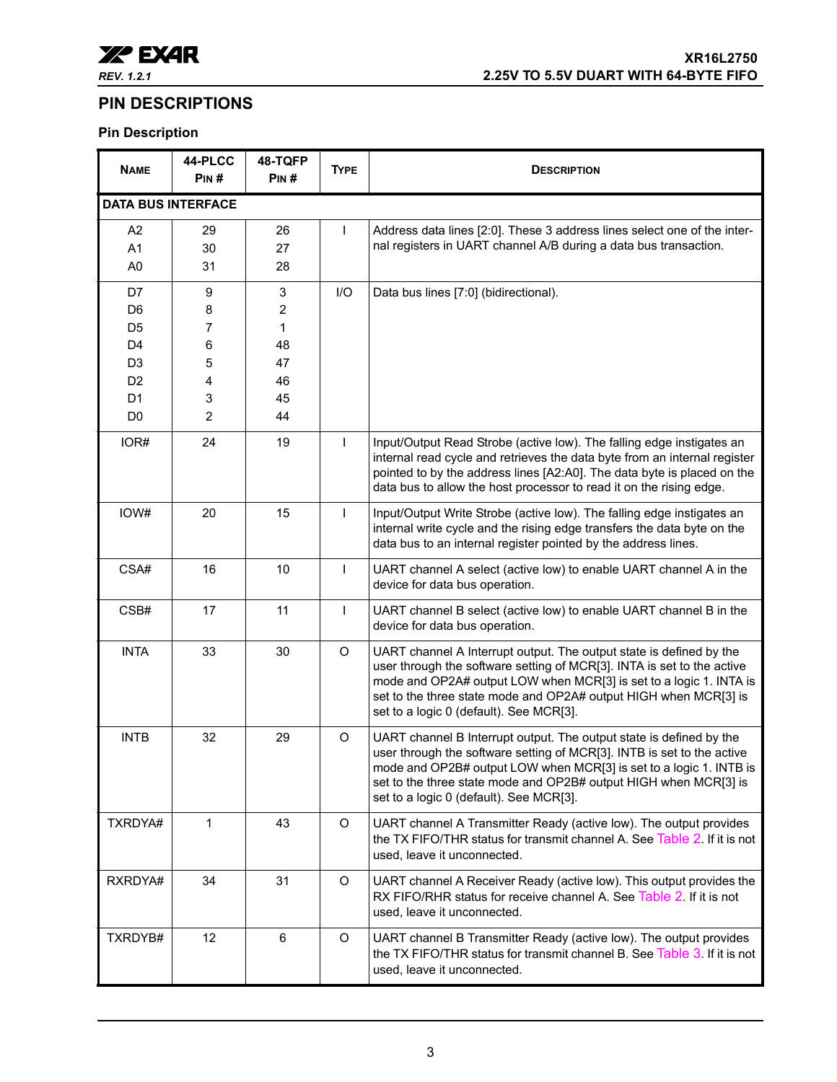

## <span id="page-2-0"></span>**PIN DESCRIPTIONS**

## **Pin Description**

| <b>NAME</b>                                        | 44-PLCC<br>PIN#          | 48-TQFP<br>PIN#     | <b>TYPE</b>  | <b>DESCRIPTION</b>                                                                                                                                                                                                                                                                                                                 |  |
|----------------------------------------------------|--------------------------|---------------------|--------------|------------------------------------------------------------------------------------------------------------------------------------------------------------------------------------------------------------------------------------------------------------------------------------------------------------------------------------|--|
| <b>DATA BUS INTERFACE</b>                          |                          |                     |              |                                                                                                                                                                                                                                                                                                                                    |  |
| A <sub>2</sub><br>A <sub>1</sub><br>A <sub>0</sub> | 29<br>30<br>31           | 26<br>27<br>28      | T            | Address data lines [2:0]. These 3 address lines select one of the inter-<br>nal registers in UART channel A/B during a data bus transaction.                                                                                                                                                                                       |  |
| D7<br>D <sub>6</sub>                               | 9<br>8                   | 3<br>$\overline{c}$ | I/O          | Data bus lines [7:0] (bidirectional).                                                                                                                                                                                                                                                                                              |  |
| D <sub>5</sub><br>D <sub>4</sub>                   | 7<br>6                   | $\mathbf{1}$<br>48  |              |                                                                                                                                                                                                                                                                                                                                    |  |
| D <sub>3</sub>                                     | 5                        | 47                  |              |                                                                                                                                                                                                                                                                                                                                    |  |
| D <sub>2</sub><br>D <sub>1</sub><br>D <sub>0</sub> | 4<br>3<br>$\overline{2}$ | 46<br>45<br>44      |              |                                                                                                                                                                                                                                                                                                                                    |  |
| IOR#                                               | 24                       | 19                  | $\mathbf{I}$ | Input/Output Read Strobe (active low). The falling edge instigates an<br>internal read cycle and retrieves the data byte from an internal register<br>pointed to by the address lines [A2:A0]. The data byte is placed on the<br>data bus to allow the host processor to read it on the rising edge.                               |  |
| IOW#                                               | 20                       | 15                  | $\mathbf{I}$ | Input/Output Write Strobe (active low). The falling edge instigates an<br>internal write cycle and the rising edge transfers the data byte on the<br>data bus to an internal register pointed by the address lines.                                                                                                                |  |
| CSA#                                               | 16                       | 10                  | $\mathbf{I}$ | UART channel A select (active low) to enable UART channel A in the<br>device for data bus operation.                                                                                                                                                                                                                               |  |
| CSB#                                               | 17                       | 11                  | $\mathbf{I}$ | UART channel B select (active low) to enable UART channel B in the<br>device for data bus operation.                                                                                                                                                                                                                               |  |
| <b>INTA</b>                                        | 33                       | 30                  | $\circ$      | UART channel A Interrupt output. The output state is defined by the<br>user through the software setting of MCR[3]. INTA is set to the active<br>mode and OP2A# output LOW when MCR[3] is set to a logic 1. INTA is<br>set to the three state mode and OP2A# output HIGH when MCR[3] is<br>set to a logic 0 (default). See MCR[3]. |  |
| <b>INTB</b>                                        | 32                       | 29                  | O            | UART channel B Interrupt output. The output state is defined by the<br>user through the software setting of MCR[3]. INTB is set to the active<br>mode and OP2B# output LOW when MCR[3] is set to a logic 1. INTB is<br>set to the three state mode and OP2B# output HIGH when MCR[3] is<br>set to a logic 0 (default). See MCR[3]. |  |
| TXRDYA#                                            | $\mathbf{1}$             | 43                  | $\circ$      | UART channel A Transmitter Ready (active low). The output provides<br>the TX FIFO/THR status for transmit channel A. See Table 2. If it is not<br>used, leave it unconnected.                                                                                                                                                      |  |
| RXRDYA#                                            | 34                       | 31                  | $\circ$      | UART channel A Receiver Ready (active low). This output provides the<br>RX FIFO/RHR status for receive channel A. See Table 2. If it is not<br>used, leave it unconnected.                                                                                                                                                         |  |
| TXRDYB#                                            | 12                       | $6\phantom{1}$      | $\circ$      | UART channel B Transmitter Ready (active low). The output provides<br>the TX FIFO/THR status for transmit channel B. See Table 3. If it is not<br>used, leave it unconnected.                                                                                                                                                      |  |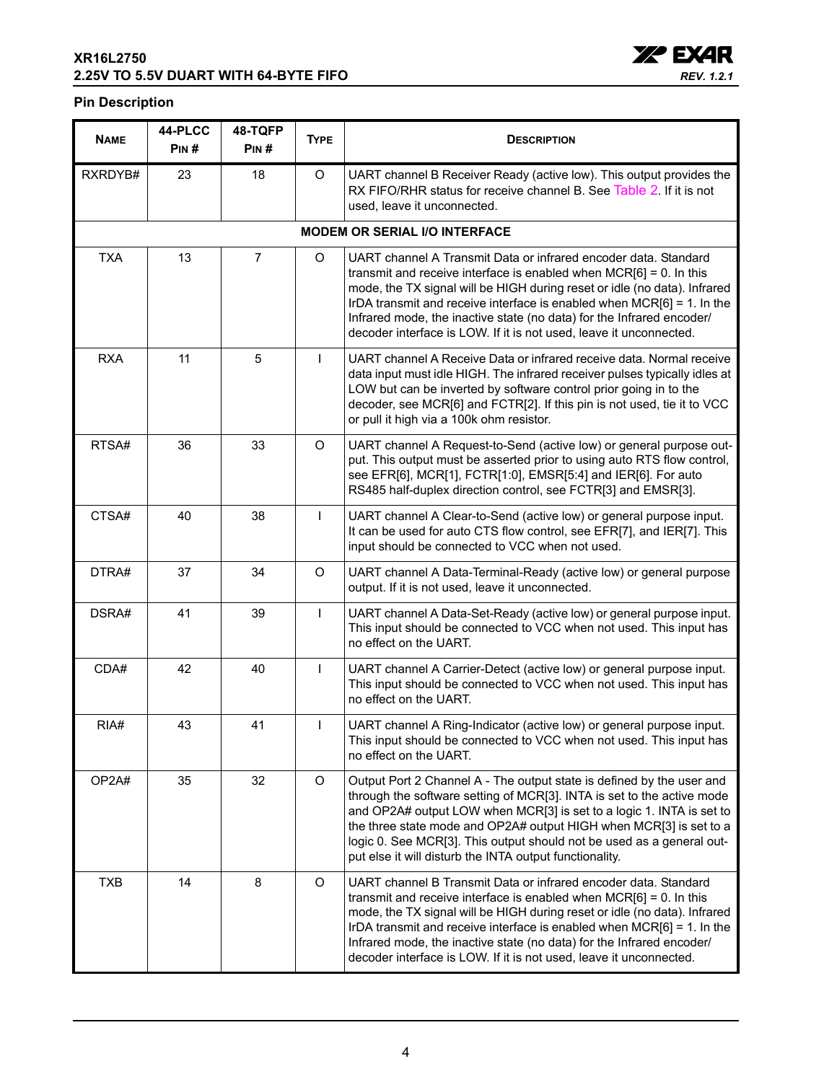#### **XR16L2750 2.25V TO 5.5V DUART WITH 64-BYTE FIFO**



#### **Pin Description**

| <b>NAME</b> | 44-PLCC<br>PIN# | 48-TQFP<br>PIN# | <b>TYPE</b>  | <b>DESCRIPTION</b>                                                                                                                                                                                                                                                                                                                                                                                                                                |  |
|-------------|-----------------|-----------------|--------------|---------------------------------------------------------------------------------------------------------------------------------------------------------------------------------------------------------------------------------------------------------------------------------------------------------------------------------------------------------------------------------------------------------------------------------------------------|--|
| RXRDYB#     | 23              | 18              | O            | UART channel B Receiver Ready (active low). This output provides the<br>RX FIFO/RHR status for receive channel B. See Table 2. If it is not<br>used, leave it unconnected.                                                                                                                                                                                                                                                                        |  |
|             |                 |                 |              | <b>MODEM OR SERIAL I/O INTERFACE</b>                                                                                                                                                                                                                                                                                                                                                                                                              |  |
| <b>TXA</b>  | 13              | $\overline{7}$  | O            | UART channel A Transmit Data or infrared encoder data. Standard<br>transmit and receive interface is enabled when $MCR[6] = 0$ . In this<br>mode, the TX signal will be HIGH during reset or idle (no data). Infrared<br>IrDA transmit and receive interface is enabled when MCR[6] = 1. In the<br>Infrared mode, the inactive state (no data) for the Infrared encoder/<br>decoder interface is LOW. If it is not used, leave it unconnected.    |  |
| <b>RXA</b>  | 11              | 5               | T            | UART channel A Receive Data or infrared receive data. Normal receive<br>data input must idle HIGH. The infrared receiver pulses typically idles at<br>LOW but can be inverted by software control prior going in to the<br>decoder, see MCR[6] and FCTR[2]. If this pin is not used, tie it to VCC<br>or pull it high via a 100k ohm resistor.                                                                                                    |  |
| RTSA#       | 36              | 33              | O            | UART channel A Request-to-Send (active low) or general purpose out-<br>put. This output must be asserted prior to using auto RTS flow control,<br>see EFR[6], MCR[1], FCTR[1:0], EMSR[5:4] and IER[6]. For auto<br>RS485 half-duplex direction control, see FCTR[3] and EMSR[3].                                                                                                                                                                  |  |
| CTSA#       | 40              | 38              | $\mathbf{I}$ | UART channel A Clear-to-Send (active low) or general purpose input.<br>It can be used for auto CTS flow control, see EFR[7], and IER[7]. This<br>input should be connected to VCC when not used.                                                                                                                                                                                                                                                  |  |
| DTRA#       | 37              | 34              | $\circ$      | UART channel A Data-Terminal-Ready (active low) or general purpose<br>output. If it is not used, leave it unconnected.                                                                                                                                                                                                                                                                                                                            |  |
| DSRA#       | 41              | 39              | T            | UART channel A Data-Set-Ready (active low) or general purpose input.<br>This input should be connected to VCC when not used. This input has<br>no effect on the UART.                                                                                                                                                                                                                                                                             |  |
| CDA#        | 42              | 40              | T            | UART channel A Carrier-Detect (active low) or general purpose input.<br>This input should be connected to VCC when not used. This input has<br>no effect on the UART.                                                                                                                                                                                                                                                                             |  |
| RIA#        | 43              | 41              |              | UART channel A Ring-Indicator (active low) or general purpose input.<br>This input should be connected to VCC when not used. This input has<br>no effect on the UART.                                                                                                                                                                                                                                                                             |  |
| OP2A#       | 35              | 32              | $\circ$      | Output Port 2 Channel A - The output state is defined by the user and<br>through the software setting of MCR[3]. INTA is set to the active mode<br>and OP2A# output LOW when MCR[3] is set to a logic 1. INTA is set to<br>the three state mode and OP2A# output HIGH when MCR[3] is set to a<br>logic 0. See MCR[3]. This output should not be used as a general out-<br>put else it will disturb the INTA output functionality.                 |  |
| <b>TXB</b>  | 14              | 8               | O            | UART channel B Transmit Data or infrared encoder data. Standard<br>transmit and receive interface is enabled when $MCR[6] = 0$ . In this<br>mode, the TX signal will be HIGH during reset or idle (no data). Infrared<br>IrDA transmit and receive interface is enabled when $MCR[6] = 1$ . In the<br>Infrared mode, the inactive state (no data) for the Infrared encoder/<br>decoder interface is LOW. If it is not used, leave it unconnected. |  |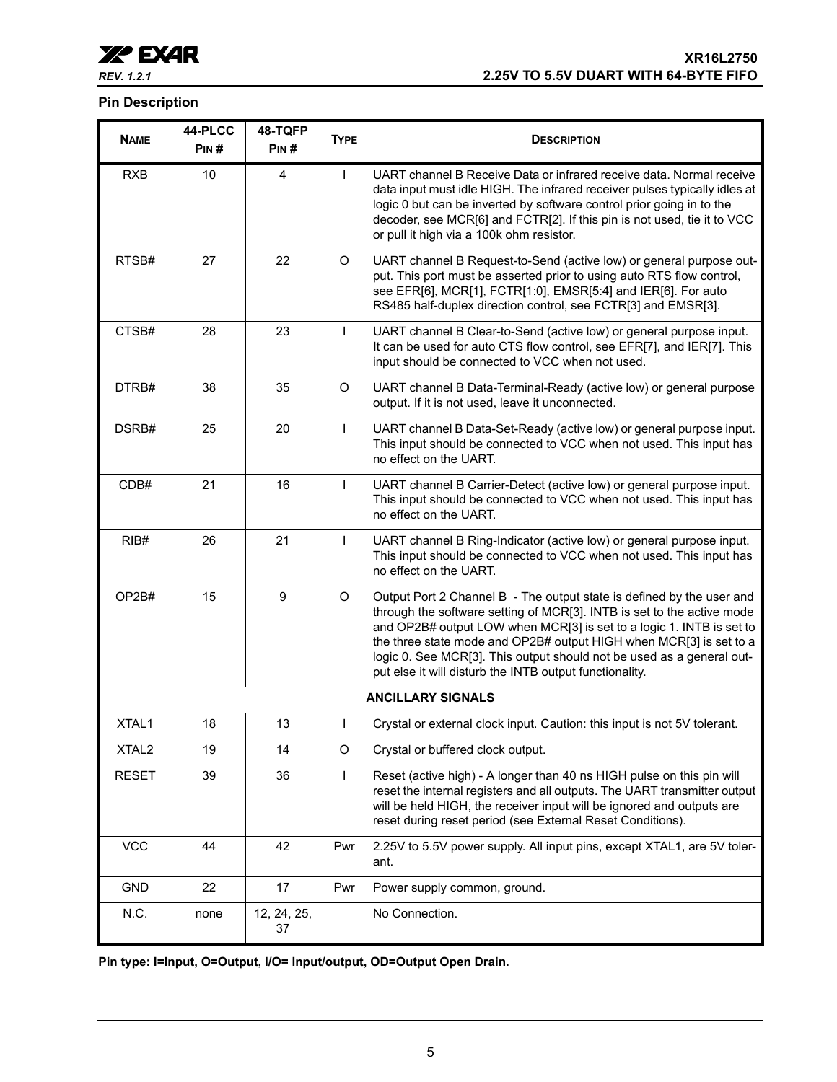

#### **Pin Description**

| <b>NAME</b>       | 44-PLCC<br>PIN# | 48-TQFP<br>PIN#   | <b>TYPE</b>  | <b>DESCRIPTION</b>                                                                                                                                                                                                                                                                                                                                                                                                                |  |
|-------------------|-----------------|-------------------|--------------|-----------------------------------------------------------------------------------------------------------------------------------------------------------------------------------------------------------------------------------------------------------------------------------------------------------------------------------------------------------------------------------------------------------------------------------|--|
| <b>RXB</b>        | 10              | 4                 | $\mathbf{I}$ | UART channel B Receive Data or infrared receive data. Normal receive<br>data input must idle HIGH. The infrared receiver pulses typically idles at<br>logic 0 but can be inverted by software control prior going in to the<br>decoder, see MCR[6] and FCTR[2]. If this pin is not used, tie it to VCC<br>or pull it high via a 100k ohm resistor.                                                                                |  |
| RTSB#             | 27              | 22                | $\circ$      | UART channel B Request-to-Send (active low) or general purpose out-<br>put. This port must be asserted prior to using auto RTS flow control,<br>see EFR[6], MCR[1], FCTR[1:0], EMSR[5:4] and IER[6]. For auto<br>RS485 half-duplex direction control, see FCTR[3] and EMSR[3].                                                                                                                                                    |  |
| CTSB#             | 28              | 23                | $\mathbf{I}$ | UART channel B Clear-to-Send (active low) or general purpose input.<br>It can be used for auto CTS flow control, see EFR[7], and IER[7]. This<br>input should be connected to VCC when not used.                                                                                                                                                                                                                                  |  |
| DTRB#             | 38              | 35                | $\circ$      | UART channel B Data-Terminal-Ready (active low) or general purpose<br>output. If it is not used, leave it unconnected.                                                                                                                                                                                                                                                                                                            |  |
| DSRB#             | 25              | 20                | $\mathbf{I}$ | UART channel B Data-Set-Ready (active low) or general purpose input.<br>This input should be connected to VCC when not used. This input has<br>no effect on the UART.                                                                                                                                                                                                                                                             |  |
| CDB#              | 21              | 16                | $\mathbf{I}$ | UART channel B Carrier-Detect (active low) or general purpose input.<br>This input should be connected to VCC when not used. This input has<br>no effect on the UART.                                                                                                                                                                                                                                                             |  |
| RIB#              | 26              | 21                | $\mathbf{I}$ | UART channel B Ring-Indicator (active low) or general purpose input.<br>This input should be connected to VCC when not used. This input has<br>no effect on the UART.                                                                                                                                                                                                                                                             |  |
| OP2B#             | 15              | 9                 | $\circ$      | Output Port 2 Channel B - The output state is defined by the user and<br>through the software setting of MCR[3]. INTB is set to the active mode<br>and OP2B# output LOW when MCR[3] is set to a logic 1. INTB is set to<br>the three state mode and OP2B# output HIGH when MCR[3] is set to a<br>logic 0. See MCR[3]. This output should not be used as a general out-<br>put else it will disturb the INTB output functionality. |  |
|                   |                 |                   |              | <b>ANCILLARY SIGNALS</b>                                                                                                                                                                                                                                                                                                                                                                                                          |  |
| XTAL1             | 18              | 13                |              | Crystal or external clock input. Caution: this input is not 5V tolerant.                                                                                                                                                                                                                                                                                                                                                          |  |
| XTAL <sub>2</sub> | 19              | 14                | $\mathsf O$  | Crystal or buffered clock output.                                                                                                                                                                                                                                                                                                                                                                                                 |  |
| <b>RESET</b>      | 39              | 36                | $\mathsf{I}$ | Reset (active high) - A longer than 40 ns HIGH pulse on this pin will<br>reset the internal registers and all outputs. The UART transmitter output<br>will be held HIGH, the receiver input will be ignored and outputs are<br>reset during reset period (see External Reset Conditions).                                                                                                                                         |  |
| <b>VCC</b>        | 44              | 42                | Pwr          | 2.25V to 5.5V power supply. All input pins, except XTAL1, are 5V toler-<br>ant.                                                                                                                                                                                                                                                                                                                                                   |  |
| <b>GND</b>        | 22              | 17                | Pwr          | Power supply common, ground.                                                                                                                                                                                                                                                                                                                                                                                                      |  |
| N.C.              | none            | 12, 24, 25,<br>37 |              | No Connection.                                                                                                                                                                                                                                                                                                                                                                                                                    |  |

**Pin type: I=Input, O=Output, I/O= Input/output, OD=Output Open Drain.**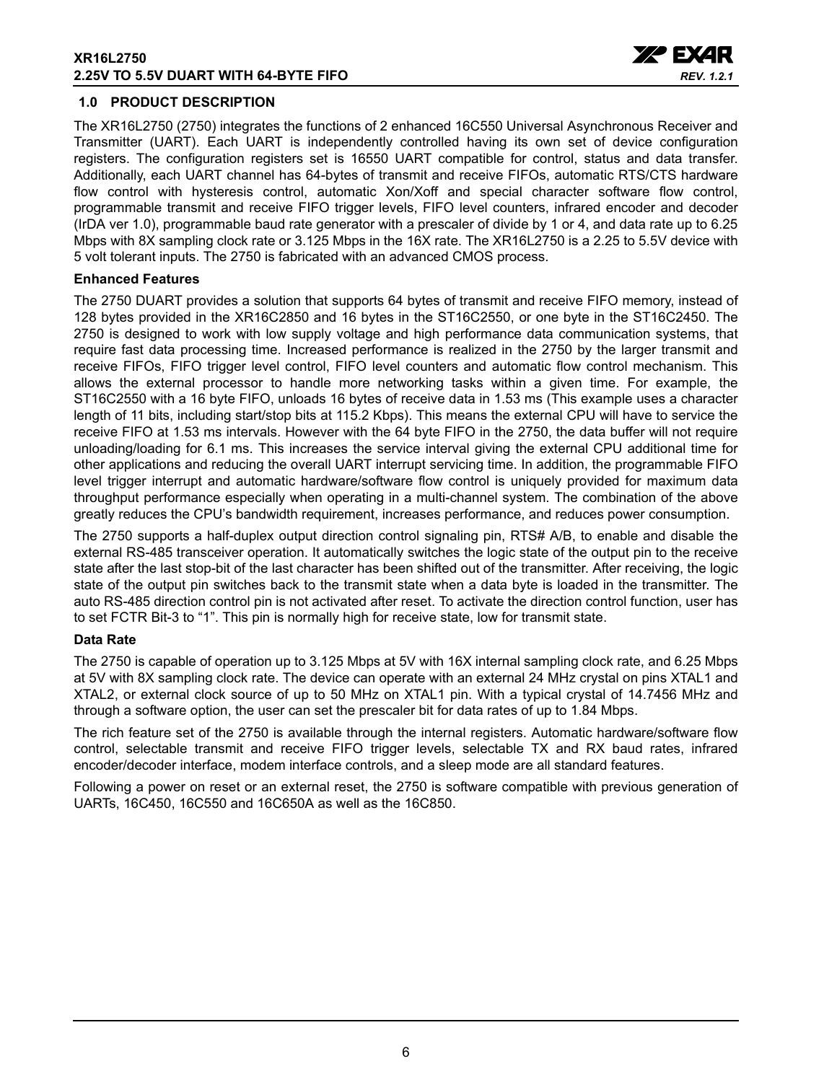

#### <span id="page-5-0"></span>**1.0 PRODUCT DESCRIPTION**

The XR16L2750 (2750) integrates the functions of 2 enhanced 16C550 Universal Asynchronous Receiver and Transmitter (UART). Each UART is independently controlled having its own set of device configuration registers. The configuration registers set is 16550 UART compatible for control, status and data transfer. Additionally, each UART channel has 64-bytes of transmit and receive FIFOs, automatic RTS/CTS hardware flow control with hysteresis control, automatic Xon/Xoff and special character software flow control, programmable transmit and receive FIFO trigger levels, FIFO level counters, infrared encoder and decoder (IrDA ver 1.0), programmable baud rate generator with a prescaler of divide by 1 or 4, and data rate up to 6.25 Mbps with 8X sampling clock rate or 3.125 Mbps in the 16X rate. The XR16L2750 is a 2.25 to 5.5V device with 5 volt tolerant inputs. The 2750 is fabricated with an advanced CMOS process.

#### **Enhanced Features**

The 2750 DUART provides a solution that supports 64 bytes of transmit and receive FIFO memory, instead of 128 bytes provided in the XR16C2850 and 16 bytes in the ST16C2550, or one byte in the ST16C2450. The 2750 is designed to work with low supply voltage and high performance data communication systems, that require fast data processing time. Increased performance is realized in the 2750 by the larger transmit and receive FIFOs, FIFO trigger level control, FIFO level counters and automatic flow control mechanism. This allows the external processor to handle more networking tasks within a given time. For example, the ST16C2550 with a 16 byte FIFO, unloads 16 bytes of receive data in 1.53 ms (This example uses a character length of 11 bits, including start/stop bits at 115.2 Kbps). This means the external CPU will have to service the receive FIFO at 1.53 ms intervals. However with the 64 byte FIFO in the 2750, the data buffer will not require unloading/loading for 6.1 ms. This increases the service interval giving the external CPU additional time for other applications and reducing the overall UART interrupt servicing time. In addition, the programmable FIFO level trigger interrupt and automatic hardware/software flow control is uniquely provided for maximum data throughput performance especially when operating in a multi-channel system. The combination of the above greatly reduces the CPU's bandwidth requirement, increases performance, and reduces power consumption.

The 2750 supports a half-duplex output direction control signaling pin, RTS# A/B, to enable and disable the external RS-485 transceiver operation. It automatically switches the logic state of the output pin to the receive state after the last stop-bit of the last character has been shifted out of the transmitter. After receiving, the logic state of the output pin switches back to the transmit state when a data byte is loaded in the transmitter. The auto RS-485 direction control pin is not activated after reset. To activate the direction control function, user has to set FCTR Bit-3 to "1". This pin is normally high for receive state, low for transmit state.

#### **Data Rate**

The 2750 is capable of operation up to 3.125 Mbps at 5V with 16X internal sampling clock rate, and 6.25 Mbps at 5V with 8X sampling clock rate. The device can operate with an external 24 MHz crystal on pins XTAL1 and XTAL2, or external clock source of up to 50 MHz on XTAL1 pin. With a typical crystal of 14.7456 MHz and through a software option, the user can set the prescaler bit for data rates of up to 1.84 Mbps.

The rich feature set of the 2750 is available through the internal registers. Automatic hardware/software flow control, selectable transmit and receive FIFO trigger levels, selectable TX and RX baud rates, infrared encoder/decoder interface, modem interface controls, and a sleep mode are all standard features.

Following a power on reset or an external reset, the 2750 is software compatible with previous generation of UARTs, 16C450, 16C550 and 16C650A as well as the 16C850.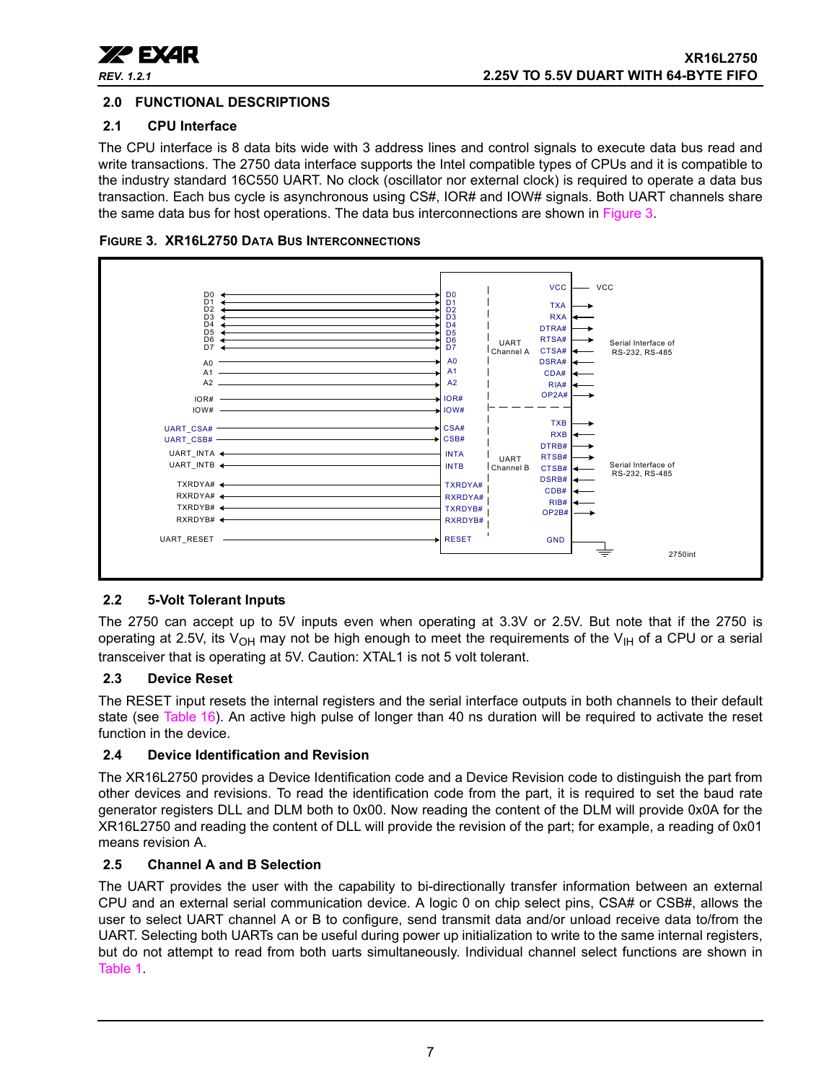

#### <span id="page-6-1"></span>**2.0 FUNCTIONAL DESCRIPTIONS**

#### <span id="page-6-2"></span>**2.1 CPU Interface**

The CPU interface is 8 data bits wide with 3 address lines and control signals to execute data bus read and write transactions. The 2750 data interface supports the Intel compatible types of CPUs and it is compatible to the industry standard 16C550 UART. No clock (oscillator nor external clock) is required to operate a data bus transaction. Each bus cycle is asynchronous using CS#, IOR# and IOW# signals. Both UART channels share the same data bus for host operations. The data bus interconnections are shown in [Figure](#page-6-0) 3.

<span id="page-6-0"></span>



#### <span id="page-6-3"></span>**2.2 5-Volt Tolerant Inputs**

The 2750 can accept up to 5V inputs even when operating at 3.3V or 2.5V. But note that if the 2750 is operating at 2.5V, its V<sub>OH</sub> may not be high enough to meet the requirements of the V<sub>IH</sub> of a CPU or a serial transceiver that is operating at 5V. Caution: XTAL1 is not 5 volt tolerant.

#### <span id="page-6-4"></span>**2.3 Device Reset**

The RESET input resets the internal registers and the serial interface outputs in both channels to their default state (see [Table](#page-35-0) 16). An active high pulse of longer than 40 ns duration will be required to activate the reset function in the device.

#### <span id="page-6-5"></span>**2.4 Device Identification and Revision**

The XR16L2750 provides a Device Identification code and a Device Revision code to distinguish the part from other devices and revisions. To read the identification code from the part, it is required to set the baud rate generator registers DLL and DLM both to 0x00. Now reading the content of the DLM will provide 0x0A for the XR16L2750 and reading the content of DLL will provide the revision of the part; for example, a reading of 0x01 means revision A.

#### <span id="page-6-6"></span>**2.5 Channel A and B Selection**

The UART provides the user with the capability to bi-directionally transfer information between an external CPU and an external serial communication device. A logic 0 on chip select pins, CSA# or CSB#, allows the user to select UART channel A or B to configure, send transmit data and/or unload receive data to/from the UART. Selecting both UARTs can be useful during power up initialization to write to the same internal registers, but do not attempt to read from both uarts simultaneously. Individual channel select functions are shown in [Table](#page-7-1) 1.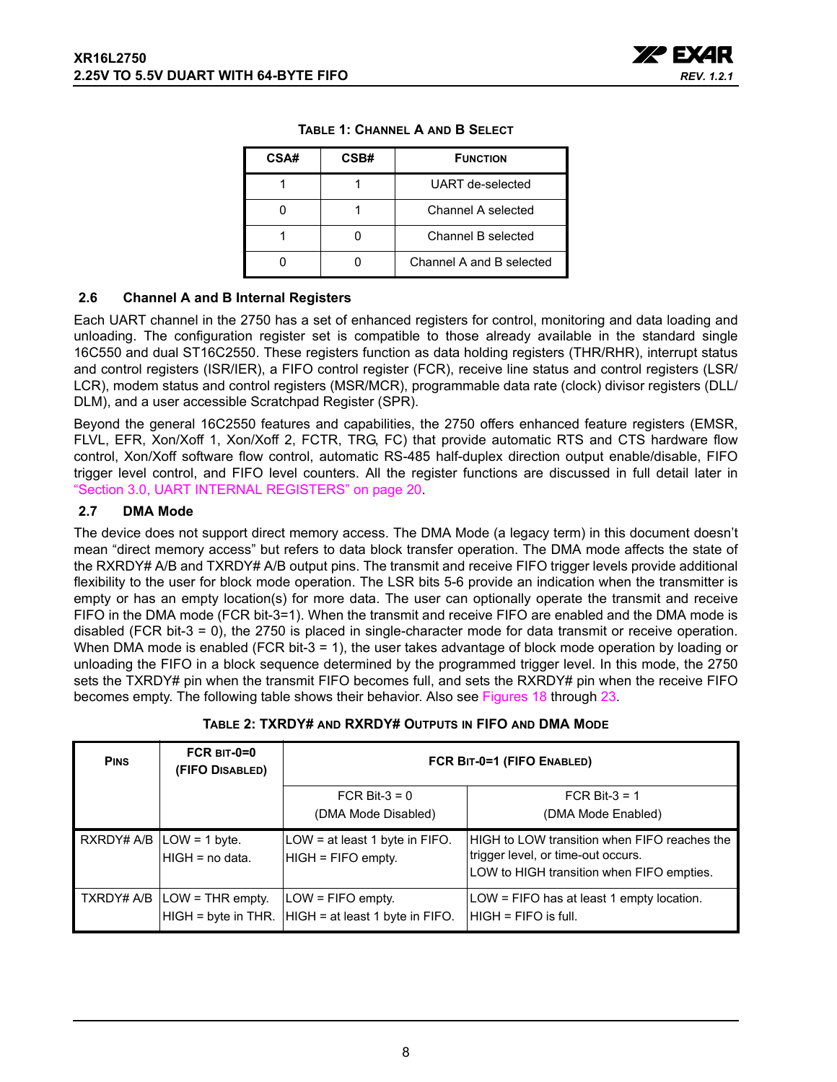

<span id="page-7-1"></span>

| CSA# | CSB# | <b>FUNCTION</b>          |  |  |
|------|------|--------------------------|--|--|
|      |      | UART de-selected         |  |  |
|      |      | Channel A selected       |  |  |
|      |      | Channel B selected       |  |  |
|      |      | Channel A and B selected |  |  |

#### **TABLE 1: CHANNEL A AND B SELECT**

#### <span id="page-7-2"></span>**2.6 Channel A and B Internal Registers**

Each UART channel in the 2750 has a set of enhanced registers for control, monitoring and data loading and unloading. The configuration register set is compatible to those already available in the standard single 16C550 and dual ST16C2550. These registers function as data holding registers (THR/RHR), interrupt status and control registers (ISR/IER), a FIFO control register (FCR), receive line status and control registers (LSR/ LCR), modem status and control registers (MSR/MCR), programmable data rate (clock) divisor registers (DLL/ DLM), and a user accessible Scratchpad Register (SPR).

Beyond the general 16C2550 features and capabilities, the 2750 offers enhanced feature registers (EMSR, FLVL, EFR, Xon/Xoff 1, Xon/Xoff 2, FCTR, TRG, FC) that provide automatic RTS and CTS hardware flow control, Xon/Xoff software flow control, automatic RS-485 half-duplex direction output enable/disable, FIFO trigger level control, and FIFO level counters. All the register functions are discussed in full detail later in ["Section 3.0, UART INTERNAL REGISTERS" on page](#page-19-0) 20.

#### <span id="page-7-3"></span>**2.7 DMA Mode**

The device does not support direct memory access. The DMA Mode (a legacy term) in this document doesn't mean "direct memory access" but refers to data block transfer operation. The DMA mode affects the state of the RXRDY# A/B and TXRDY# A/B output pins. The transmit and receive FIFO trigger levels provide additional flexibility to the user for block mode operation. The LSR bits 5-6 provide an indication when the transmitter is empty or has an empty location(s) for more data. The user can optionally operate the transmit and receive FIFO in the DMA mode (FCR bit-3=1). When the transmit and receive FIFO are enabled and the DMA mode is disabled (FCR bit-3 = 0), the 2750 is placed in single-character mode for data transmit or receive operation. When DMA mode is enabled (FCR bit-3 = 1), the user takes advantage of block mode operation by loading or unloading the FIFO in a block sequence determined by the programmed trigger level. In this mode, the 2750 sets the TXRDY# pin when the transmit FIFO becomes full, and sets the RXRDY# pin when the receive FIFO becomes empty. The following table shows their behavior. Also see Figures [18](#page-40-0) through [23.](#page-42-0)

<span id="page-7-0"></span>

| <b>PINS</b> | $FCR$ BIT-0=0<br>(FIFO DISABLED)                       | FCR BIT-0=1 (FIFO ENABLED)                               |                                                                                                                                 |  |  |
|-------------|--------------------------------------------------------|----------------------------------------------------------|---------------------------------------------------------------------------------------------------------------------------------|--|--|
|             |                                                        | FCR Bit- $3 = 0$<br>(DMA Mode Disabled)                  | FCR Bit- $3 = 1$<br>(DMA Mode Enabled)                                                                                          |  |  |
|             | RXRDY# $A/B$ $\vert$ LOW = 1 byte.<br>HIGH = no data.  | LOW = at least 1 byte in FIFO.<br>HIGH = FIFO empty.     | HIGH to LOW transition when FIFO reaches the<br>trigger level, or time-out occurs.<br>LOW to HIGH transition when FIFO empties. |  |  |
|             | TXRDY# A/B   LOW = THR empty.<br>$HIGH = byte$ in THR. | $LOW = FIFO$ empty.<br>$HIGH = at least 1 byte in FIFO.$ | LOW = FIFO has at least 1 empty location.<br>IHIGH = FIFO is full.                                                              |  |  |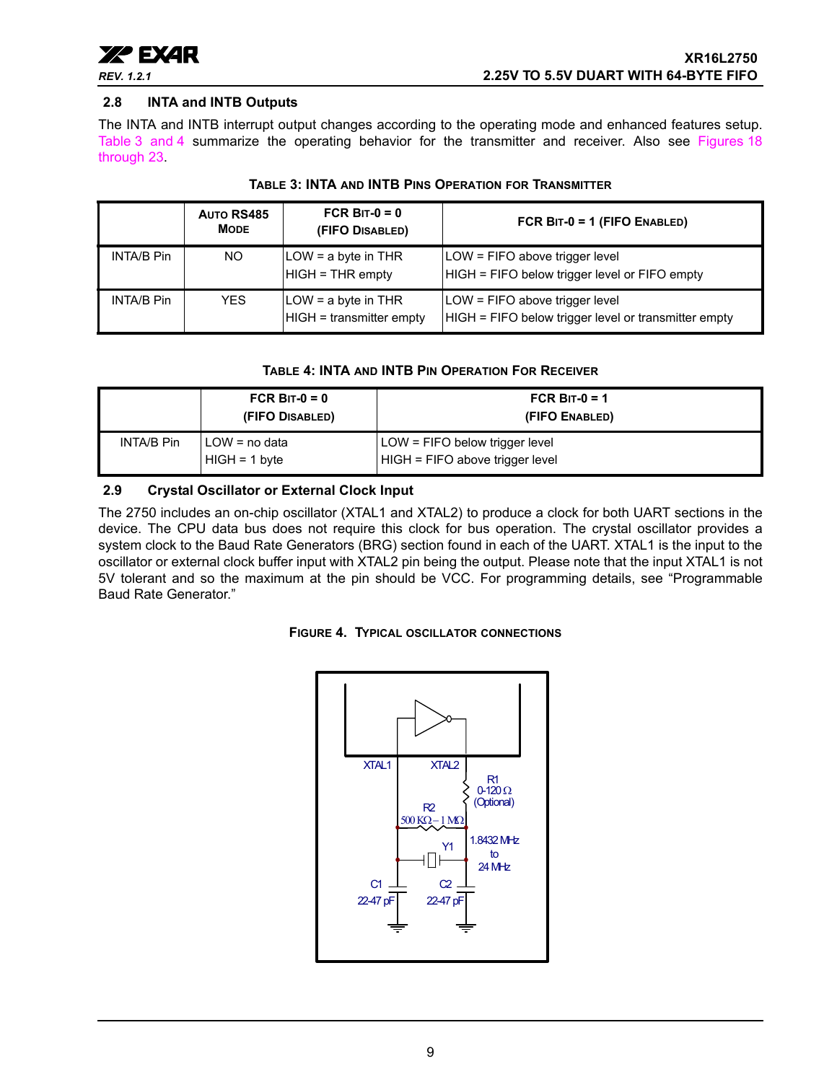

#### <span id="page-8-3"></span>**2.8 INTA and INTB Outputs**

The INTA and INTB interrupt output changes according to the operating mode and enhanced features setup. [Table](#page-8-0) 3 [and](#page-8-1) 4 summarize the operating behavior for the transmitter and receiver. Also see Figures [18](#page-40-0) through [23.](#page-42-0)

<span id="page-8-0"></span>

|                   | AUTO RS485<br><b>MODE</b> | FCR BIT- $0 = 0$<br>(FIFO DISABLED)               | FCR BIT-0 = 1 (FIFO ENABLED)                                                           |
|-------------------|---------------------------|---------------------------------------------------|----------------------------------------------------------------------------------------|
| <b>INTA/B Pin</b> | NO.                       | LOW = a byte in THR<br>$HIGH = THR$ empty         | LOW = FIFO above trigger level<br>HIGH = FIFO below trigger level or FIFO empty        |
| <b>INTA/B Pin</b> | <b>YES</b>                | $LOW = a$ byte in THR<br>HIGH = transmitter empty | LOW = FIFO above trigger level<br>HIGH = FIFO below trigger level or transmitter empty |

#### **TABLE 3: INTA AND INTB PINS OPERATION FOR TRANSMITTER**

#### **TABLE 4: INTA AND INTB PIN OPERATION FOR RECEIVER**

<span id="page-8-1"></span>

|            | FCR BIT- $0 = 0$<br>(FIFO DISABLED) | FCR BIT-0 = 1<br>(FIFO ENABLED)                                   |
|------------|-------------------------------------|-------------------------------------------------------------------|
| INTA/B Pin | LOW = no data<br>$HIGH = 1 byte$    | LOW = FIFO below trigger level<br>HIGH = FIFO above trigger level |

#### <span id="page-8-4"></span>**2.9 Crystal Oscillator or External Clock Input**

The 2750 includes an on-chip oscillator (XTAL1 and XTAL2) to produce a clock for both UART sections in the device. The CPU data bus does not require this clock for bus operation. The crystal oscillator provides a system clock to the Baud Rate Generators (BRG) section found in each of the UART. XTAL1 is the input to the oscillator or external clock buffer input with XTAL2 pin being the output. Please note that the input XTAL1 is not 5V tolerant and so the maximum at the pin should be VCC. For programming details, see "Programmable Baud Rate Generator."

<span id="page-8-2"></span>

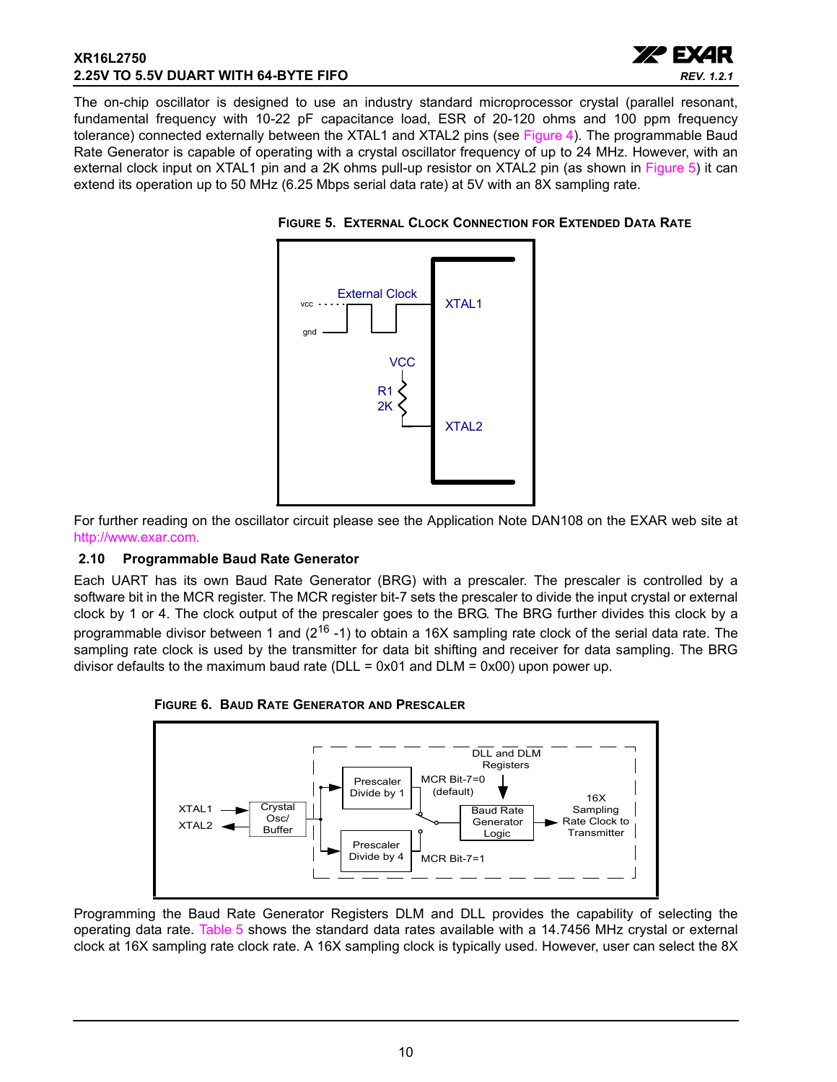#### **XR16L2750 2.25V TO 5.5V DUART WITH 64-BYTE FIFO**



The on-chip oscillator is designed to use an industry standard microprocessor crystal (parallel resonant, fundamental frequency with 10-22 pF capacitance load, ESR of 20-120 ohms and 100 ppm frequency tolerance) connected externally between the XTAL1 and XTAL2 pins (see [Figure](#page-8-2) 4). The programmable Baud Rate Generator is capable of operating with a crystal oscillator frequency of up to 24 MHz. However, with an external clock input on XTAL1 pin and a 2K ohms pull-up resistor on XTAL2 pin (as shown in [Figure](#page-9-0) 5) it can extend its operation up to 50 MHz (6.25 Mbps serial data rate) at 5V with an 8X sampling rate.



#### <span id="page-9-0"></span>**FIGURE 5. EXTERNAL CLOCK CONNECTION FOR EXTENDED DATA RATE**

For further reading on the oscillator circuit please see the Application Note DAN108 on the EXAR web site at [http://www.exar.com.](http://exar.com)

#### <span id="page-9-1"></span>**2.10 Programmable Baud Rate Generator**

Each UART has its own Baud Rate Generator (BRG) with a prescaler. The prescaler is controlled by a software bit in the MCR register. The MCR register bit-7 sets the prescaler to divide the input crystal or external clock by 1 or 4. The clock output of the prescaler goes to the BRG. The BRG further divides this clock by a programmable divisor between 1 and ( $2^{16}$  -1) to obtain a 16X sampling rate clock of the serial data rate. The sampling rate clock is used by the transmitter for data bit shifting and receiver for data sampling. The BRG divisor defaults to the maximum baud rate (DLL =  $0x01$  and DLM =  $0x00$ ) upon power up.



<span id="page-9-2"></span>

Programming the Baud Rate Generator Registers DLM and DLL provides the capability of selecting the operating data rate. [Table](#page-10-0) 5 shows the standard data rates available with a 14.7456 MHz crystal or external clock at 16X sampling rate clock rate. A 16X sampling clock is typically used. However, user can select the 8X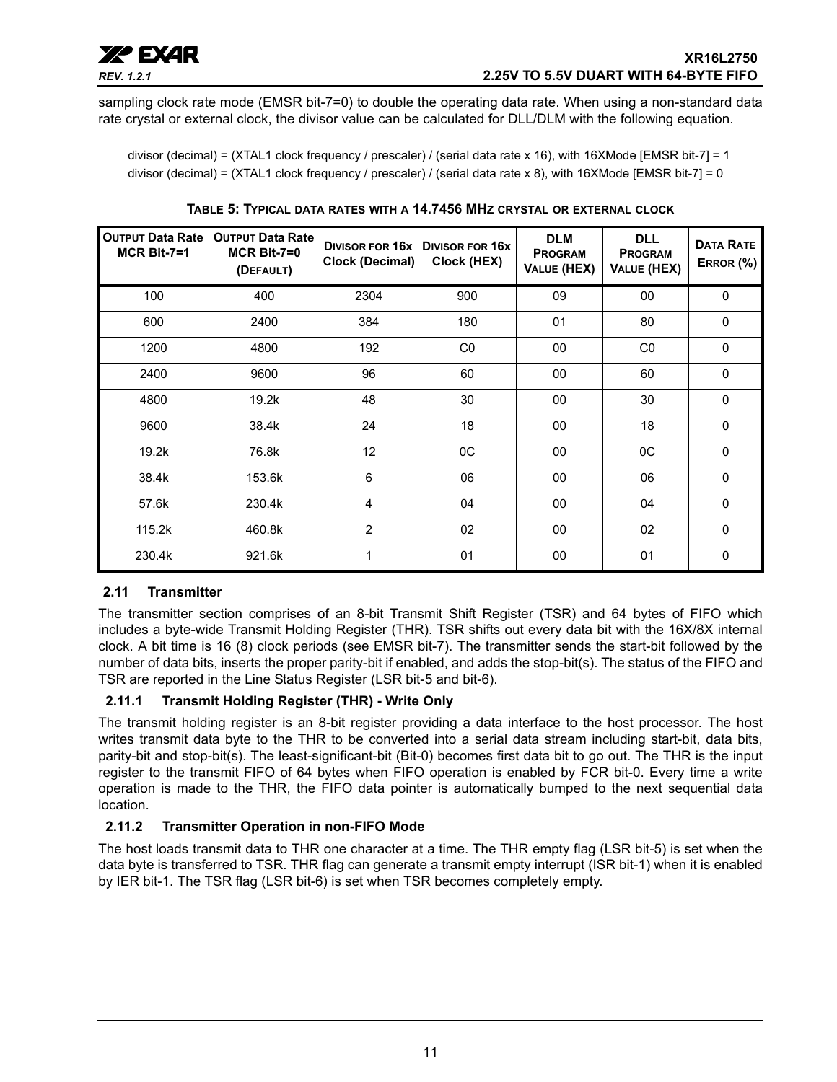sampling clock rate mode (EMSR bit-7=0) to double the operating data rate. When using a non-standard data rate crystal or external clock, the divisor value can be calculated for DLL/DLM with the following equation.

divisor (decimal) = (XTAL1 clock frequency / prescaler) / (serial data rate x 16), with 16XMode [EMSR bit-7] = 1 divisor (decimal) = (XTAL1 clock frequency / prescaler) / (serial data rate x 8), with 16XMode [EMSR bit-7] = 0

<span id="page-10-0"></span>

| <b>OUTPUT Data Rate</b><br>$MCR$ Bit-7=1 | <b>OUTPUT Data Rate</b><br>$MCR$ Bit-7=0<br>(DEFAULT) | DIVISOR FOR 16x<br>Clock (Decimal) | <b>DIVISOR FOR 16X</b><br>Clock (HEX) | <b>DLM</b><br><b>PROGRAM</b><br>VALUE (HEX) | <b>DLL</b><br><b>PROGRAM</b><br>VALUE (HEX) | <b>DATA RATE</b><br>ERROR (%) |
|------------------------------------------|-------------------------------------------------------|------------------------------------|---------------------------------------|---------------------------------------------|---------------------------------------------|-------------------------------|
| 100                                      | 400                                                   | 2304                               | 900                                   | 09                                          | 00                                          | $\mathbf 0$                   |
| 600                                      | 2400                                                  | 384                                | 180                                   | 01                                          | 80                                          | $\mathbf 0$                   |
| 1200                                     | 4800                                                  | 192                                | C <sub>0</sub>                        | 00                                          | CO                                          | $\Omega$                      |
| 2400                                     | 9600                                                  | 96                                 | 60                                    | 00                                          | 60                                          | $\mathbf{0}$                  |
| 4800                                     | 19.2k                                                 | 48                                 | 30                                    | 00                                          | 30                                          | $\mathbf{0}$                  |
| 9600                                     | 38.4k                                                 | 24                                 | 18                                    | 00                                          | 18                                          | $\mathbf 0$                   |
| 19.2k                                    | 76.8k                                                 | 12                                 | $_{0C}$                               | 00                                          | $_{0C}$                                     | $\mathbf 0$                   |
| 38.4k                                    | 153.6k                                                | 6                                  | 06                                    | 00                                          | 06                                          | $\Omega$                      |
| 57.6k                                    | 230.4k                                                | 4                                  | 04                                    | 00                                          | 04                                          | $\mathbf{0}$                  |
| 115.2k                                   | 460.8k                                                | $\overline{2}$                     | 02                                    | 00                                          | 02                                          | $\mathbf 0$                   |
| 230.4k                                   | 921.6k                                                | 1                                  | 01                                    | 00                                          | 01                                          | 0                             |

**TABLE 5: TYPICAL DATA RATES WITH A 14.7456 MHZ CRYSTAL OR EXTERNAL CLOCK**

### <span id="page-10-1"></span>**2.11 Transmitter**

The transmitter section comprises of an 8-bit Transmit Shift Register (TSR) and 64 bytes of FIFO which includes a byte-wide Transmit Holding Register (THR). TSR shifts out every data bit with the 16X/8X internal clock. A bit time is 16 (8) clock periods (see EMSR bit-7). The transmitter sends the start-bit followed by the number of data bits, inserts the proper parity-bit if enabled, and adds the stop-bit(s). The status of the FIFO and TSR are reported in the Line Status Register (LSR bit-5 and bit-6).

### <span id="page-10-2"></span>**2.11.1 Transmit Holding Register (THR) - Write Only**

The transmit holding register is an 8-bit register providing a data interface to the host processor. The host writes transmit data byte to the THR to be converted into a serial data stream including start-bit, data bits, parity-bit and stop-bit(s). The least-significant-bit (Bit-0) becomes first data bit to go out. The THR is the input register to the transmit FIFO of 64 bytes when FIFO operation is enabled by FCR bit-0. Every time a write operation is made to the THR, the FIFO data pointer is automatically bumped to the next sequential data location.

### <span id="page-10-3"></span>**2.11.2 Transmitter Operation in non-FIFO Mode**

The host loads transmit data to THR one character at a time. The THR empty flag (LSR bit-5) is set when the data byte is transferred to TSR. THR flag can generate a transmit empty interrupt (ISR bit-1) when it is enabled by IER bit-1. The TSR flag (LSR bit-6) is set when TSR becomes completely empty.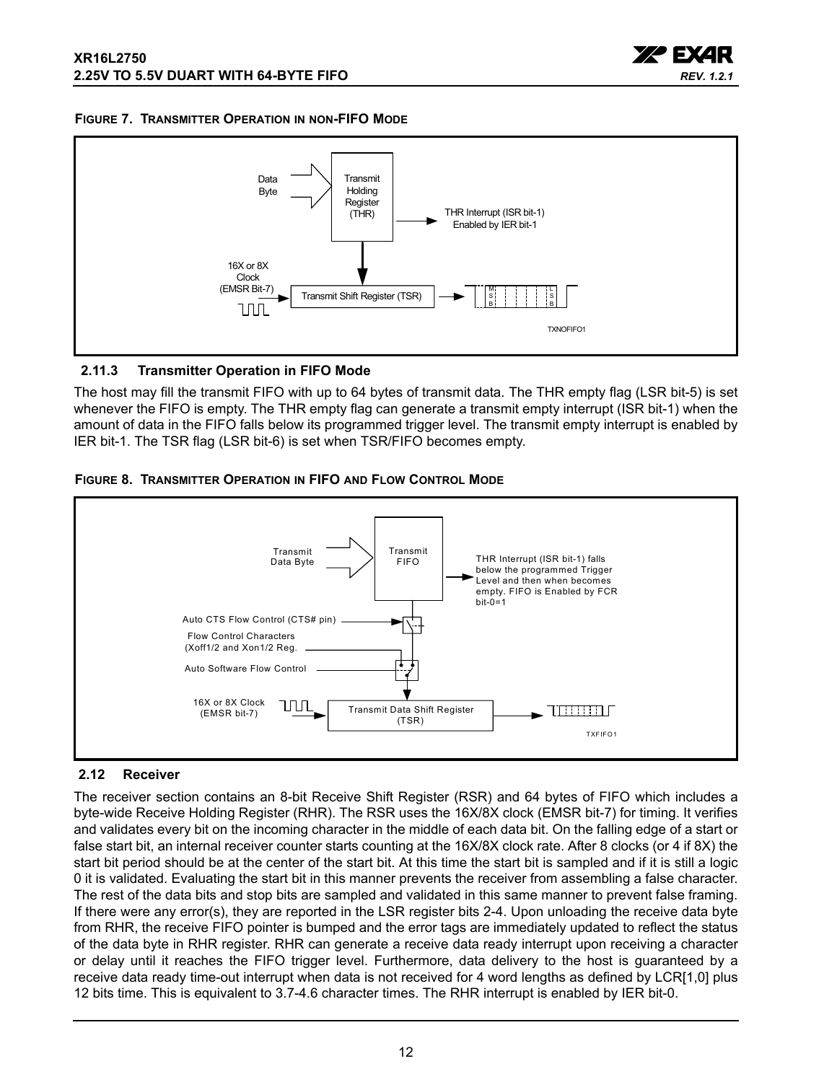

#### <span id="page-11-1"></span>**FIGURE 7. TRANSMITTER OPERATION IN NON-FIFO MODE**



#### <span id="page-11-2"></span>**2.11.3 Transmitter Operation in FIFO Mode**

The host may fill the transmit FIFO with up to 64 bytes of transmit data. The THR empty flag (LSR bit-5) is set whenever the FIFO is empty. The THR empty flag can generate a transmit empty interrupt (ISR bit-1) when the amount of data in the FIFO falls below its programmed trigger level. The transmit empty interrupt is enabled by IER bit-1. The TSR flag (LSR bit-6) is set when TSR/FIFO becomes empty.

<span id="page-11-3"></span>



#### <span id="page-11-0"></span>**2.12 Receiver**

The receiver section contains an 8-bit Receive Shift Register (RSR) and 64 bytes of FIFO which includes a byte-wide Receive Holding Register (RHR). The RSR uses the 16X/8X clock (EMSR bit-7) for timing. It verifies and validates every bit on the incoming character in the middle of each data bit. On the falling edge of a start or false start bit, an internal receiver counter starts counting at the 16X/8X clock rate. After 8 clocks (or 4 if 8X) the start bit period should be at the center of the start bit. At this time the start bit is sampled and if it is still a logic 0 it is validated. Evaluating the start bit in this manner prevents the receiver from assembling a false character. The rest of the data bits and stop bits are sampled and validated in this same manner to prevent false framing. If there were any error(s), they are reported in the LSR register bits 2-4. Upon unloading the receive data byte from RHR, the receive FIFO pointer is bumped and the error tags are immediately updated to reflect the status of the data byte in RHR register. RHR can generate a receive data ready interrupt upon receiving a character or delay until it reaches the FIFO trigger level. Furthermore, data delivery to the host is guaranteed by a receive data ready time-out interrupt when data is not received for 4 word lengths as defined by LCR[1,0] plus 12 bits time. This is equivalent to 3.7-4.6 character times. The RHR interrupt is enabled by IER bit-0.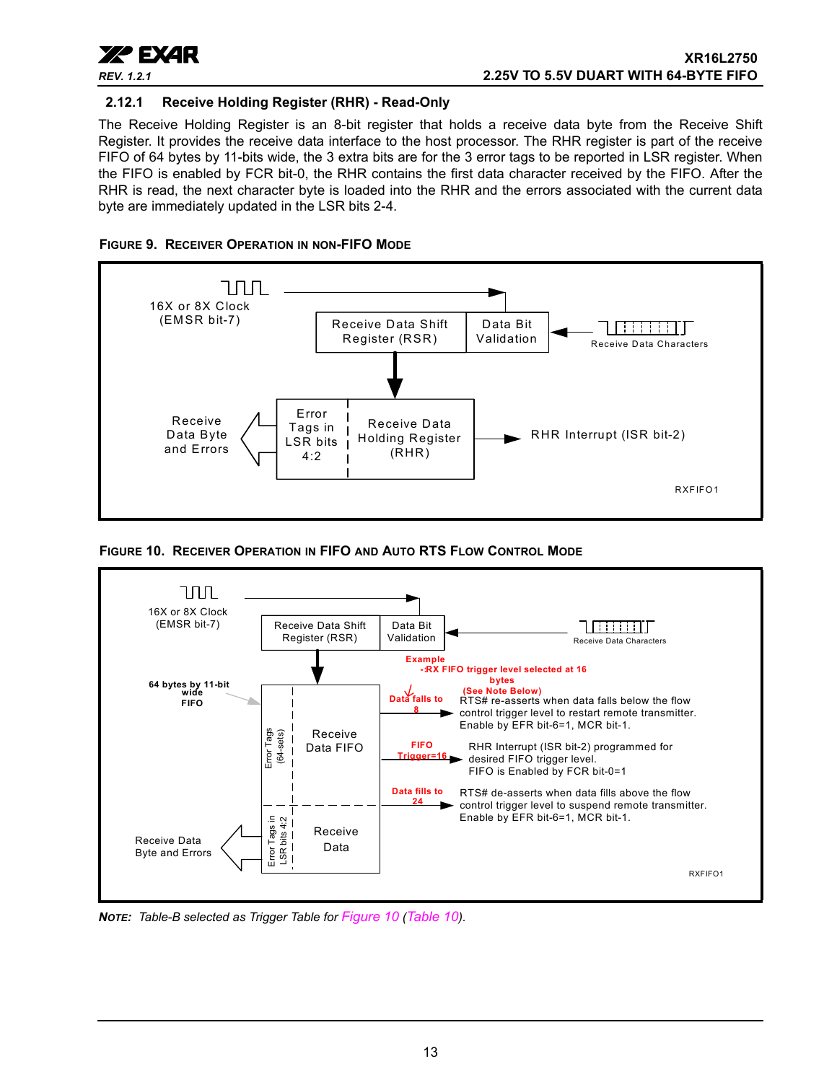

#### <span id="page-12-1"></span>**2.12.1 Receive Holding Register (RHR) - Read-Only**

The Receive Holding Register is an 8-bit register that holds a receive data byte from the Receive Shift Register. It provides the receive data interface to the host processor. The RHR register is part of the receive FIFO of 64 bytes by 11-bits wide, the 3 extra bits are for the 3 error tags to be reported in LSR register. When the FIFO is enabled by FCR bit-0, the RHR contains the first data character received by the FIFO. After the RHR is read, the next character byte is loaded into the RHR and the errors associated with the current data byte are immediately updated in the LSR bits 2-4.

<span id="page-12-2"></span>



<span id="page-12-0"></span>**FIGURE 10. RECEIVER OPERATION IN FIFO AND AUTO RTS FLOW CONTROL MODE**



*NOTE: Table-B selected as Trigger Table for [Figure](#page-12-0) 10 [\(Table](#page-25-0) 10).*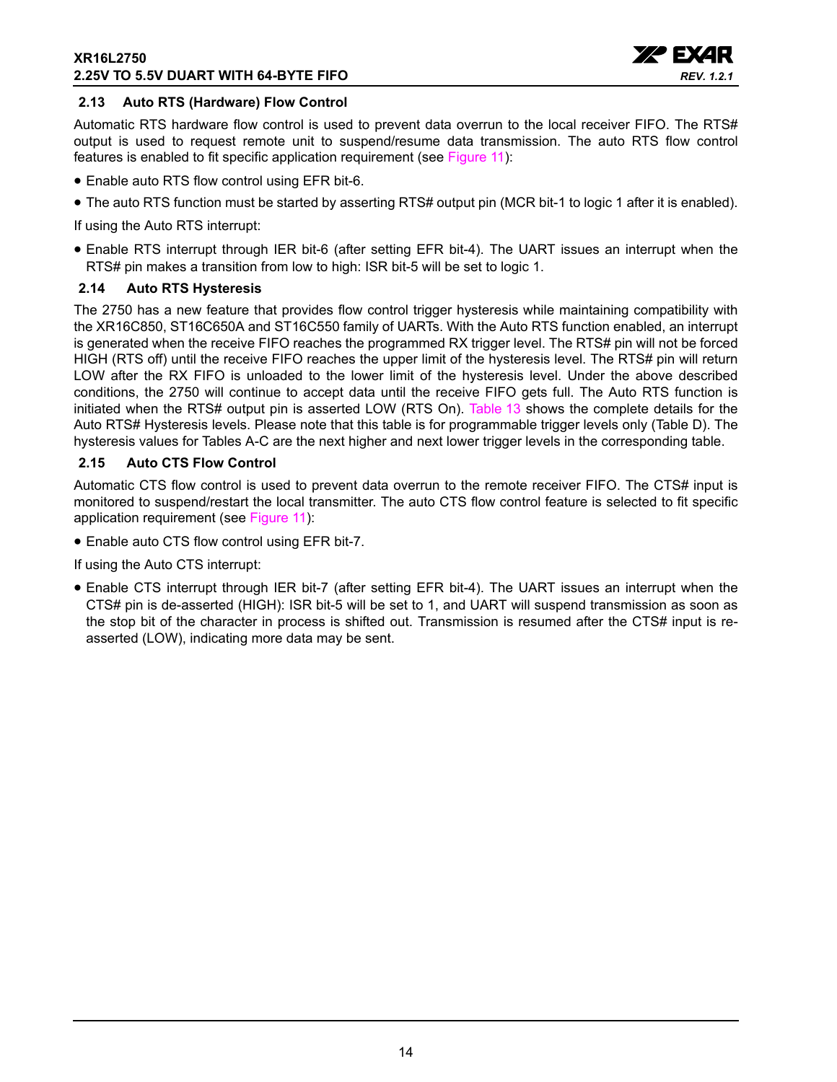

#### <span id="page-13-0"></span>**2.13 Auto RTS (Hardware) Flow Control**

Automatic RTS hardware flow control is used to prevent data overrun to the local receiver FIFO. The RTS# output is used to request remote unit to suspend/resume data transmission. The auto RTS flow control features is enabled to fit specific application requirement (see [Figure](#page-14-0) 11):

- Enable auto RTS flow control using EFR bit-6.
- The auto RTS function must be started by asserting RTS# output pin (MCR bit-1 to logic 1 after it is enabled).

If using the Auto RTS interrupt:

• Enable RTS interrupt through IER bit-6 (after setting EFR bit-4). The UART issues an interrupt when the RTS# pin makes a transition from low to high: ISR bit-5 will be set to logic 1.

#### <span id="page-13-1"></span>**2.14 Auto RTS Hysteresis**

The 2750 has a new feature that provides flow control trigger hysteresis while maintaining compatibility with the XR16C850, ST16C650A and ST16C550 family of UARTs. With the Auto RTS function enabled, an interrupt is generated when the receive FIFO reaches the programmed RX trigger level. The RTS# pin will not be forced HIGH (RTS off) until the receive FIFO reaches the upper limit of the hysteresis level. The RTS# pin will return LOW after the RX FIFO is unloaded to the lower limit of the hysteresis level. Under the above described conditions, the 2750 will continue to accept data until the receive FIFO gets full. The Auto RTS function is initiated when the RTS# output pin is asserted LOW (RTS On). [Table](#page-31-0) 13 shows the complete details for the Auto RTS# Hysteresis levels. Please note that this table is for programmable trigger levels only (Table D). The hysteresis values for Tables A-C are the next higher and next lower trigger levels in the corresponding table.

#### <span id="page-13-2"></span>**2.15 Auto CTS Flow Control**

Automatic CTS flow control is used to prevent data overrun to the remote receiver FIFO. The CTS# input is monitored to suspend/restart the local transmitter. The auto CTS flow control feature is selected to fit specific application requirement (see [Figure](#page-14-0) 11):

• Enable auto CTS flow control using EFR bit-7.

If using the Auto CTS interrupt:

• Enable CTS interrupt through IER bit-7 (after setting EFR bit-4). The UART issues an interrupt when the CTS# pin is de-asserted (HIGH): ISR bit-5 will be set to 1, and UART will suspend transmission as soon as the stop bit of the character in process is shifted out. Transmission is resumed after the CTS# input is reasserted (LOW), indicating more data may be sent.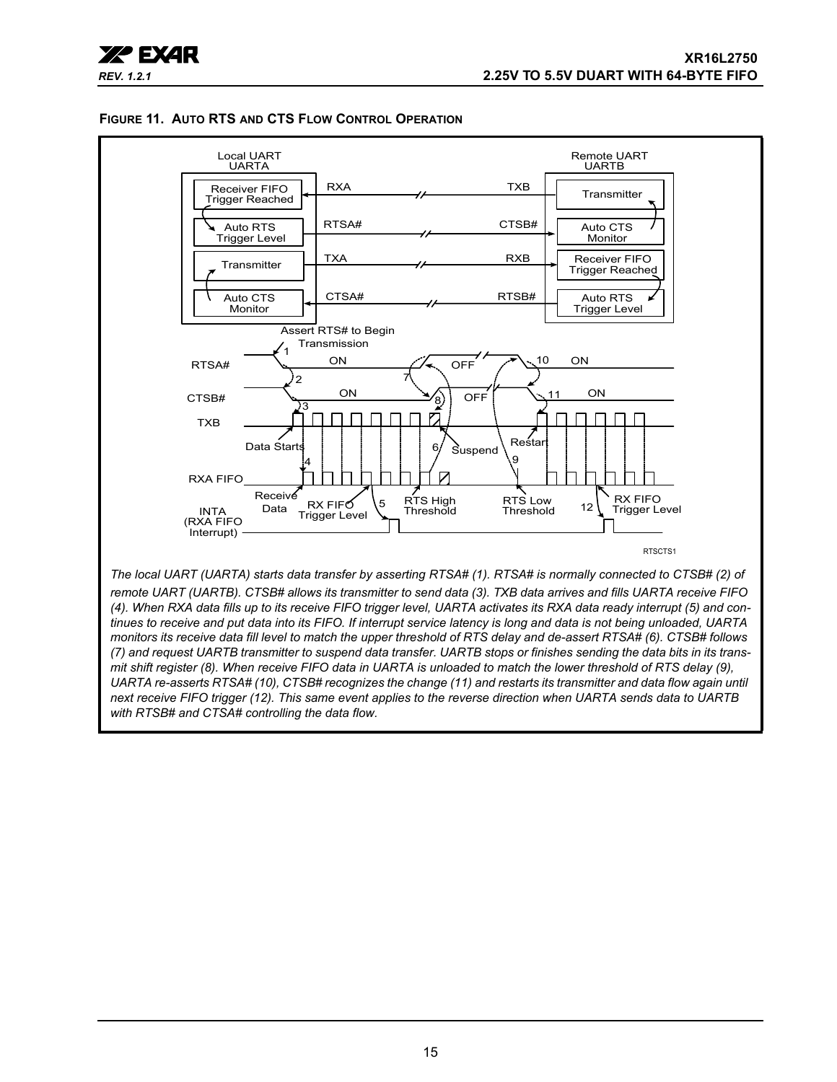

#### <span id="page-14-0"></span>**FIGURE 11. AUTO RTS AND CTS FLOW CONTROL OPERATION**

*tinues to receive and put data into its FIFO. If interrupt service latency is long and data is not being unloaded, UARTA monitors its receive data fill level to match the upper threshold of RTS delay and de-assert RTSA# (6). CTSB# follows (7) and request UARTB transmitter to suspend data transfer. UARTB stops or finishes sending the data bits in its transmit shift register (8). When receive FIFO data in UARTA is unloaded to match the lower threshold of RTS delay (9), UARTA re-asserts RTSA# (10), CTSB# recognizes the change (11) and restarts its transmitter and data flow again until next receive FIFO trigger (12). This same event applies to the reverse direction when UARTA sends data to UARTB with RTSB# and CTSA# controlling the data flow.*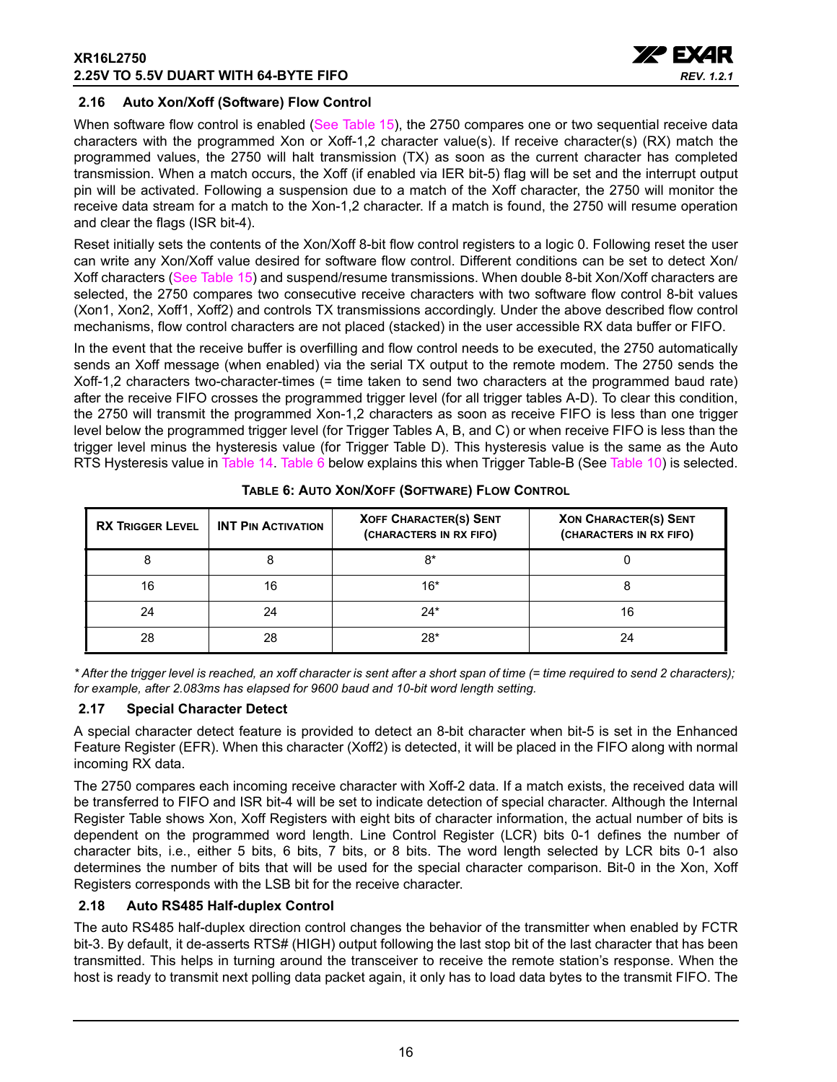

#### <span id="page-15-1"></span>**2.16 Auto Xon/Xoff (Software) Flow Control**

When software flow control is enabled ([See Table](#page-33-0) 15), the 2750 compares one or two sequential receive data characters with the programmed Xon or Xoff-1,2 character value(s). If receive character(s) (RX) match the programmed values, the 2750 will halt transmission (TX) as soon as the current character has completed transmission. When a match occurs, the Xoff (if enabled via IER bit-5) flag will be set and the interrupt output pin will be activated. Following a suspension due to a match of the Xoff character, the 2750 will monitor the receive data stream for a match to the Xon-1,2 character. If a match is found, the 2750 will resume operation and clear the flags (ISR bit-4).

Reset initially sets the contents of the Xon/Xoff 8-bit flow control registers to a logic 0. Following reset the user can write any Xon/Xoff value desired for software flow control. Different conditions can be set to detect Xon/ Xoff characters ([See Table](#page-33-0) 15) and suspend/resume transmissions. When double 8-bit Xon/Xoff characters are selected, the 2750 compares two consecutive receive characters with two software flow control 8-bit values (Xon1, Xon2, Xoff1, Xoff2) and controls TX transmissions accordingly. Under the above described flow control mechanisms, flow control characters are not placed (stacked) in the user accessible RX data buffer or FIFO.

In the event that the receive buffer is overfilling and flow control needs to be executed, the 2750 automatically sends an Xoff message (when enabled) via the serial TX output to the remote modem. The 2750 sends the Xoff-1,2 characters two-character-times (= time taken to send two characters at the programmed baud rate) after the receive FIFO crosses the programmed trigger level (for all trigger tables A-D). To clear this condition, the 2750 will transmit the programmed Xon-1,2 characters as soon as receive FIFO is less than one trigger level below the programmed trigger level (for Trigger Tables A, B, and C) or when receive FIFO is less than the trigger level minus the hysteresis value (for Trigger Table D). This hysteresis value is the same as the Auto RTS Hysteresis value in [Table](#page-32-0) 14. [Table](#page-15-0) 6 below explains this when Trigger Table-B (See [Table](#page-25-0) 10) is selected.

<span id="page-15-0"></span>

| <b>RX TRIGGER LEVEL</b> | <b>INT PIN ACTIVATION</b> | <b>XOFF CHARACTER(S) SENT</b><br>(CHARACTERS IN RX FIFO) | <b>XON CHARACTER(S) SENT</b><br>(CHARACTERS IN RX FIFO) |
|-------------------------|---------------------------|----------------------------------------------------------|---------------------------------------------------------|
|                         |                           | 8*                                                       |                                                         |
| 16                      | 16                        | $16*$                                                    |                                                         |
| 24                      | 24                        | $24*$                                                    |                                                         |
| 28                      | 28                        | $28*$                                                    |                                                         |

**TABLE 6: AUTO XON/XOFF (SOFTWARE) FLOW CONTROL**

*\* After the trigger level is reached, an xoff character is sent after a short span of time (= time required to send 2 characters); for example, after 2.083ms has elapsed for 9600 baud and 10-bit word length setting.*

#### <span id="page-15-2"></span>**2.17 Special Character Detect**

A special character detect feature is provided to detect an 8-bit character when bit-5 is set in the Enhanced Feature Register (EFR). When this character (Xoff2) is detected, it will be placed in the FIFO along with normal incoming RX data.

The 2750 compares each incoming receive character with Xoff-2 data. If a match exists, the received data will be transferred to FIFO and ISR bit-4 will be set to indicate detection of special character. Although the Internal Register Table shows Xon, Xoff Registers with eight bits of character information, the actual number of bits is dependent on the programmed word length. Line Control Register (LCR) bits 0-1 defines the number of character bits, i.e., either 5 bits, 6 bits, 7 bits, or 8 bits. The word length selected by LCR bits 0-1 also determines the number of bits that will be used for the special character comparison. Bit-0 in the Xon, Xoff Registers corresponds with the LSB bit for the receive character.

#### <span id="page-15-3"></span>**2.18 Auto RS485 Half-duplex Control**

The auto RS485 half-duplex direction control changes the behavior of the transmitter when enabled by FCTR bit-3. By default, it de-asserts RTS# (HIGH) output following the last stop bit of the last character that has been transmitted. This helps in turning around the transceiver to receive the remote station's response. When the host is ready to transmit next polling data packet again, it only has to load data bytes to the transmit FIFO. The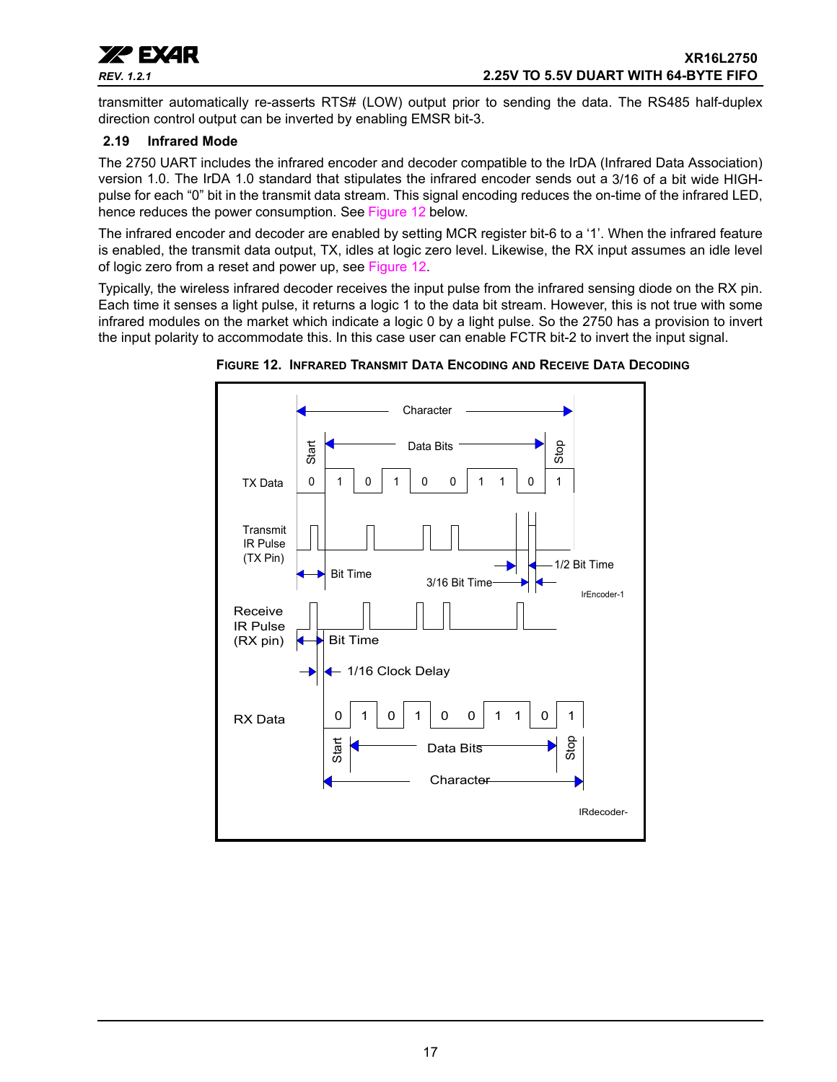

transmitter automatically re-asserts RTS# (LOW) output prior to sending the data. The RS485 half-duplex direction control output can be inverted by enabling EMSR bit-3.

#### <span id="page-16-1"></span>**2.19 Infrared Mode**

The 2750 UART includes the infrared encoder and decoder compatible to the IrDA (Infrared Data Association) version 1.0. The IrDA 1.0 standard that stipulates the infrared encoder sends out a 3/16 of a bit wide HIGHpulse for each "0" bit in the transmit data stream. This signal encoding reduces the on-time of the infrared LED, hence reduces the power consumption. See [Figure](#page-16-0) 12 below.

The infrared encoder and decoder are enabled by setting MCR register bit-6 to a '1'. When the infrared feature is enabled, the transmit data output, TX, idles at logic zero level. Likewise, the RX input assumes an idle level of logic zero from a reset and power up, see [Figure](#page-16-0) 12.

Typically, the wireless infrared decoder receives the input pulse from the infrared sensing diode on the RX pin. Each time it senses a light pulse, it returns a logic 1 to the data bit stream. However, this is not true with some infrared modules on the market which indicate a logic 0 by a light pulse. So the 2750 has a provision to invert the input polarity to accommodate this. In this case user can enable FCTR bit-2 to invert the input signal.



<span id="page-16-0"></span>**FIGURE 12. INFRARED TRANSMIT DATA ENCODING AND RECEIVE DATA DECODING**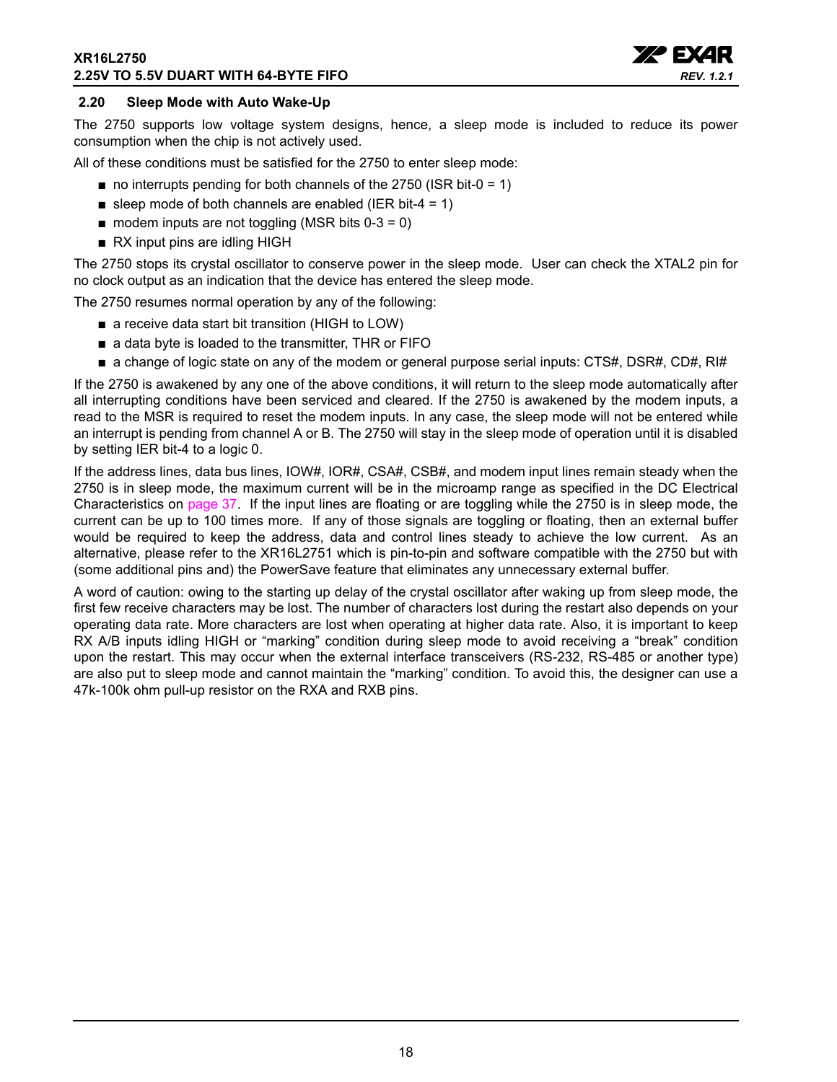#### **XR16L2750 2.25V TO 5.5V DUART WITH 64-BYTE FIFO**



#### <span id="page-17-0"></span>**2.20 Sleep Mode with Auto Wake-Up**

The 2750 supports low voltage system designs, hence, a sleep mode is included to reduce its power consumption when the chip is not actively used.

All of these conditions must be satisfied for the 2750 to enter sleep mode:

- $\blacksquare$  no interrupts pending for both channels of the 2750 (ISR bit-0 = 1)
- sleep mode of both channels are enabled (IER bit-4 = 1)
- $\blacksquare$  modem inputs are not toggling (MSR bits 0-3 = 0)
- RX input pins are idling HIGH

The 2750 stops its crystal oscillator to conserve power in the sleep mode. User can check the XTAL2 pin for no clock output as an indication that the device has entered the sleep mode.

The 2750 resumes normal operation by any of the following:

- a receive data start bit transition (HIGH to LOW)
- a data byte is loaded to the transmitter, THR or FIFO
- a change of logic state on any of the modem or general purpose serial inputs: CTS#, DSR#, CD#, RI#

If the 2750 is awakened by any one of the above conditions, it will return to the sleep mode automatically after all interrupting conditions have been serviced and cleared. If the 2750 is awakened by the modem inputs, a read to the MSR is required to reset the modem inputs. In any case, the sleep mode will not be entered while an interrupt is pending from channel A or B. The 2750 will stay in the sleep mode of operation until it is disabled by setting IER bit-4 to a logic 0.

If the address lines, data bus lines, IOW#, IOR#, CSA#, CSB#, and modem input lines remain steady when the 2750 is in sleep mode, the maximum current will be in the microamp range as specified in the DC Electrical Characteristics on [page](#page-36-0) 37. If the input lines are floating or are toggling while the 2750 is in sleep mode, the current can be up to 100 times more. If any of those signals are toggling or floating, then an external buffer would be required to keep the address, data and control lines steady to achieve the low current. As an alternative, please refer to the XR16L2751 which is pin-to-pin and software compatible with the 2750 but with (some additional pins and) the PowerSave feature that eliminates any unnecessary external buffer.

A word of caution: owing to the starting up delay of the crystal oscillator after waking up from sleep mode, the first few receive characters may be lost. The number of characters lost during the restart also depends on your operating data rate. More characters are lost when operating at higher data rate. Also, it is important to keep RX A/B inputs idling HIGH or "marking" condition during sleep mode to avoid receiving a "break" condition upon the restart. This may occur when the external interface transceivers (RS-232, RS-485 or another type) are also put to sleep mode and cannot maintain the "marking" condition. To avoid this, the designer can use a 47k-100k ohm pull-up resistor on the RXA and RXB pins.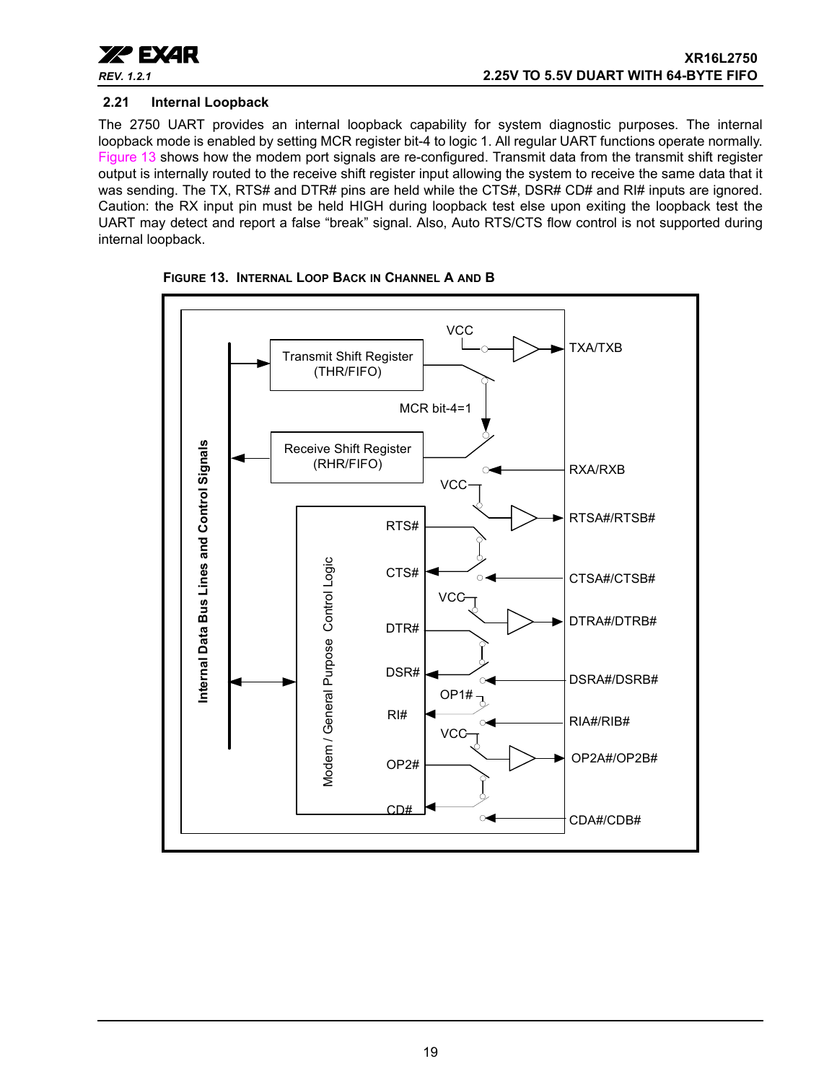

#### <span id="page-18-1"></span>**2.21 Internal Loopback**

The 2750 UART provides an internal loopback capability for system diagnostic purposes. The internal loopback mode is enabled by setting MCR register bit-4 to logic 1. All regular UART functions operate normally. [Figure](#page-18-0) 13 shows how the modem port signals are re-configured. Transmit data from the transmit shift register output is internally routed to the receive shift register input allowing the system to receive the same data that it was sending. The TX, RTS# and DTR# pins are held while the CTS#, DSR# CD# and RI# inputs are ignored. Caution: the RX input pin must be held HIGH during loopback test else upon exiting the loopback test the UART may detect and report a false "break" signal. Also, Auto RTS/CTS flow control is not supported during internal loopback.



<span id="page-18-0"></span>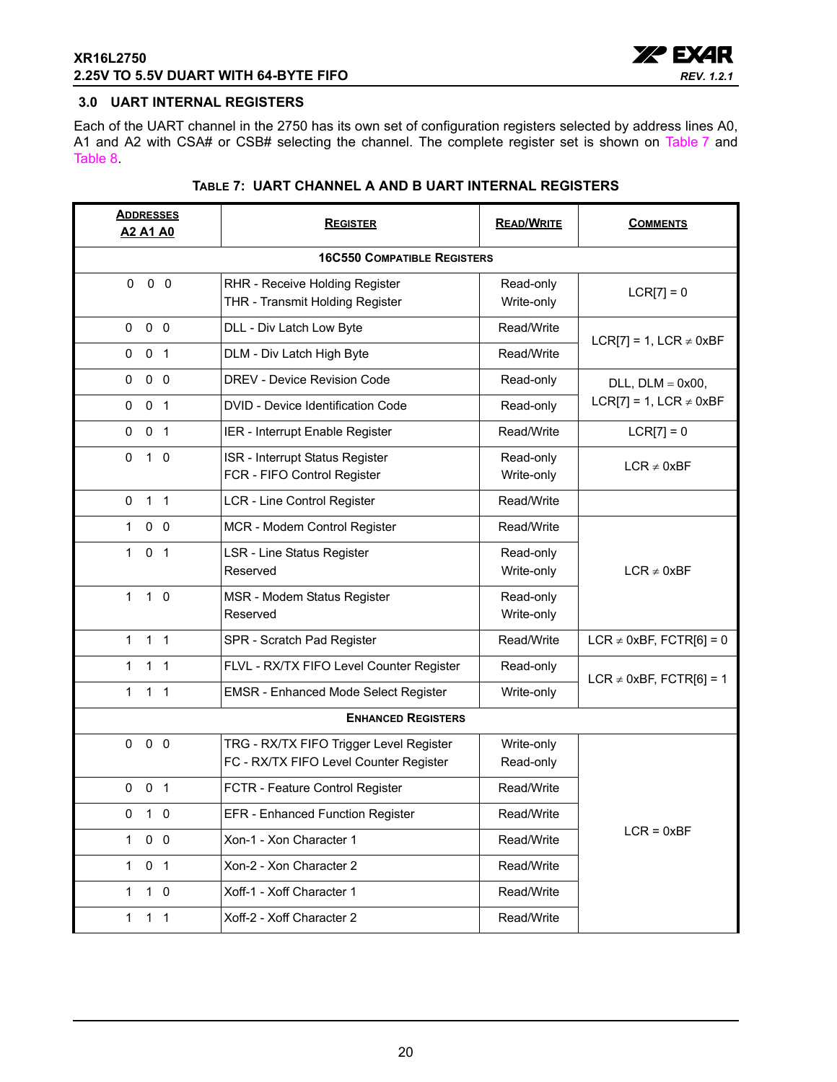

#### <span id="page-19-0"></span>**3.0 UART INTERNAL REGISTERS**

Each of the UART channel in the 2750 has its own set of configuration registers selected by address lines A0, A1 and A2 with CSA# or CSB# selecting the channel. The complete register set is shown on [Table](#page-19-1) 7 and [Table](#page-20-0) 8.

<span id="page-19-1"></span>

| <b>ADDRESSES</b><br><b>A2 A1 A0</b> | <b>REGISTER</b>                                                                   | <b>READ/WRITE</b>       | <b>COMMENTS</b>                |  |  |  |  |  |
|-------------------------------------|-----------------------------------------------------------------------------------|-------------------------|--------------------------------|--|--|--|--|--|
|                                     | <b>16C550 COMPATIBLE REGISTERS</b>                                                |                         |                                |  |  |  |  |  |
| $0\quad 0$<br>$\Omega$              | RHR - Receive Holding Register<br>THR - Transmit Holding Register                 | Read-only<br>Write-only | $LCR[7] = 0$                   |  |  |  |  |  |
| 0 <sub>0</sub><br>0                 | DLL - Div Latch Low Byte                                                          | Read/Write              | LCR[7] = 1, LCR $\neq$ 0xBF    |  |  |  |  |  |
| 0 <sub>1</sub><br>0                 | DLM - Div Latch High Byte                                                         | Read/Write              |                                |  |  |  |  |  |
| 0<br>0 <sub>0</sub>                 | DREV - Device Revision Code                                                       | Read-only               | DLL, $DLM = 0x00$ ,            |  |  |  |  |  |
| 0 <sub>1</sub><br>$\mathbf 0$       | DVID - Device Identification Code                                                 | Read-only               | $LCR[7] = 1$ , $LCR \neq 0xBF$ |  |  |  |  |  |
| 0<br>0 <sub>1</sub>                 | IER - Interrupt Enable Register                                                   | Read/Write              | $LCR[7] = 0$                   |  |  |  |  |  |
| $\Omega$<br>$1\quad$ 0              | ISR - Interrupt Status Register<br>FCR - FIFO Control Register                    | Read-only<br>Write-only | $LCR \neq 0xBF$                |  |  |  |  |  |
| 1 <sub>1</sub><br>0                 | LCR - Line Control Register                                                       | Read/Write              |                                |  |  |  |  |  |
| 1<br>$0\quad 0$                     | MCR - Modem Control Register                                                      | Read/Write              |                                |  |  |  |  |  |
| 0 <sub>1</sub><br>$\mathbf{1}$      | <b>LSR - Line Status Register</b><br>Reserved                                     | Read-only<br>Write-only | $LCR \neq 0xBF$                |  |  |  |  |  |
| $\mathbf{1}$<br>$1\quad0$           | MSR - Modem Status Register<br>Reserved                                           | Read-only<br>Write-only |                                |  |  |  |  |  |
| $1 \quad 1$<br>1                    | SPR - Scratch Pad Register                                                        | Read/Write              | LCR $\neq$ 0xBF, FCTR[6] = 0   |  |  |  |  |  |
| 1 <sub>1</sub><br>$\mathbf{1}$      | FLVL - RX/TX FIFO Level Counter Register                                          | Read-only               | LCR $\neq$ 0xBF, FCTR[6] = 1   |  |  |  |  |  |
| $\mathbf{1}$<br>1 <sub>1</sub>      | <b>EMSR - Enhanced Mode Select Register</b>                                       | Write-only              |                                |  |  |  |  |  |
|                                     | <b>ENHANCED REGISTERS</b>                                                         |                         |                                |  |  |  |  |  |
| 0<br>0 <sub>0</sub>                 | TRG - RX/TX FIFO Trigger Level Register<br>FC - RX/TX FIFO Level Counter Register | Write-only<br>Read-only |                                |  |  |  |  |  |
| 0 <sub>1</sub><br>$\mathbf 0$       | FCTR - Feature Control Register                                                   | Read/Write              |                                |  |  |  |  |  |
| 0<br>10                             | EFR - Enhanced Function Register                                                  | Read/Write              |                                |  |  |  |  |  |
| $0\quad 0$<br>1                     | Xon-1 - Xon Character 1                                                           | Read/Write              | $LCR = 0xBF$                   |  |  |  |  |  |
| 0 <sub>1</sub><br>$\mathbf 1$       | Xon-2 - Xon Character 2                                                           | Read/Write              |                                |  |  |  |  |  |
| $\mathbf{1}$<br>$1\quad0$           | Xoff-1 - Xoff Character 1                                                         | Read/Write              |                                |  |  |  |  |  |
| $\mathbf{1}$<br>$1\quad1$           | Xoff-2 - Xoff Character 2                                                         | Read/Write              |                                |  |  |  |  |  |

#### **TABLE 7: UART CHANNEL A AND B UART INTERNAL REGISTERS**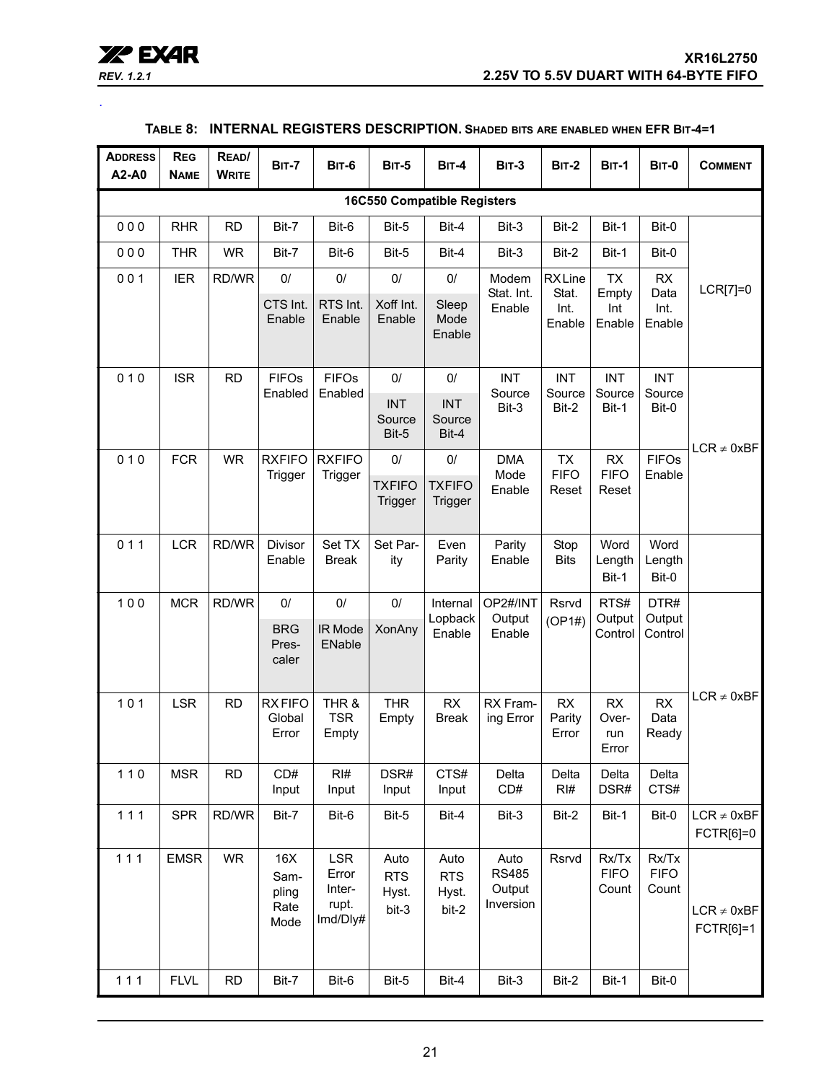| REV. 1.2. |  |
|-----------|--|
|           |  |

<span id="page-20-0"></span>.

| <b>ADDRESS</b><br>A2-A0 | <b>REG</b><br><b>NAME</b> | READ/<br><b>WRITE</b> | <b>BIT-7</b>                         | <b>BIT-6</b>                                | <b>BIT-5</b>                          | <b>BIT-4</b>                         | $BIT-3$                                     | <b>BIT-2</b>                             | <b>BIT-1</b>                        | <b>BIT-0</b>                        | <b>COMMENT</b>               |
|-------------------------|---------------------------|-----------------------|--------------------------------------|---------------------------------------------|---------------------------------------|--------------------------------------|---------------------------------------------|------------------------------------------|-------------------------------------|-------------------------------------|------------------------------|
|                         |                           |                       |                                      |                                             |                                       | <b>16C550 Compatible Registers</b>   |                                             |                                          |                                     |                                     |                              |
| 000                     | <b>RHR</b>                | <b>RD</b>             | Bit-7                                | Bit-6                                       | Bit-5                                 | Bit-4                                | Bit-3                                       | Bit-2                                    | Bit-1                               | Bit-0                               |                              |
| 000                     | <b>THR</b>                | <b>WR</b>             | Bit-7                                | Bit-6                                       | Bit-5                                 | Bit-4                                | Bit-3                                       | Bit-2                                    | Bit-1                               | Bit-0                               |                              |
| 001                     | <b>IER</b>                | RD/WR                 | 0/<br>CTS Int.<br>Enable             | 0/<br>RTS Int.<br>Enable                    | 0/<br>Xoff Int.<br>Enable             | 0/<br>Sleep<br>Mode<br>Enable        | Modem<br>Stat. Int.<br>Enable               | <b>RXLine</b><br>Stat.<br>Int.<br>Enable | <b>TX</b><br>Empty<br>Int<br>Enable | <b>RX</b><br>Data<br>Int.<br>Enable | LCR[7]=0                     |
| 010                     | <b>ISR</b>                | <b>RD</b>             | <b>FIFOs</b><br>Enabled              | <b>FIFOs</b><br>Enabled                     | $0/$<br><b>INT</b><br>Source<br>Bit-5 | 0/<br><b>INT</b><br>Source<br>Bit-4  | <b>INT</b><br>Source<br>Bit-3               | <b>INT</b><br>Source<br>Bit-2            | <b>INT</b><br>Source<br>Bit-1       | <b>INT</b><br>Source<br>Bit-0       | $LCR \neq 0xBF$              |
| 010                     | <b>FCR</b>                | <b>WR</b>             | <b>RXFIFO</b><br>Trigger             | <b>RXFIFO</b><br>Trigger                    | 0/<br><b>TXFIFO</b><br>Trigger        | 0/<br><b>TXFIFO</b><br>Trigger       | <b>DMA</b><br>Mode<br>Enable                | <b>TX</b><br><b>FIFO</b><br>Reset        | RX<br><b>FIFO</b><br>Reset          | <b>FIFOs</b><br>Enable              |                              |
| 011                     | <b>LCR</b>                | RD/WR                 | <b>Divisor</b><br>Enable             | Set TX<br><b>Break</b>                      | Set Par-<br>ity                       | Even<br>Parity                       | Parity<br>Enable                            | Stop<br><b>Bits</b>                      | Word<br>Length<br>Bit-1             | Word<br>Length<br>Bit-0             |                              |
| 100                     | <b>MCR</b>                | RD/WR                 | 0/<br><b>BRG</b><br>Pres-<br>caler   | 0/<br>IR Mode<br>ENable                     | $0/$<br><b>XonAny</b>                 | Internal<br>Lopback<br>Enable        | OP2#/INT<br>Output<br>Enable                | Rsrvd<br>(OP1#)                          | RTS#<br>Output<br>Control           | DTR#<br>Output<br>Control           |                              |
| 101                     | <b>LSR</b>                | <b>RD</b>             | <b>RXFIFO</b><br>Global<br>Error     | THR &<br><b>TSR</b><br>Empty                | <b>THR</b><br>Empty                   | RX<br><b>Break</b>                   | RX Fram-<br>ing Error                       | RX<br>Parity<br>Error                    | RX<br>Over-<br>run<br>Error         | RX<br>Data<br>Ready                 | $LCR \neq 0xBF$              |
| $110$                   | <b>MSR</b>                | <b>RD</b>             | CD#<br>Input                         | RI#<br>Input                                | DSR#<br>Input                         | CTS#<br>Input                        | Delta<br>CD#                                | Delta<br>RI#                             | Delta<br>DSR#                       | Delta<br>CTS#                       |                              |
| 111                     | <b>SPR</b>                | RD/WR                 | Bit-7                                | Bit-6                                       | Bit-5                                 | Bit-4                                | Bit-3                                       | Bit-2                                    | Bit-1                               | Bit-0                               | $LCR \neq 0xBF$<br>FCTR[6]=0 |
| 111                     | <b>EMSR</b>               | <b>WR</b>             | 16X<br>Sam-<br>pling<br>Rate<br>Mode | LSR<br>Error<br>Inter-<br>rupt.<br>Imd/Dly# | Auto<br><b>RTS</b><br>Hyst.<br>bit-3  | Auto<br><b>RTS</b><br>Hyst.<br>bit-2 | Auto<br><b>RS485</b><br>Output<br>Inversion | Rsrvd                                    | Rx/Tx<br><b>FIFO</b><br>Count       | Rx/Tx<br><b>FIFO</b><br>Count       | $LCR \neq 0xBF$<br>FCTR[6]=1 |
| 111                     | <b>FLVL</b>               | <b>RD</b>             | Bit-7                                | Bit-6                                       | Bit-5                                 | Bit-4                                | Bit-3                                       | Bit-2                                    | Bit-1                               | Bit-0                               |                              |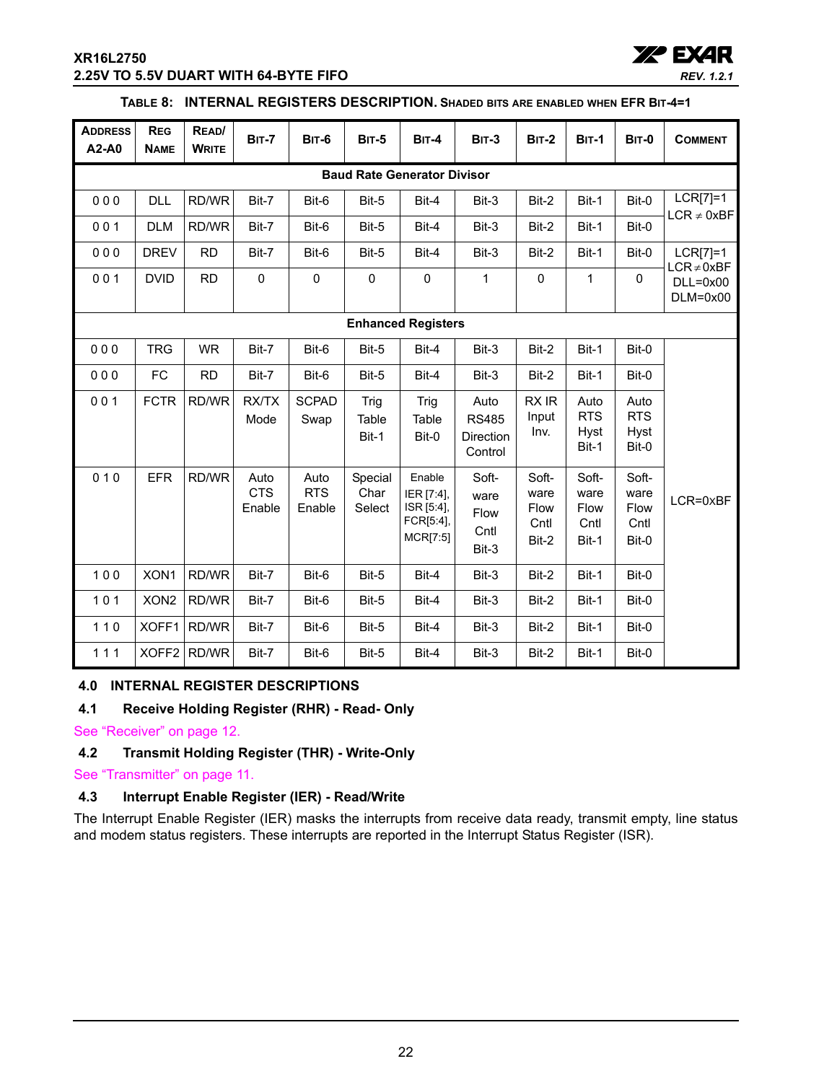#### **XR16L2750 2.25V TO 5.5V DUART WITH 64-BYTE FIFO**



#### **TABLE 8: INTERNAL REGISTERS DESCRIPTION. SHADED BITS ARE ENABLED WHEN EFR BIT-4=1**

| <b>ADDRESS</b><br>A2-A0   | <b>REG</b><br><b>NAME</b>          | READ/<br><b>WRITE</b> | <b>BIT-7</b>                 | <b>BIT-6</b>                 | <b>BIT-5</b>              | <b>BIT-4</b>                                                | <b>BIT-3</b>                                        | <b>BIT-2</b>                           | <b>BIT-1</b>                           | <b>BIT-0</b>                           | <b>COMMENT</b>                |
|---------------------------|------------------------------------|-----------------------|------------------------------|------------------------------|---------------------------|-------------------------------------------------------------|-----------------------------------------------------|----------------------------------------|----------------------------------------|----------------------------------------|-------------------------------|
|                           | <b>Baud Rate Generator Divisor</b> |                       |                              |                              |                           |                                                             |                                                     |                                        |                                        |                                        |                               |
| 000                       | <b>DLL</b>                         | RD/WR                 | Bit-7                        | Bit-6                        | Bit-5                     | Bit-4                                                       | Bit-3                                               | Bit-2                                  | Bit-1                                  | Bit-0                                  | $LCR[7]=1$                    |
| 001                       | <b>DLM</b>                         | RD/WR                 | Bit-7                        | Bit-6                        | Bit-5                     | Bit-4                                                       | Bit-3                                               | Bit-2                                  | Bit-1                                  | Bit-0                                  | $LCR \neq 0xBF$               |
| 000                       | <b>DREV</b>                        | <b>RD</b>             | Bit-7                        | Bit-6                        | Bit-5                     | Bit-4                                                       | Bit-3                                               | Bit-2                                  | Bit-1                                  | Bit-0                                  | $LCR[7]=1$<br>$LCR \neq 0xBF$ |
| 001                       | <b>DVID</b>                        | <b>RD</b>             | $\pmb{0}$                    | $\pmb{0}$                    | $\mathsf 0$               | $\mathbf 0$                                                 | $\mathbf{1}$                                        | $\mathbf 0$                            | $\mathbf{1}$                           | $\pmb{0}$                              | $DLL=0x00$<br>$DLM=0x00$      |
| <b>Enhanced Registers</b> |                                    |                       |                              |                              |                           |                                                             |                                                     |                                        |                                        |                                        |                               |
| 000                       | <b>TRG</b>                         | <b>WR</b>             | Bit-7                        | Bit-6                        | Bit-5                     | Bit-4                                                       | Bit-3                                               | Bit-2                                  | Bit-1                                  | Bit-0                                  |                               |
| 000                       | FC                                 | <b>RD</b>             | Bit-7                        | Bit-6                        | Bit-5                     | Bit-4                                                       | Bit-3                                               | Bit-2                                  | Bit-1                                  | Bit-0                                  |                               |
| 001                       | <b>FCTR</b>                        | RD/WR                 | RX/TX<br>Mode                | <b>SCPAD</b><br>Swap         | Trig<br>Table<br>Bit-1    | Trig<br>Table<br>Bit-0                                      | Auto<br><b>RS485</b><br><b>Direction</b><br>Control | RX IR<br>Input<br>Inv.                 | Auto<br><b>RTS</b><br>Hyst<br>Bit-1    | Auto<br><b>RTS</b><br>Hyst<br>Bit-0    |                               |
| 010                       | <b>EFR</b>                         | RD/WR                 | Auto<br><b>CTS</b><br>Enable | Auto<br><b>RTS</b><br>Enable | Special<br>Char<br>Select | Enable<br>IER [7:4],<br>ISR [5:4],<br>FCR[5:4],<br>MCR[7:5] | Soft-<br>ware<br>Flow<br>Cntl<br>Bit-3              | Soft-<br>ware<br>Flow<br>Cntl<br>Bit-2 | Soft-<br>ware<br>Flow<br>Cntl<br>Bit-1 | Soft-<br>ware<br>Flow<br>Cntl<br>Bit-0 | LCR=0xBF                      |
| 100                       | XON1                               | RD/WR                 | Bit-7                        | Bit-6                        | Bit-5                     | Bit-4                                                       | Bit-3                                               | Bit-2                                  | Bit-1                                  | Bit-0                                  |                               |
| $101$                     | XON <sub>2</sub>                   | RD/WR                 | Bit-7                        | Bit-6                        | Bit-5                     | Bit-4                                                       | Bit-3                                               | Bit-2                                  | Bit-1                                  | Bit-0                                  |                               |
| $110$                     | XOFF1                              | RD/WR                 | Bit-7                        | Bit-6                        | Bit-5                     | Bit-4                                                       | Bit-3                                               | Bit-2                                  | Bit-1                                  | Bit-0                                  |                               |
| 111                       | XOFF <sub>2</sub>                  | RD/WR                 | Bit-7                        | Bit-6                        | Bit-5                     | Bit-4                                                       | Bit-3                                               | Bit-2                                  | Bit-1                                  | Bit-0                                  |                               |

#### <span id="page-21-0"></span>**4.0 INTERNAL REGISTER DESCRIPTIONS**

#### <span id="page-21-1"></span>**4.1 Receive Holding Register (RHR) - Read- Only**

[See "Receiver" on page](#page-11-0) 12.

### <span id="page-21-2"></span>**4.2 Transmit Holding Register (THR) - Write-Only**

[See "Transmitter" on page](#page-10-1) 11.

#### <span id="page-21-3"></span>**4.3 Interrupt Enable Register (IER) - Read/Write**

The Interrupt Enable Register (IER) masks the interrupts from receive data ready, transmit empty, line status and modem status registers. These interrupts are reported in the Interrupt Status Register (ISR).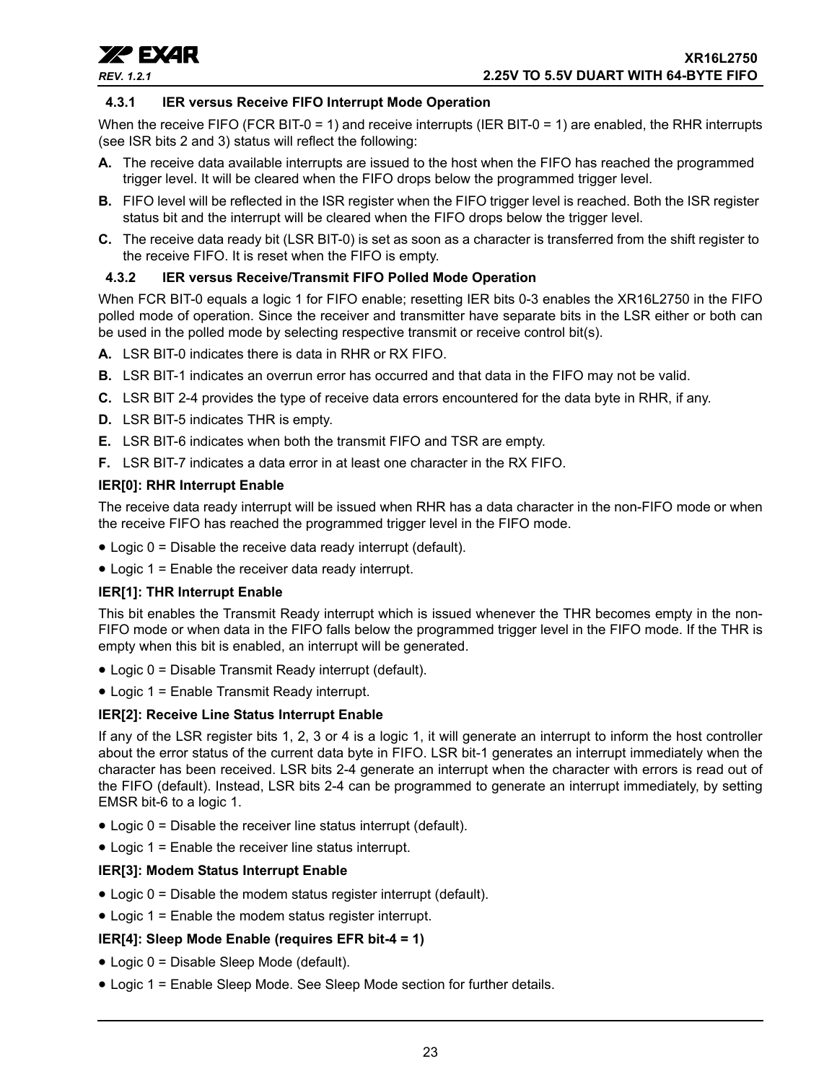

#### <span id="page-22-0"></span>**4.3.1 IER versus Receive FIFO Interrupt Mode Operation**

When the receive FIFO (FCR BIT-0 = 1) and receive interrupts (IER BIT-0 = 1) are enabled, the RHR interrupts (see ISR bits 2 and 3) status will reflect the following:

- **A.** The receive data available interrupts are issued to the host when the FIFO has reached the programmed trigger level. It will be cleared when the FIFO drops below the programmed trigger level.
- **B.** FIFO level will be reflected in the ISR register when the FIFO trigger level is reached. Both the ISR register status bit and the interrupt will be cleared when the FIFO drops below the trigger level.
- **C.** The receive data ready bit (LSR BIT-0) is set as soon as a character is transferred from the shift register to the receive FIFO. It is reset when the FIFO is empty.

#### <span id="page-22-1"></span>**4.3.2 IER versus Receive/Transmit FIFO Polled Mode Operation**

When FCR BIT-0 equals a logic 1 for FIFO enable; resetting IER bits 0-3 enables the XR16L2750 in the FIFO polled mode of operation. Since the receiver and transmitter have separate bits in the LSR either or both can be used in the polled mode by selecting respective transmit or receive control bit(s).

- **A.** LSR BIT-0 indicates there is data in RHR or RX FIFO.
- **B.** LSR BIT-1 indicates an overrun error has occurred and that data in the FIFO may not be valid.
- **C.** LSR BIT 2-4 provides the type of receive data errors encountered for the data byte in RHR, if any.
- **D.** LSR BIT-5 indicates THR is empty.
- **E.** LSR BIT-6 indicates when both the transmit FIFO and TSR are empty.
- **F.** LSR BIT-7 indicates a data error in at least one character in the RX FIFO.

#### **IER[0]: RHR Interrupt Enable**

The receive data ready interrupt will be issued when RHR has a data character in the non-FIFO mode or when the receive FIFO has reached the programmed trigger level in the FIFO mode.

- Logic 0 = Disable the receive data ready interrupt (default).
- Logic 1 = Enable the receiver data ready interrupt.

#### **IER[1]: THR Interrupt Enable**

This bit enables the Transmit Ready interrupt which is issued whenever the THR becomes empty in the non-FIFO mode or when data in the FIFO falls below the programmed trigger level in the FIFO mode. If the THR is empty when this bit is enabled, an interrupt will be generated.

- Logic 0 = Disable Transmit Ready interrupt (default).
- Logic 1 = Enable Transmit Ready interrupt.

#### **IER[2]: Receive Line Status Interrupt Enable**

If any of the LSR register bits 1, 2, 3 or 4 is a logic 1, it will generate an interrupt to inform the host controller about the error status of the current data byte in FIFO. LSR bit-1 generates an interrupt immediately when the character has been received. LSR bits 2-4 generate an interrupt when the character with errors is read out of the FIFO (default). Instead, LSR bits 2-4 can be programmed to generate an interrupt immediately, by setting EMSR bit-6 to a logic 1.

- Logic 0 = Disable the receiver line status interrupt (default).
- Logic 1 = Enable the receiver line status interrupt.

#### **IER[3]: Modem Status Interrupt Enable**

- Logic 0 = Disable the modem status register interrupt (default).
- Logic 1 = Enable the modem status register interrupt.

#### **IER[4]: Sleep Mode Enable (requires EFR bit-4 = 1)**

- Logic 0 = Disable Sleep Mode (default).
- Logic 1 = Enable Sleep Mode. See Sleep Mode section for further details.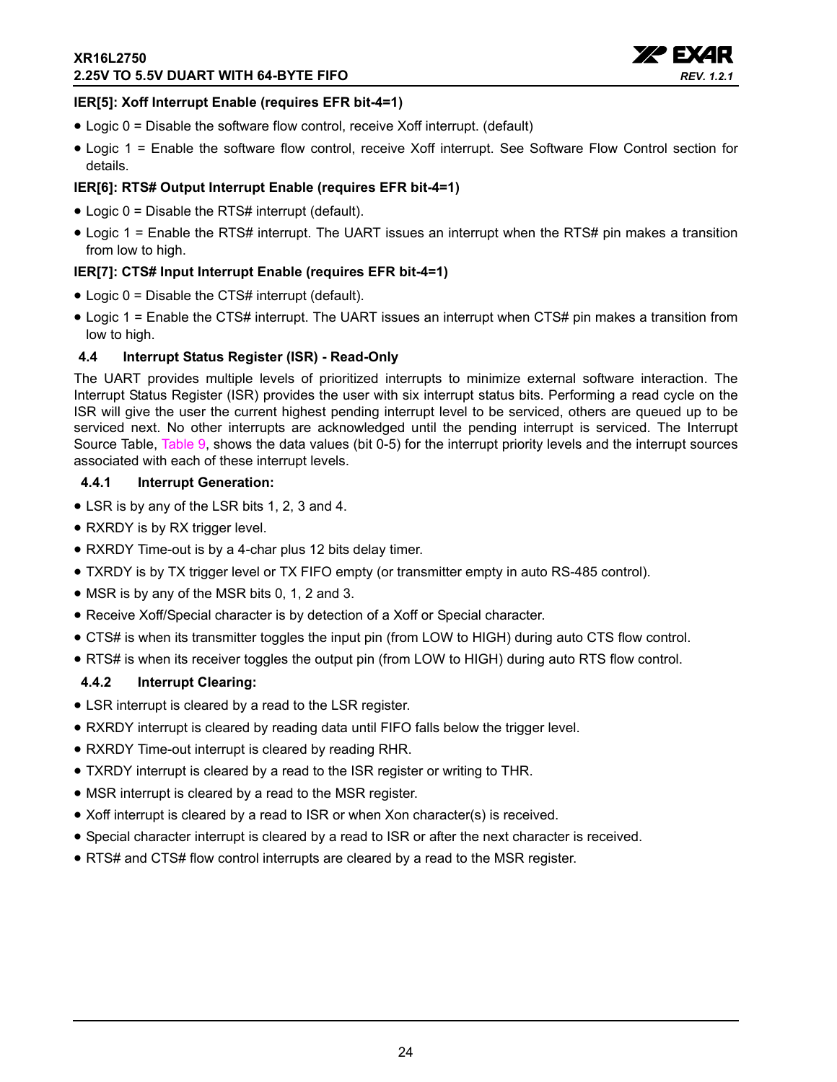

#### **IER[5]: Xoff Interrupt Enable (requires EFR bit-4=1)**

- Logic 0 = Disable the software flow control, receive Xoff interrupt. (default)
- Logic 1 = Enable the software flow control, receive Xoff interrupt. See Software Flow Control section for details.

#### **IER[6]: RTS# Output Interrupt Enable (requires EFR bit-4=1)**

- Logic 0 = Disable the RTS# interrupt (default).
- Logic 1 = Enable the RTS# interrupt. The UART issues an interrupt when the RTS# pin makes a transition from low to high.

#### **IER[7]: CTS# Input Interrupt Enable (requires EFR bit-4=1)**

- Logic 0 = Disable the CTS# interrupt (default).
- Logic 1 = Enable the CTS# interrupt. The UART issues an interrupt when CTS# pin makes a transition from low to high.

#### <span id="page-23-0"></span>**4.4 Interrupt Status Register (ISR) - Read-Only**

The UART provides multiple levels of prioritized interrupts to minimize external software interaction. The Interrupt Status Register (ISR) provides the user with six interrupt status bits. Performing a read cycle on the ISR will give the user the current highest pending interrupt level to be serviced, others are queued up to be serviced next. No other interrupts are acknowledged until the pending interrupt is serviced. The Interrupt Source Table, [Table](#page-24-0) 9, shows the data values (bit 0-5) for the interrupt priority levels and the interrupt sources associated with each of these interrupt levels.

#### <span id="page-23-1"></span>**4.4.1 Interrupt Generation:**

- LSR is by any of the LSR bits 1, 2, 3 and 4.
- RXRDY is by RX trigger level.
- RXRDY Time-out is by a 4-char plus 12 bits delay timer.
- TXRDY is by TX trigger level or TX FIFO empty (or transmitter empty in auto RS-485 control).
- MSR is by any of the MSR bits 0, 1, 2 and 3.
- Receive Xoff/Special character is by detection of a Xoff or Special character.
- CTS# is when its transmitter toggles the input pin (from LOW to HIGH) during auto CTS flow control.
- RTS# is when its receiver toggles the output pin (from LOW to HIGH) during auto RTS flow control.

#### <span id="page-23-2"></span>**4.4.2 Interrupt Clearing:**

- LSR interrupt is cleared by a read to the LSR register.
- RXRDY interrupt is cleared by reading data until FIFO falls below the trigger level.
- RXRDY Time-out interrupt is cleared by reading RHR.
- TXRDY interrupt is cleared by a read to the ISR register or writing to THR.
- MSR interrupt is cleared by a read to the MSR register.
- Xoff interrupt is cleared by a read to ISR or when Xon character(s) is received.
- Special character interrupt is cleared by a read to ISR or after the next character is received.
- RTS# and CTS# flow control interrupts are cleared by a read to the MSR register.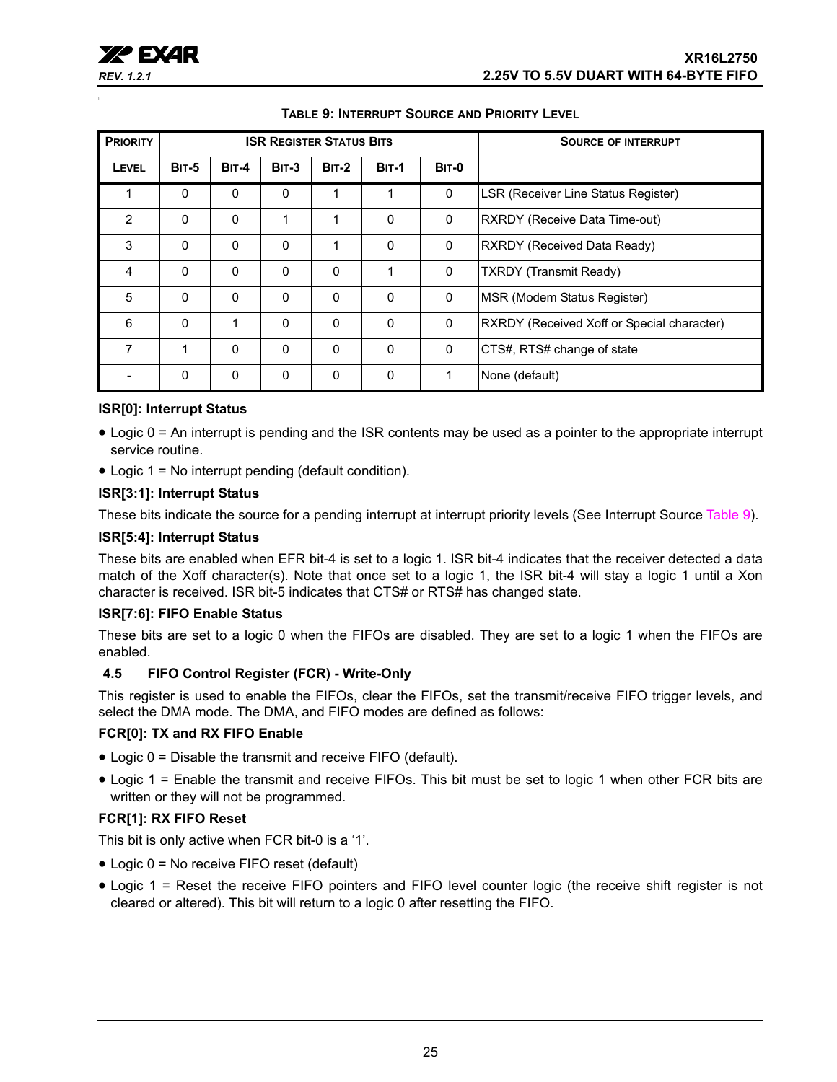<span id="page-24-0"></span>

| <b>PRIORITY</b> |              |              | <b>ISR REGISTER STATUS BITS</b> |              |              | <b>SOURCE OF INTERRUPT</b> |                                            |
|-----------------|--------------|--------------|---------------------------------|--------------|--------------|----------------------------|--------------------------------------------|
| LEVEL           | <b>BIT-5</b> | <b>BIT-4</b> | <b>BIT-3</b>                    | <b>BIT-2</b> | <b>BIT-1</b> | <b>BIT-0</b>               |                                            |
|                 | $\Omega$     | $\Omega$     | $\mathbf{0}$                    | 1            | 1            | 0                          | LSR (Receiver Line Status Register)        |
| 2               | $\Omega$     | $\Omega$     | 1                               |              | $\Omega$     | $\mathbf 0$                | <b>RXRDY (Receive Data Time-out)</b>       |
| 3               | $\Omega$     | $\Omega$     | 0                               |              | $\Omega$     | 0                          | RXRDY (Received Data Ready)                |
| 4               | $\Omega$     | $\Omega$     | 0                               | $\mathbf{0}$ | 1            | $\Omega$                   | <b>TXRDY</b> (Transmit Ready)              |
| 5               | $\mathbf{0}$ | $\Omega$     | $\mathbf{0}$                    | $\mathbf{0}$ | $\Omega$     | 0                          | MSR (Modem Status Register)                |
| 6               | $\Omega$     | 1            | 0                               | $\mathbf{0}$ | $\Omega$     | 0                          | RXRDY (Received Xoff or Special character) |
| 7               | 1            | $\Omega$     | 0                               | $\mathbf{0}$ | $\Omega$     | $\mathbf 0$                | CTS#, RTS# change of state                 |
|                 | $\mathbf{0}$ | $\Omega$     | $\mathbf{0}$                    | $\mathbf{0}$ | $\Omega$     | 1                          | None (default)                             |

#### **TABLE 9: INTERRUPT SOURCE AND PRIORITY LEVEL**

#### **ISR[0]: Interrupt Status**

- Logic 0 = An interrupt is pending and the ISR contents may be used as a pointer to the appropriate interrupt service routine.
- Logic 1 = No interrupt pending (default condition).

#### **ISR[3:1]: Interrupt Status**

These bits indicate the source for a pending interrupt at interrupt priority levels (See Interrupt Source [Table](#page-24-0) 9).

#### **ISR[5:4]: Interrupt Status**

These bits are enabled when EFR bit-4 is set to a logic 1. ISR bit-4 indicates that the receiver detected a data match of the Xoff character(s). Note that once set to a logic 1, the ISR bit-4 will stay a logic 1 until a Xon character is received. ISR bit-5 indicates that CTS# or RTS# has changed state.

#### **ISR[7:6]: FIFO Enable Status**

These bits are set to a logic 0 when the FIFOs are disabled. They are set to a logic 1 when the FIFOs are enabled.

#### <span id="page-24-1"></span>**4.5 FIFO Control Register (FCR) - Write-Only**

This register is used to enable the FIFOs, clear the FIFOs, set the transmit/receive FIFO trigger levels, and select the DMA mode. The DMA, and FIFO modes are defined as follows:

#### **FCR[0]: TX and RX FIFO Enable**

- Logic 0 = Disable the transmit and receive FIFO (default).
- Logic 1 = Enable the transmit and receive FIFOs. This bit must be set to logic 1 when other FCR bits are written or they will not be programmed.

#### **FCR[1]: RX FIFO Reset**

This bit is only active when FCR bit-0 is a '1'.

- Logic 0 = No receive FIFO reset (default)
- Logic 1 = Reset the receive FIFO pointers and FIFO level counter logic (the receive shift register is not cleared or altered). This bit will return to a logic 0 after resetting the FIFO.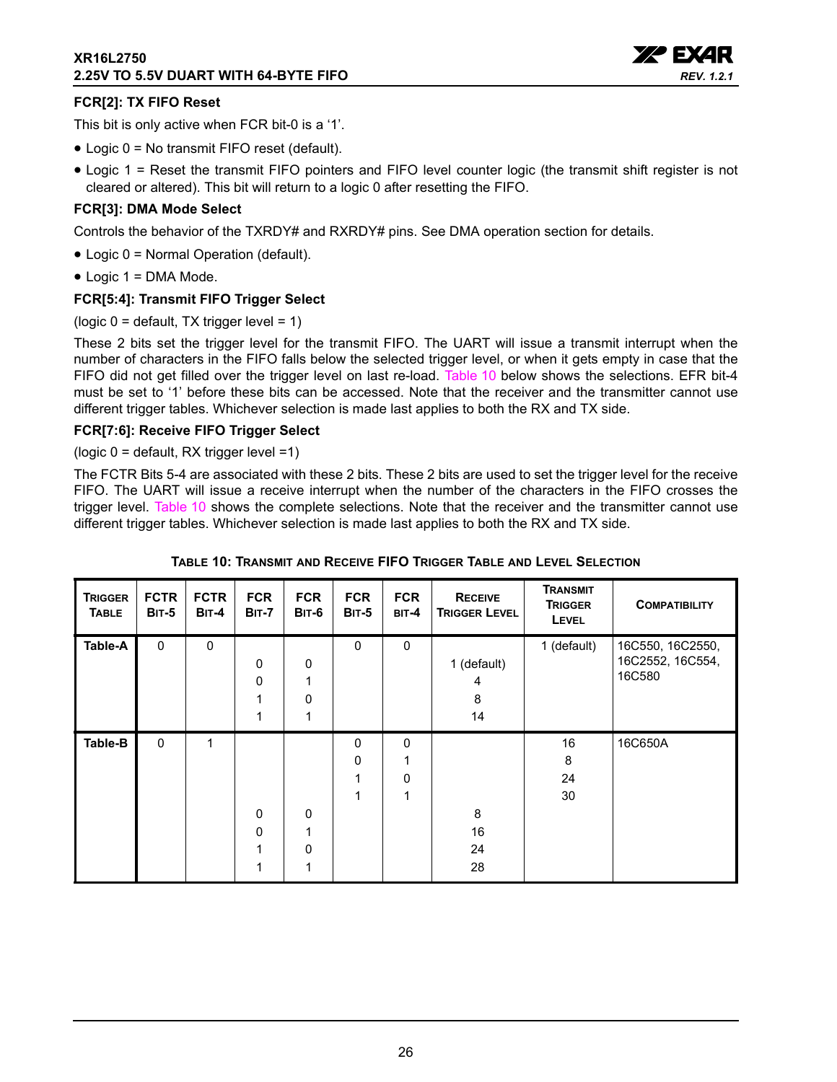

#### **FCR[2]: TX FIFO Reset**

This bit is only active when FCR bit-0 is a '1'.

- Logic 0 = No transmit FIFO reset (default).
- Logic 1 = Reset the transmit FIFO pointers and FIFO level counter logic (the transmit shift register is not cleared or altered). This bit will return to a logic 0 after resetting the FIFO.

#### **FCR[3]: DMA Mode Select**

Controls the behavior of the TXRDY# and RXRDY# pins. See DMA operation section for details.

- Logic 0 = Normal Operation (default).
- Logic 1 = DMA Mode.

#### **FCR[5:4]: Transmit FIFO Trigger Select**

(logic  $0 =$  default, TX trigger level = 1)

These 2 bits set the trigger level for the transmit FIFO. The UART will issue a transmit interrupt when the number of characters in the FIFO falls below the selected trigger level, or when it gets empty in case that the FIFO did not get filled over the trigger level on last re-load. [Table](#page-25-0) 10 below shows the selections. EFR bit-4 must be set to '1' before these bits can be accessed. Note that the receiver and the transmitter cannot use different trigger tables. Whichever selection is made last applies to both the RX and TX side.

#### **FCR[7:6]: Receive FIFO Trigger Select**

(logic 0 = default, RX trigger level =1)

The FCTR Bits 5-4 are associated with these 2 bits. These 2 bits are used to set the trigger level for the receive FIFO. The UART will issue a receive interrupt when the number of the characters in the FIFO crosses the trigger level. [Table](#page-25-0) 10 shows the complete selections. Note that the receiver and the transmitter cannot use different trigger tables. Whichever selection is made last applies to both the RX and TX side.

<span id="page-25-0"></span>

| <b>TRIGGER</b><br><b>TABLE</b> | <b>FCTR</b><br><b>BIT-5</b> | <b>FCTR</b><br><b>BIT-4</b> | <b>FCR</b><br><b>BIT-7</b> | <b>FCR</b><br><b>BIT-6</b>           | <b>FCR</b><br><b>BIT-5</b> | <b>FCR</b><br>BIT-4                | <b>RECEIVE</b><br><b>TRIGGER LEVEL</b> | <b>TRANSMIT</b><br><b>TRIGGER</b><br><b>LEVEL</b> | <b>COMPATIBILITY</b>                           |
|--------------------------------|-----------------------------|-----------------------------|----------------------------|--------------------------------------|----------------------------|------------------------------------|----------------------------------------|---------------------------------------------------|------------------------------------------------|
| Table-A                        | $\mathbf 0$                 | $\mathbf 0$                 | 0<br>0                     | $\mathbf 0$<br>1<br>$\mathbf 0$<br>1 | 0                          | $\mathbf 0$                        | 1 (default)<br>4<br>8<br>14            | 1 (default)                                       | 16C550, 16C2550,<br>16C2552, 16C554,<br>16C580 |
| Table-B                        | $\mathbf{0}$                | 1                           | $\mathbf{0}$<br>0          | $\mathbf 0$<br>1<br>$\mathbf 0$<br>1 | 0<br>0<br>1<br>1           | $\Omega$<br>1<br>$\mathbf{0}$<br>1 | 8<br>16<br>24<br>28                    | 16<br>8<br>24<br>30                               | 16C650A                                        |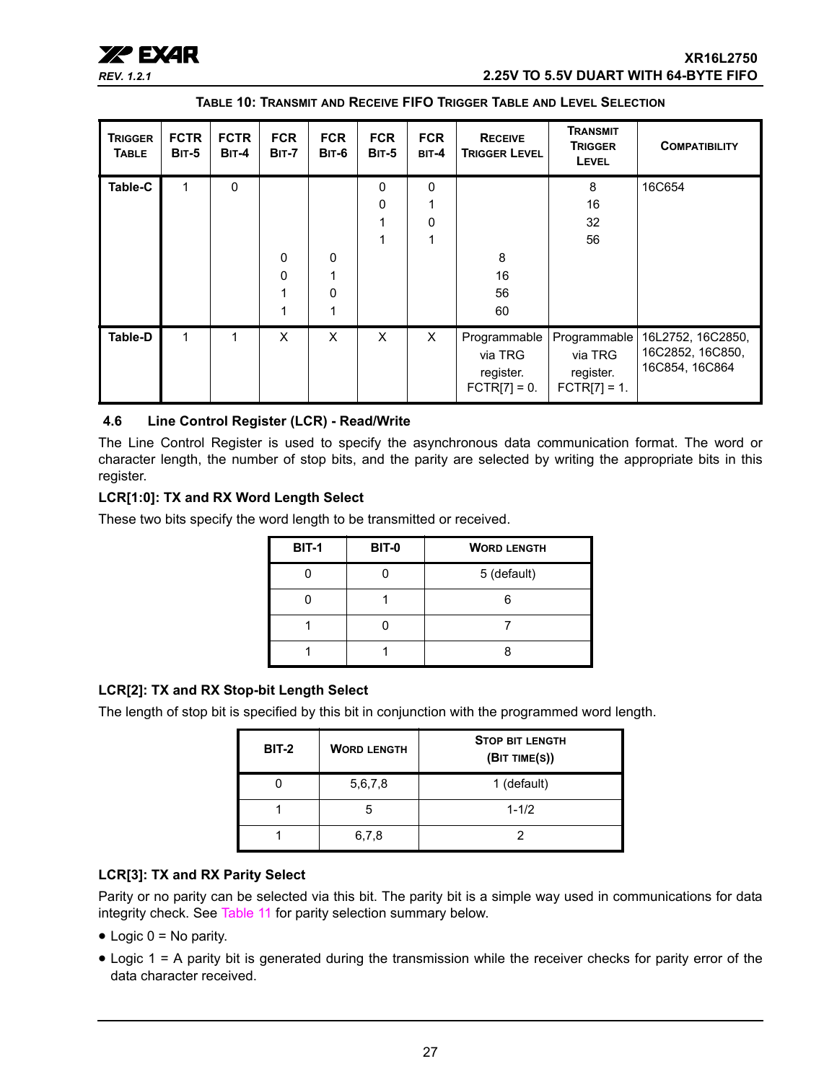## xr **XR16L2750** *REV. 1.2.1* **2.25V TO 5.5V DUART WITH 64-BYTE FIFO**

**TABLE 10: TRANSMIT AND RECEIVE FIFO TRIGGER TABLE AND LEVEL SELECTION**

| <b>TRIGGER</b><br><b>TABLE</b> | <b>FCTR</b><br><b>BIT-5</b> | <b>FCTR</b><br>$BIT-4$ | <b>FCR</b><br><b>BIT-7</b>   | <b>FCR</b><br><b>BIT-6</b> | <b>FCR</b><br><b>BIT-5</b>   | <b>FCR</b><br>$BIT-4$    | <b>RECEIVE</b><br><b>TRIGGER LEVEL</b>                 | Transmit<br><b>TRIGGER</b><br>LEVEL                    | <b>COMPATIBILITY</b>                                    |
|--------------------------------|-----------------------------|------------------------|------------------------------|----------------------------|------------------------------|--------------------------|--------------------------------------------------------|--------------------------------------------------------|---------------------------------------------------------|
| Table-C                        | 1                           | $\Omega$               | $\mathbf{0}$<br>$\mathbf{0}$ | $\mathbf 0$<br>0<br>1      | $\mathbf{0}$<br>$\mathbf{0}$ | $\mathbf{0}$<br>$\Omega$ | 8<br>16<br>56<br>60                                    | 8<br>16<br>32<br>56                                    | 16C654                                                  |
| <b>Table-D</b>                 | 1                           | 1                      | X                            | X                          | $\mathsf{x}$                 | X                        | Programmable<br>via TRG<br>register.<br>$FCTR[7] = 0.$ | Programmable<br>via TRG<br>register.<br>$FCTR[7] = 1.$ | 16L2752, 16C2850,<br>16C2852, 16C850,<br>16C854, 16C864 |

#### <span id="page-26-0"></span>**4.6 Line Control Register (LCR) - Read/Write**

The Line Control Register is used to specify the asynchronous data communication format. The word or character length, the number of stop bits, and the parity are selected by writing the appropriate bits in this register.

#### **LCR[1:0]: TX and RX Word Length Select**

These two bits specify the word length to be transmitted or received.

| <b>BIT-1</b> | <b>BIT-0</b> | <b>WORD LENGTH</b> |
|--------------|--------------|--------------------|
|              |              | 5 (default)        |
|              |              |                    |
|              |              |                    |
|              |              |                    |

#### **LCR[2]: TX and RX Stop-bit Length Select**

The length of stop bit is specified by this bit in conjunction with the programmed word length.

| <b>BIT-2</b> | <b>WORD LENGTH</b> | <b>STOP BIT LENGTH</b><br>(BIT TIME(S)) |
|--------------|--------------------|-----------------------------------------|
|              | 5,6,7,8            | 1 (default)                             |
|              | 5                  | $1 - 1/2$                               |
|              | 6,7,8              |                                         |

#### **LCR[3]: TX and RX Parity Select**

Parity or no parity can be selected via this bit. The parity bit is a simple way used in communications for data integrity check. See [Table](#page-27-0) 11 for parity selection summary below.

- $\bullet$  Logic 0 = No parity.
- Logic 1 = A parity bit is generated during the transmission while the receiver checks for parity error of the data character received.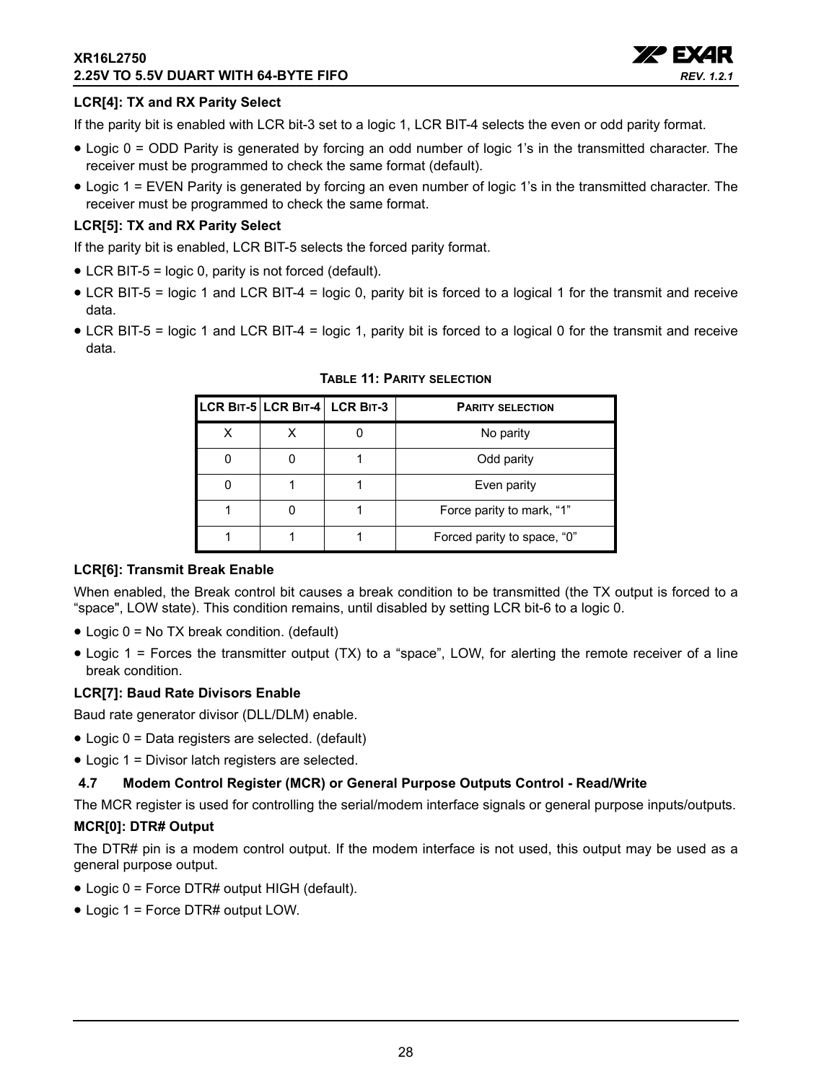#### **XR16L2750 2.25V TO 5.5V DUART WITH 64-BYTE FIFO**



#### **LCR[4]: TX and RX Parity Select**

If the parity bit is enabled with LCR bit-3 set to a logic 1, LCR BIT-4 selects the even or odd parity format.

- Logic 0 = ODD Parity is generated by forcing an odd number of logic 1's in the transmitted character. The receiver must be programmed to check the same format (default).
- Logic 1 = EVEN Parity is generated by forcing an even number of logic 1's in the transmitted character. The receiver must be programmed to check the same format.

#### **LCR[5]: TX and RX Parity Select**

If the parity bit is enabled, LCR BIT-5 selects the forced parity format.

- LCR BIT-5 = logic 0, parity is not forced (default).
- LCR BIT-5 = logic 1 and LCR BIT-4 = logic 0, parity bit is forced to a logical 1 for the transmit and receive data.
- <span id="page-27-0"></span>• LCR BIT-5 = logic 1 and LCR BIT-4 = logic 1, parity bit is forced to a logical 0 for the transmit and receive data.

|  | LCR BIT-5 LCR BIT-4 LCR BIT-3 | <b>PARITY SELECTION</b>     |
|--|-------------------------------|-----------------------------|
|  |                               | No parity                   |
|  |                               | Odd parity                  |
|  |                               | Even parity                 |
|  |                               | Force parity to mark, "1"   |
|  |                               | Forced parity to space, "0" |

#### **TABLE 11: PARITY SELECTION**

#### **LCR[6]: Transmit Break Enable**

When enabled, the Break control bit causes a break condition to be transmitted (the TX output is forced to a "space", LOW state). This condition remains, until disabled by setting LCR bit-6 to a logic 0.

- Logic 0 = No TX break condition. (default)
- Logic 1 = Forces the transmitter output (TX) to a "space", LOW, for alerting the remote receiver of a line break condition.

#### **LCR[7]: Baud Rate Divisors Enable**

Baud rate generator divisor (DLL/DLM) enable.

- Logic 0 = Data registers are selected. (default)
- Logic 1 = Divisor latch registers are selected.

#### <span id="page-27-1"></span>**4.7 Modem Control Register (MCR) or General Purpose Outputs Control - Read/Write**

The MCR register is used for controlling the serial/modem interface signals or general purpose inputs/outputs.

#### **MCR[0]: DTR# Output**

The DTR# pin is a modem control output. If the modem interface is not used, this output may be used as a general purpose output.

- Logic 0 = Force DTR# output HIGH (default).
- Logic 1 = Force DTR# output LOW.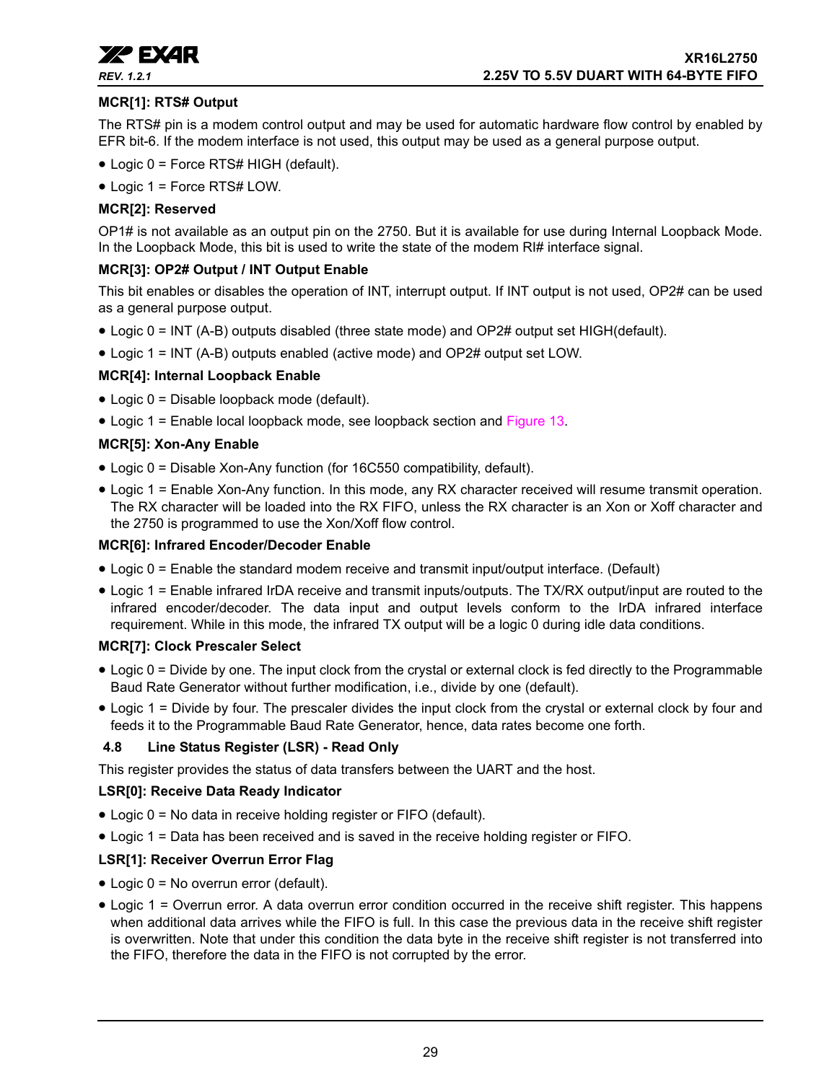

#### **MCR[1]: RTS# Output**

The RTS# pin is a modem control output and may be used for automatic hardware flow control by enabled by EFR bit-6. If the modem interface is not used, this output may be used as a general purpose output.

- Logic 0 = Force RTS# HIGH (default).
- Logic 1 = Force RTS# LOW.

#### **MCR[2]: Reserved**

OP1# is not available as an output pin on the 2750. But it is available for use during Internal Loopback Mode. In the Loopback Mode, this bit is used to write the state of the modem RI# interface signal.

#### **MCR[3]: OP2# Output / INT Output Enable**

This bit enables or disables the operation of INT, interrupt output. If INT output is not used, OP2# can be used as a general purpose output.

- Logic 0 = INT (A-B) outputs disabled (three state mode) and OP2# output set HIGH(default).
- Logic 1 = INT (A-B) outputs enabled (active mode) and OP2# output set LOW.

#### **MCR[4]: Internal Loopback Enable**

- Logic 0 = Disable loopback mode (default).
- Logic 1 = Enable local loopback mode, see loopback section and [Figure](#page-18-0) 13.

#### **MCR[5]: Xon-Any Enable**

- Logic 0 = Disable Xon-Any function (for 16C550 compatibility, default).
- Logic 1 = Enable Xon-Any function. In this mode, any RX character received will resume transmit operation. The RX character will be loaded into the RX FIFO, unless the RX character is an Xon or Xoff character and the 2750 is programmed to use the Xon/Xoff flow control.

#### **MCR[6]: Infrared Encoder/Decoder Enable**

- Logic 0 = Enable the standard modem receive and transmit input/output interface. (Default)
- Logic 1 = Enable infrared IrDA receive and transmit inputs/outputs. The TX/RX output/input are routed to the infrared encoder/decoder. The data input and output levels conform to the IrDA infrared interface requirement. While in this mode, the infrared TX output will be a logic 0 during idle data conditions.

#### **MCR[7]: Clock Prescaler Select**

- Logic 0 = Divide by one. The input clock from the crystal or external clock is fed directly to the Programmable Baud Rate Generator without further modification, i.e., divide by one (default).
- Logic 1 = Divide by four. The prescaler divides the input clock from the crystal or external clock by four and feeds it to the Programmable Baud Rate Generator, hence, data rates become one forth.

#### <span id="page-28-0"></span>**4.8 Line Status Register (LSR) - Read Only**

This register provides the status of data transfers between the UART and the host.

#### **LSR[0]: Receive Data Ready Indicator**

- Logic 0 = No data in receive holding register or FIFO (default).
- Logic 1 = Data has been received and is saved in the receive holding register or FIFO.

#### **LSR[1]: Receiver Overrun Error Flag**

- Logic 0 = No overrun error (default).
- Logic 1 = Overrun error. A data overrun error condition occurred in the receive shift register. This happens when additional data arrives while the FIFO is full. In this case the previous data in the receive shift register is overwritten. Note that under this condition the data byte in the receive shift register is not transferred into the FIFO, therefore the data in the FIFO is not corrupted by the error.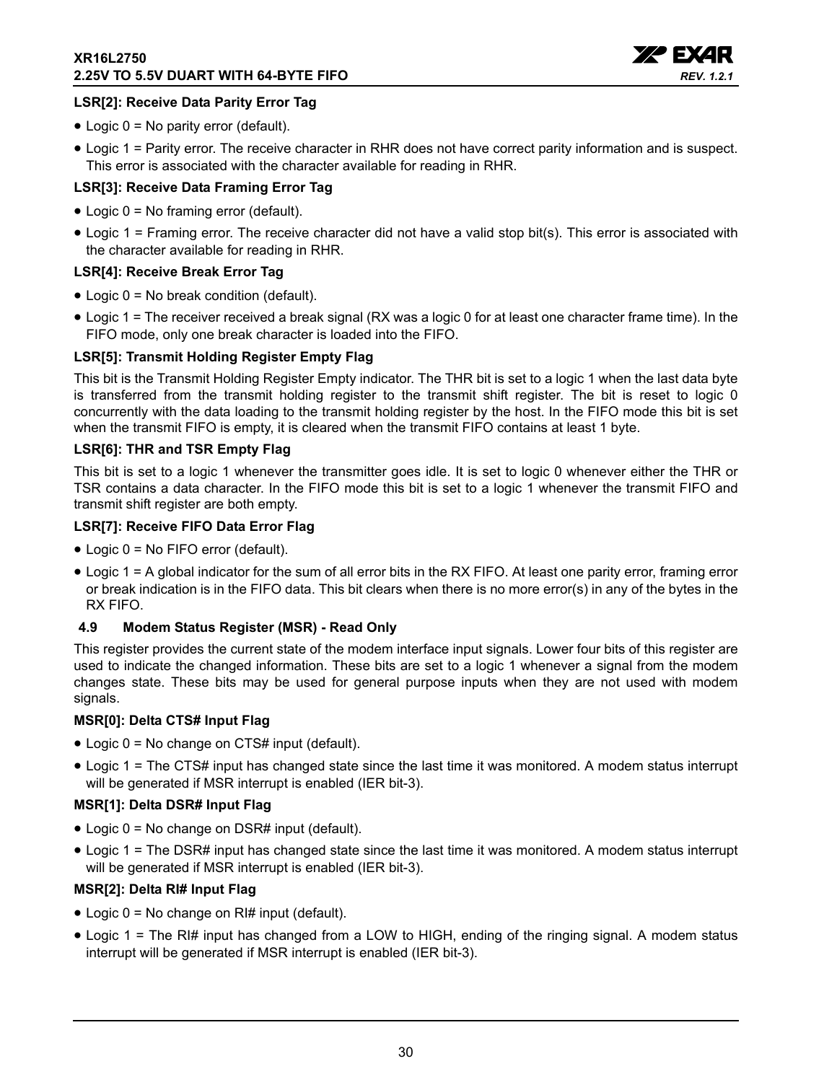

#### **LSR[2]: Receive Data Parity Error Tag**

- Logic 0 = No parity error (default).
- Logic 1 = Parity error. The receive character in RHR does not have correct parity information and is suspect. This error is associated with the character available for reading in RHR.

#### **LSR[3]: Receive Data Framing Error Tag**

- Logic 0 = No framing error (default).
- Logic 1 = Framing error. The receive character did not have a valid stop bit(s). This error is associated with the character available for reading in RHR.

#### **LSR[4]: Receive Break Error Tag**

- Logic 0 = No break condition (default).
- Logic 1 = The receiver received a break signal (RX was a logic 0 for at least one character frame time). In the FIFO mode, only one break character is loaded into the FIFO.

#### **LSR[5]: Transmit Holding Register Empty Flag**

This bit is the Transmit Holding Register Empty indicator. The THR bit is set to a logic 1 when the last data byte is transferred from the transmit holding register to the transmit shift register. The bit is reset to logic 0 concurrently with the data loading to the transmit holding register by the host. In the FIFO mode this bit is set when the transmit FIFO is empty, it is cleared when the transmit FIFO contains at least 1 byte.

#### **LSR[6]: THR and TSR Empty Flag**

This bit is set to a logic 1 whenever the transmitter goes idle. It is set to logic 0 whenever either the THR or TSR contains a data character. In the FIFO mode this bit is set to a logic 1 whenever the transmit FIFO and transmit shift register are both empty.

#### **LSR[7]: Receive FIFO Data Error Flag**

- Logic 0 = No FIFO error (default).
- Logic 1 = A global indicator for the sum of all error bits in the RX FIFO. At least one parity error, framing error or break indication is in the FIFO data. This bit clears when there is no more error(s) in any of the bytes in the RX FIFO.

#### <span id="page-29-0"></span>**4.9 Modem Status Register (MSR) - Read Only**

This register provides the current state of the modem interface input signals. Lower four bits of this register are used to indicate the changed information. These bits are set to a logic 1 whenever a signal from the modem changes state. These bits may be used for general purpose inputs when they are not used with modem signals.

#### **MSR[0]: Delta CTS# Input Flag**

- Logic 0 = No change on CTS# input (default).
- Logic 1 = The CTS# input has changed state since the last time it was monitored. A modem status interrupt will be generated if MSR interrupt is enabled (IER bit-3).

#### **MSR[1]: Delta DSR# Input Flag**

- Logic 0 = No change on DSR# input (default).
- Logic 1 = The DSR# input has changed state since the last time it was monitored. A modem status interrupt will be generated if MSR interrupt is enabled (IER bit-3).

#### **MSR[2]: Delta RI# Input Flag**

- Logic  $0 = No$  change on RI# input (default).
- Logic 1 = The RI# input has changed from a LOW to HIGH, ending of the ringing signal. A modem status interrupt will be generated if MSR interrupt is enabled (IER bit-3).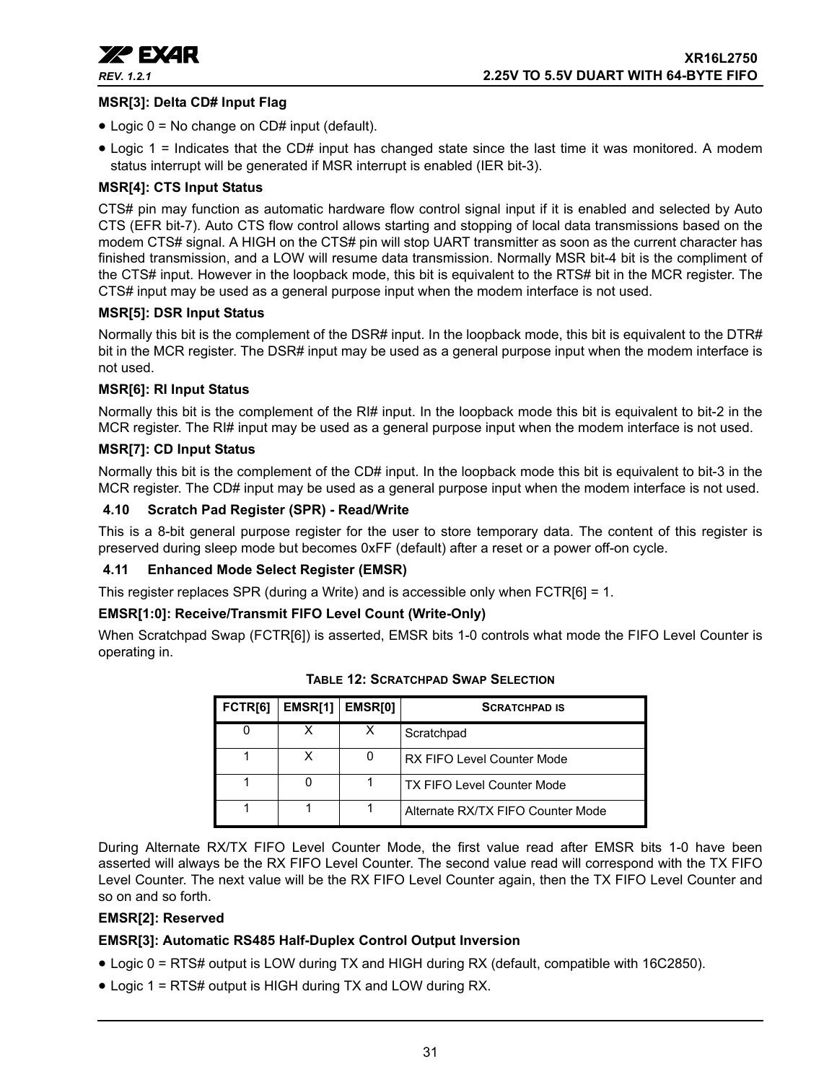

#### **MSR[3]: Delta CD# Input Flag**

- Logic 0 = No change on CD# input (default).
- Logic 1 = Indicates that the CD# input has changed state since the last time it was monitored. A modem status interrupt will be generated if MSR interrupt is enabled (IER bit-3).

#### **MSR[4]: CTS Input Status**

CTS# pin may function as automatic hardware flow control signal input if it is enabled and selected by Auto CTS (EFR bit-7). Auto CTS flow control allows starting and stopping of local data transmissions based on the modem CTS# signal. A HIGH on the CTS# pin will stop UART transmitter as soon as the current character has finished transmission, and a LOW will resume data transmission. Normally MSR bit-4 bit is the compliment of the CTS# input. However in the loopback mode, this bit is equivalent to the RTS# bit in the MCR register. The CTS# input may be used as a general purpose input when the modem interface is not used.

#### **MSR[5]: DSR Input Status**

Normally this bit is the complement of the DSR# input. In the loopback mode, this bit is equivalent to the DTR# bit in the MCR register. The DSR# input may be used as a general purpose input when the modem interface is not used.

#### **MSR[6]: RI Input Status**

Normally this bit is the complement of the RI# input. In the loopback mode this bit is equivalent to bit-2 in the MCR register. The RI# input may be used as a general purpose input when the modem interface is not used.

#### **MSR[7]: CD Input Status**

Normally this bit is the complement of the CD# input. In the loopback mode this bit is equivalent to bit-3 in the MCR register. The CD# input may be used as a general purpose input when the modem interface is not used.

#### <span id="page-30-1"></span>**4.10 Scratch Pad Register (SPR) - Read/Write**

This is a 8-bit general purpose register for the user to store temporary data. The content of this register is preserved during sleep mode but becomes 0xFF (default) after a reset or a power off-on cycle.

#### <span id="page-30-2"></span>**4.11 Enhanced Mode Select Register (EMSR)**

This register replaces SPR (during a Write) and is accessible only when FCTR[6] = 1.

#### **EMSR[1:0]: Receive/Transmit FIFO Level Count (Write-Only)**

<span id="page-30-0"></span>When Scratchpad Swap (FCTR[6]) is asserted, EMSR bits 1-0 controls what mode the FIFO Level Counter is operating in.

| FCTR <sub>[6]</sub> | <b>EMSR[1]</b> | EMSR[0] | <b>SCRATCHPAD IS</b>              |
|---------------------|----------------|---------|-----------------------------------|
|                     |                |         | Scratchpad                        |
|                     | x              |         | <b>RX FIFO Level Counter Mode</b> |
|                     |                |         | <b>TX FIFO Level Counter Mode</b> |
|                     |                |         | Alternate RX/TX FIFO Counter Mode |

#### **TABLE 12: SCRATCHPAD SWAP SELECTION**

During Alternate RX/TX FIFO Level Counter Mode, the first value read after EMSR bits 1-0 have been asserted will always be the RX FIFO Level Counter. The second value read will correspond with the TX FIFO Level Counter. The next value will be the RX FIFO Level Counter again, then the TX FIFO Level Counter and so on and so forth.

#### **EMSR[2]: Reserved**

### **EMSR[3]: Automatic RS485 Half-Duplex Control Output Inversion**

- Logic 0 = RTS# output is LOW during TX and HIGH during RX (default, compatible with 16C2850).
- Logic 1 = RTS# output is HIGH during TX and LOW during RX.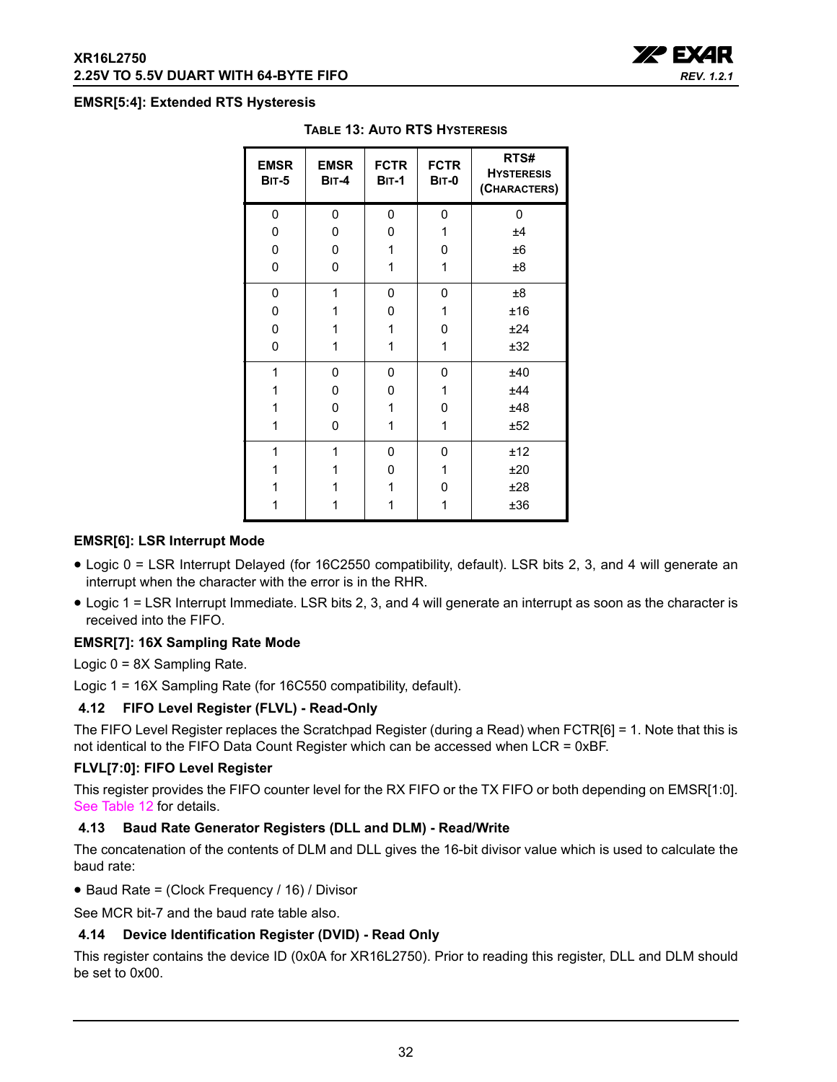#### <span id="page-31-0"></span>**EMSR[5:4]: Extended RTS Hysteresis**

| <b>EMSR</b><br><b>BIT-5</b> | <b>EMSR</b><br>$BIT-4$ | <b>FCTR</b><br><b>BIT-1</b> | <b>FCTR</b><br><b>BIT-0</b> | RTS#<br><b>HYSTERESIS</b><br>(CHARACTERS) |
|-----------------------------|------------------------|-----------------------------|-----------------------------|-------------------------------------------|
| 0                           | 0                      | 0                           | 0                           | 0                                         |
| 0                           | 0                      | 0                           | 1                           | ±4                                        |
| 0                           | 0                      | 1                           | 0                           | ±6                                        |
| 0                           | 0                      | 1                           | 1                           | ±8                                        |
| 0                           | 1                      | 0                           | 0                           | ±8                                        |
| 0                           | 1                      | 0                           | 1                           | ±16                                       |
| 0                           | 1                      | 1                           | 0                           | ±24                                       |
| 0                           | 1                      | 1                           | 1                           | ±32                                       |
| 1                           | 0                      | 0                           | 0                           | ±40                                       |
| 1                           | 0                      | 0                           | 1                           | ±44                                       |
| 1                           | 0                      | 1                           | 0                           | ±48                                       |
| 1                           | 0                      | 1                           | 1                           | ±52                                       |
| 1                           | 1                      | 0                           | 0                           | ±12                                       |
| 1                           | 1                      | 0                           | 1                           | ±20                                       |
| 1                           |                        | 1                           | 0                           | ±28                                       |
|                             |                        | 1                           | 1                           | ±36                                       |

#### **TABLE 13: AUTO RTS HYSTERESIS**

#### **EMSR[6]: LSR Interrupt Mode**

- Logic 0 = LSR Interrupt Delayed (for 16C2550 compatibility, default). LSR bits 2, 3, and 4 will generate an interrupt when the character with the error is in the RHR.
- Logic 1 = LSR Interrupt Immediate. LSR bits 2, 3, and 4 will generate an interrupt as soon as the character is received into the FIFO.

#### **EMSR[7]: 16X Sampling Rate Mode**

Logic 0 = 8X Sampling Rate.

Logic 1 = 16X Sampling Rate (for 16C550 compatibility, default).

#### <span id="page-31-1"></span>**4.12 FIFO Level Register (FLVL) - Read-Only**

The FIFO Level Register replaces the Scratchpad Register (during a Read) when FCTR[6] = 1. Note that this is not identical to the FIFO Data Count Register which can be accessed when LCR = 0xBF.

#### **FLVL[7:0]: FIFO Level Register**

This register provides the FIFO counter level for the RX FIFO or the TX FIFO or both depending on EMSR[1:0]. [See Table](#page-30-0) 12 for details.

#### <span id="page-31-2"></span>**4.13 Baud Rate Generator Registers (DLL and DLM) - Read/Write**

The concatenation of the contents of DLM and DLL gives the 16-bit divisor value which is used to calculate the baud rate:

• Baud Rate = (Clock Frequency / 16) / Divisor

See MCR bit-7 and the baud rate table also.

#### <span id="page-31-3"></span>**4.14 Device Identification Register (DVID) - Read Only**

This register contains the device ID (0x0A for XR16L2750). Prior to reading this register, DLL and DLM should be set to 0x00.

**XA BYAR** 

*REV. 1.2.1*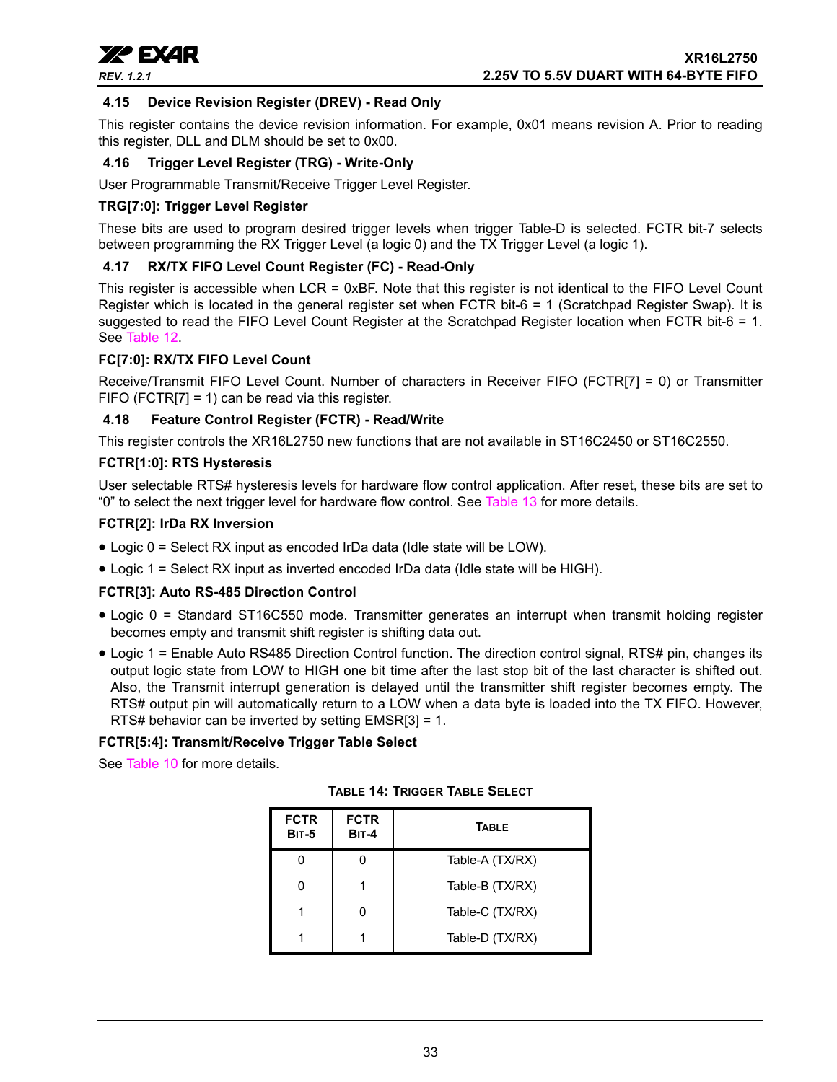

#### <span id="page-32-1"></span>**4.15 Device Revision Register (DREV) - Read Only**

This register contains the device revision information. For example, 0x01 means revision A. Prior to reading this register, DLL and DLM should be set to 0x00.

#### <span id="page-32-2"></span>**4.16 Trigger Level Register (TRG) - Write-Only**

User Programmable Transmit/Receive Trigger Level Register.

#### **TRG[7:0]: Trigger Level Register**

These bits are used to program desired trigger levels when trigger Table-D is selected. FCTR bit-7 selects between programming the RX Trigger Level (a logic 0) and the TX Trigger Level (a logic 1).

#### <span id="page-32-3"></span>**4.17 RX/TX FIFO Level Count Register (FC) - Read-Only**

This register is accessible when LCR = 0xBF. Note that this register is not identical to the FIFO Level Count Register which is located in the general register set when FCTR bit-6 = 1 (Scratchpad Register Swap). It is suggested to read the FIFO Level Count Register at the Scratchpad Register location when FCTR bit-6 = 1. See [Table](#page-30-0) 12.

#### **FC[7:0]: RX/TX FIFO Level Count**

Receive/Transmit FIFO Level Count. Number of characters in Receiver FIFO (FCTR[7] = 0) or Transmitter FIFO (FCTR[7] = 1) can be read via this register.

#### <span id="page-32-4"></span>**4.18 Feature Control Register (FCTR) - Read/Write**

This register controls the XR16L2750 new functions that are not available in ST16C2450 or ST16C2550.

#### **FCTR[1:0]: RTS Hysteresis**

User selectable RTS# hysteresis levels for hardware flow control application. After reset, these bits are set to "0" to select the next trigger level for hardware flow control. See [Table](#page-31-0) 13 for more details.

#### **FCTR[2]: IrDa RX Inversion**

- Logic 0 = Select RX input as encoded IrDa data (Idle state will be LOW).
- Logic 1 = Select RX input as inverted encoded IrDa data (Idle state will be HIGH).

#### **FCTR[3]: Auto RS-485 Direction Control**

- Logic 0 = Standard ST16C550 mode. Transmitter generates an interrupt when transmit holding register becomes empty and transmit shift register is shifting data out.
- Logic 1 = Enable Auto RS485 Direction Control function. The direction control signal, RTS# pin, changes its output logic state from LOW to HIGH one bit time after the last stop bit of the last character is shifted out. Also, the Transmit interrupt generation is delayed until the transmitter shift register becomes empty. The RTS# output pin will automatically return to a LOW when a data byte is loaded into the TX FIFO. However, RTS# behavior can be inverted by setting EMSR[3] = 1.

#### **FCTR[5:4]: Transmit/Receive Trigger Table Select**

<span id="page-32-0"></span>See [Table](#page-25-0) 10 for more details.

| <b>FCTR</b><br><b>BIT-5</b> | <b>FCTR</b><br><b>BIT-4</b> | <b>TABLE</b>    |
|-----------------------------|-----------------------------|-----------------|
|                             |                             | Table-A (TX/RX) |
|                             |                             | Table-B (TX/RX) |
|                             |                             | Table-C (TX/RX) |
|                             |                             | Table-D (TX/RX) |

**TABLE 14: TRIGGER TABLE SELECT**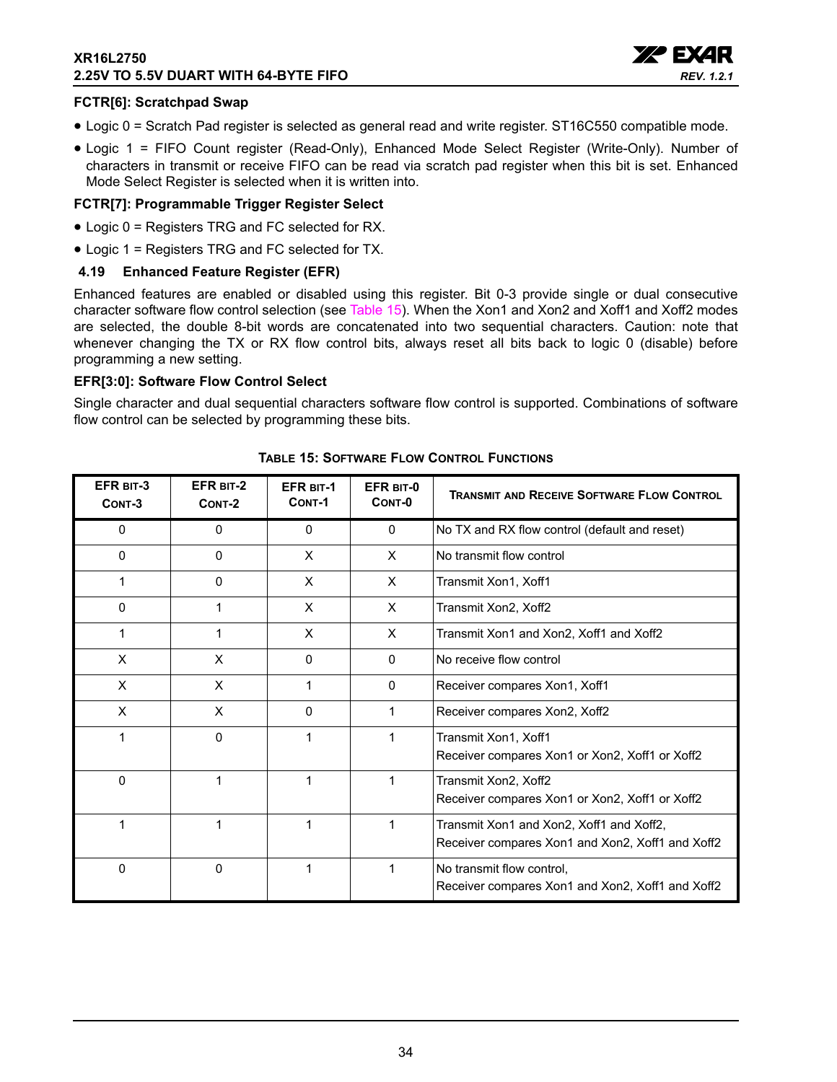#### **XR16L2750 2.25V TO 5.5V DUART WITH 64-BYTE FIFO**



#### **FCTR[6]: Scratchpad Swap**

- Logic 0 = Scratch Pad register is selected as general read and write register. ST16C550 compatible mode.
- Logic 1 = FIFO Count register (Read-Only), Enhanced Mode Select Register (Write-Only). Number of characters in transmit or receive FIFO can be read via scratch pad register when this bit is set. Enhanced Mode Select Register is selected when it is written into.

#### **FCTR[7]: Programmable Trigger Register Select**

- Logic 0 = Registers TRG and FC selected for RX.
- Logic 1 = Registers TRG and FC selected for TX.

#### <span id="page-33-1"></span>**4.19 Enhanced Feature Register (EFR)**

Enhanced features are enabled or disabled using this register. Bit 0-3 provide single or dual consecutive character software flow control selection (see [Table](#page-33-0) 15). When the Xon1 and Xon2 and Xoff1 and Xoff2 modes are selected, the double 8-bit words are concatenated into two sequential characters. Caution: note that whenever changing the TX or RX flow control bits, always reset all bits back to logic 0 (disable) before programming a new setting.

#### **EFR[3:0]: Software Flow Control Select**

Single character and dual sequential characters software flow control is supported. Combinations of software flow control can be selected by programming these bits.

<span id="page-33-0"></span>

| EFR BIT-3<br>CONT-3 | EFR BIT-2<br>CONT-2 | <b>EFR BIT-1</b><br>CONT-1 | EFR BIT-0<br>CONT-0 | <b>TRANSMIT AND RECEIVE SOFTWARE FLOW CONTROL</b>                                            |
|---------------------|---------------------|----------------------------|---------------------|----------------------------------------------------------------------------------------------|
| 0                   | 0                   | 0                          | $\mathbf{0}$        | No TX and RX flow control (default and reset)                                                |
| 0                   | $\mathbf{0}$        | X                          | X                   | No transmit flow control                                                                     |
| 1                   | 0                   | X                          | X                   | Transmit Xon1, Xoff1                                                                         |
| 0                   | 1                   | X                          | X.                  | Transmit Xon2, Xoff2                                                                         |
| 1                   | 1                   | X                          | X                   | Transmit Xon1 and Xon2, Xoff1 and Xoff2                                                      |
| X                   | X                   | 0                          | $\Omega$            | No receive flow control                                                                      |
| X                   | X                   | 1                          | $\mathbf{0}$        | Receiver compares Xon1, Xoff1                                                                |
| X                   | X                   | 0                          |                     | Receiver compares Xon2, Xoff2                                                                |
| 1                   | $\mathbf 0$         | 1                          | 1                   | Transmit Xon1, Xoff1<br>Receiver compares Xon1 or Xon2, Xoff1 or Xoff2                       |
| $\Omega$            | 1                   | 1                          | 1                   | Transmit Xon2, Xoff2<br>Receiver compares Xon1 or Xon2, Xoff1 or Xoff2                       |
| 1                   | 1                   | 1                          | 1                   | Transmit Xon1 and Xon2, Xoff1 and Xoff2,<br>Receiver compares Xon1 and Xon2, Xoff1 and Xoff2 |
| $\mathbf 0$         | $\mathbf 0$         | 1                          | 1                   | No transmit flow control,<br>Receiver compares Xon1 and Xon2, Xoff1 and Xoff2                |

#### **TABLE 15: SOFTWARE FLOW CONTROL FUNCTIONS**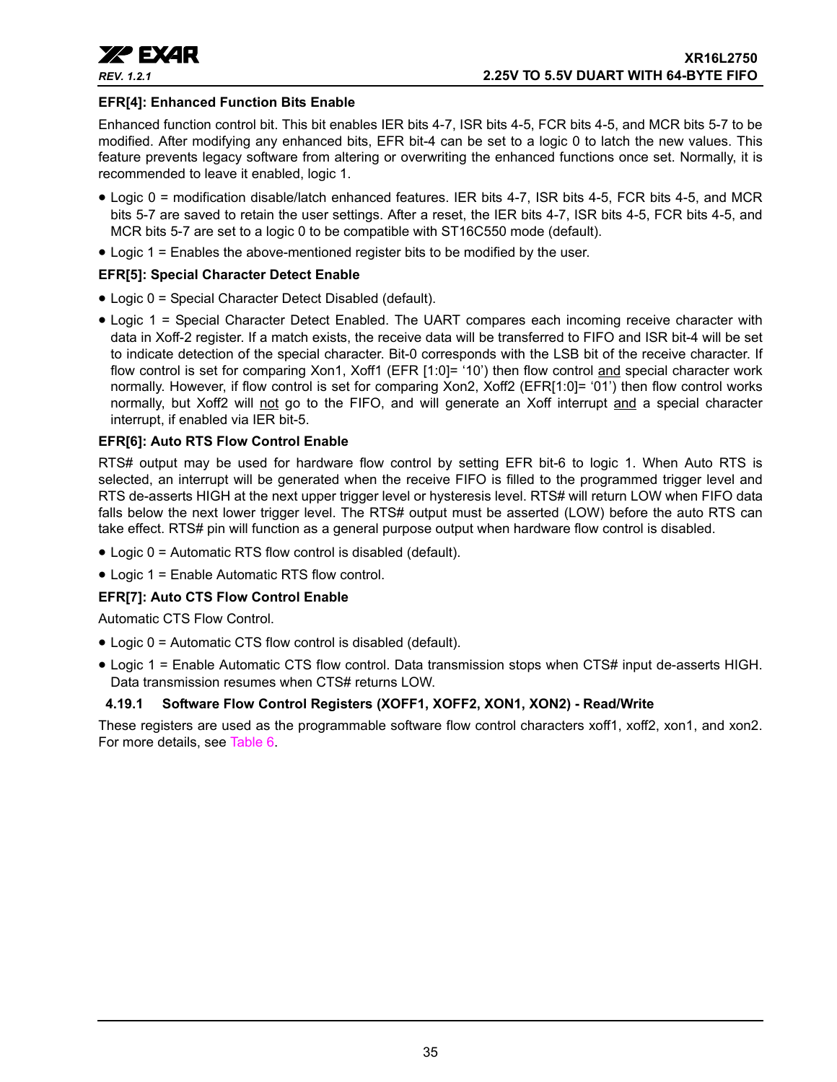

#### **EFR[4]: Enhanced Function Bits Enable**

Enhanced function control bit. This bit enables IER bits 4-7, ISR bits 4-5, FCR bits 4-5, and MCR bits 5-7 to be modified. After modifying any enhanced bits, EFR bit-4 can be set to a logic 0 to latch the new values. This feature prevents legacy software from altering or overwriting the enhanced functions once set. Normally, it is recommended to leave it enabled, logic 1.

- Logic 0 = modification disable/latch enhanced features. IER bits 4-7, ISR bits 4-5, FCR bits 4-5, and MCR bits 5-7 are saved to retain the user settings. After a reset, the IER bits 4-7, ISR bits 4-5, FCR bits 4-5, and MCR bits 5-7 are set to a logic 0 to be compatible with ST16C550 mode (default).
- Logic 1 = Enables the above-mentioned register bits to be modified by the user.

#### **EFR[5]: Special Character Detect Enable**

- Logic 0 = Special Character Detect Disabled (default).
- Logic 1 = Special Character Detect Enabled. The UART compares each incoming receive character with data in Xoff-2 register. If a match exists, the receive data will be transferred to FIFO and ISR bit-4 will be set to indicate detection of the special character. Bit-0 corresponds with the LSB bit of the receive character. If flow control is set for comparing Xon1, Xoff1 (EFR [1:0]= '10') then flow control and special character work normally. However, if flow control is set for comparing Xon2, Xoff2 (EFR[1:0]= '01') then flow control works normally, but Xoff2 will not go to the FIFO, and will generate an Xoff interrupt and a special character interrupt, if enabled via IER bit-5.

#### **EFR[6]: Auto RTS Flow Control Enable**

RTS# output may be used for hardware flow control by setting EFR bit-6 to logic 1. When Auto RTS is selected, an interrupt will be generated when the receive FIFO is filled to the programmed trigger level and RTS de-asserts HIGH at the next upper trigger level or hysteresis level. RTS# will return LOW when FIFO data falls below the next lower trigger level. The RTS# output must be asserted (LOW) before the auto RTS can take effect. RTS# pin will function as a general purpose output when hardware flow control is disabled.

- Logic 0 = Automatic RTS flow control is disabled (default).
- Logic 1 = Enable Automatic RTS flow control.

#### **EFR[7]: Auto CTS Flow Control Enable**

Automatic CTS Flow Control.

- Logic 0 = Automatic CTS flow control is disabled (default).
- Logic 1 = Enable Automatic CTS flow control. Data transmission stops when CTS# input de-asserts HIGH. Data transmission resumes when CTS# returns LOW.

#### <span id="page-34-0"></span>**4.19.1 Software Flow Control Registers (XOFF1, XOFF2, XON1, XON2) - Read/Write**

These registers are used as the programmable software flow control characters xoff1, xoff2, xon1, and xon2. For more details, see [Table](#page-15-0) 6.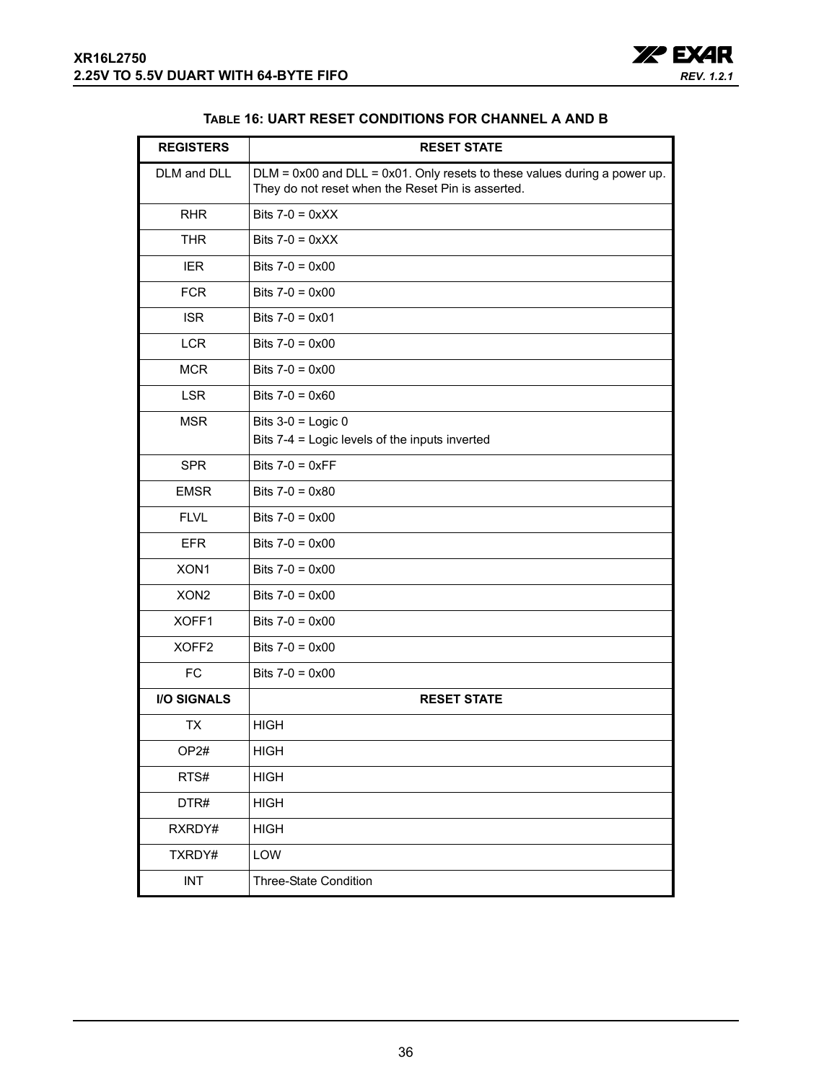

| TABLE 16: UART RESET CONDITIONS FOR CHANNEL A AND B |  |  |
|-----------------------------------------------------|--|--|
|-----------------------------------------------------|--|--|

<span id="page-35-0"></span>

| <b>REGISTERS</b>   | <b>RESET STATE</b>                                                                                                                  |
|--------------------|-------------------------------------------------------------------------------------------------------------------------------------|
| DLM and DLL        | $DLM = 0x00$ and $DLL = 0x01$ . Only resets to these values during a power up.<br>They do not reset when the Reset Pin is asserted. |
| <b>RHR</b>         | Bits $7-0 = 0 \times X$                                                                                                             |
| <b>THR</b>         | Bits $7-0 = 0 \times XX$                                                                                                            |
| <b>IER</b>         | Bits $7-0 = 0 \times 00$                                                                                                            |
| <b>FCR</b>         | Bits $7-0 = 0 \times 00$                                                                                                            |
| <b>ISR</b>         | Bits $7-0 = 0 \times 01$                                                                                                            |
| <b>LCR</b>         | Bits $7-0 = 0 \times 00$                                                                                                            |
| <b>MCR</b>         | Bits $7-0 = 0 \times 00$                                                                                                            |
| <b>LSR</b>         | Bits $7-0 = 0 \times 60$                                                                                                            |
| <b>MSR</b>         | Bits $3-0$ = Logic 0<br>Bits 7-4 = Logic levels of the inputs inverted                                                              |
| <b>SPR</b>         | Bits $7-0 = 0 \times FF$                                                                                                            |
| <b>EMSR</b>        | Bits $7-0 = 0 \times 80$                                                                                                            |
| <b>FLVL</b>        | Bits $7-0 = 0 \times 00$                                                                                                            |
| <b>EFR</b>         | Bits $7-0 = 0 \times 00$                                                                                                            |
| XON <sub>1</sub>   | Bits $7-0 = 0 \times 00$                                                                                                            |
| XON <sub>2</sub>   | Bits $7-0 = 0 \times 00$                                                                                                            |
| XOFF1              | Bits $7-0 = 0 \times 00$                                                                                                            |
| XOFF <sub>2</sub>  | Bits $7-0 = 0 \times 00$                                                                                                            |
| <b>FC</b>          | Bits $7-0 = 0 \times 00$                                                                                                            |
| <b>I/O SIGNALS</b> | <b>RESET STATE</b>                                                                                                                  |
| ТX                 | <b>HIGH</b>                                                                                                                         |
| OP2#               | <b>HIGH</b>                                                                                                                         |
| RTS#               | <b>HIGH</b>                                                                                                                         |
| DTR#               | <b>HIGH</b>                                                                                                                         |
| RXRDY#             | <b>HIGH</b>                                                                                                                         |
| TXRDY#             | LOW                                                                                                                                 |
| <b>INT</b>         | Three-State Condition                                                                                                               |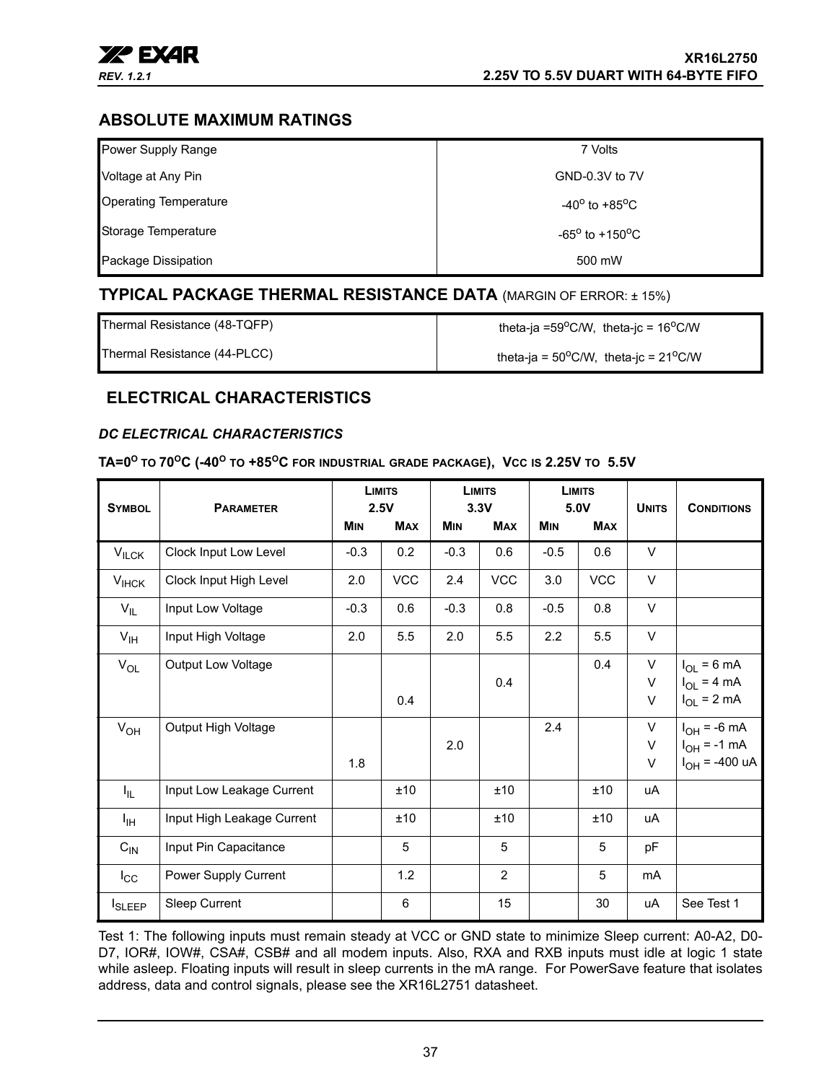

## <span id="page-36-1"></span>**ABSOLUTE MAXIMUM RATINGS**

| Power Supply Range           | 7 Volts                           |
|------------------------------|-----------------------------------|
| Voltage at Any Pin           | GND-0.3V to 7V                    |
| <b>Operating Temperature</b> | $-40^{\circ}$ to $+85^{\circ}$ C  |
| Storage Temperature          | $-65^{\circ}$ to $+150^{\circ}$ C |
| Package Dissipation          | 500 mW                            |

## <span id="page-36-2"></span>**TYPICAL PACKAGE THERMAL RESISTANCE DATA** (MARGIN OF ERROR: ± 15%)

Thermal Resistance (48-TQFP)  $\qquad \qquad$  theta-ja =59<sup>o</sup>C/W, theta-jc = 16<sup>o</sup>C/W

Thermal Resistance (44-PLCC)  $\qquad \qquad$  theta-ja = 50<sup>o</sup>C/W, theta-jc = 21<sup>o</sup>C/W

## <span id="page-36-3"></span>**ELECTRICAL CHARACTERISTICS**

#### <span id="page-36-0"></span>*DC ELECTRICAL CHARACTERISTICS*

<span id="page-36-4"></span>**TA=0O TO 70OC (-40O TO +85OC FOR INDUSTRIAL GRADE PACKAGE), VCC IS 2.25V TO 5.5V**

| <b>SYMBOL</b>   | <b>PARAMETER</b>           |            | <b>LIMITS</b><br>2.5V |            | <b>LIMITS</b><br>3.3V |            | <b>LIMITS</b><br>5.0V | <b>UNITS</b>      | <b>CONDITIONS</b>                                          |
|-----------------|----------------------------|------------|-----------------------|------------|-----------------------|------------|-----------------------|-------------------|------------------------------------------------------------|
|                 |                            | <b>MIN</b> | <b>MAX</b>            | <b>MIN</b> | <b>MAX</b>            | <b>MIN</b> | <b>MAX</b>            |                   |                                                            |
| $V_{ILCK}$      | Clock Input Low Level      | $-0.3$     | 0.2                   | $-0.3$     | 0.6                   | $-0.5$     | 0.6                   | V                 |                                                            |
| $V_{IHCK}$      | Clock Input High Level     | 2.0        | <b>VCC</b>            | 2.4        | <b>VCC</b>            | 3.0        | <b>VCC</b>            | $\vee$            |                                                            |
| $V_{IL}$        | Input Low Voltage          | $-0.3$     | 0.6                   | $-0.3$     | 0.8                   | $-0.5$     | 0.8                   | $\vee$            |                                                            |
| $V_{\text{IH}}$ | Input High Voltage         | 2.0        | 5.5                   | 2.0        | 5.5                   | 2.2        | 5.5                   | $\vee$            |                                                            |
| $V_{OL}$        | <b>Output Low Voltage</b>  |            | 0.4                   |            | 0.4                   |            | 0.4                   | V<br>V<br>$\sf V$ | $I_{OL}$ = 6 mA<br>$I_{OL}$ = 4 mA<br>$I_{OL}$ = 2 mA      |
| $V_{OH}$        | Output High Voltage        | 1.8        |                       | 2.0        |                       | 2.4        |                       | V<br>V<br>V       | $I_{OH}$ = -6 mA<br>$I_{OH}$ = -1 mA<br>$I_{OH}$ = -400 uA |
| I <sub>IL</sub> | Input Low Leakage Current  |            | ±10                   |            | ±10                   |            | ±10                   | uA                |                                                            |
| ŀщ              | Input High Leakage Current |            | ±10                   |            | ±10                   |            | ±10                   | <b>uA</b>         |                                                            |
| $C_{\text{IN}}$ | Input Pin Capacitance      |            | 5                     |            | 5                     |            | 5                     | рF                |                                                            |
| $I_{\rm CC}$    | Power Supply Current       |            | 1.2                   |            | $\overline{2}$        |            | 5                     | mA                |                                                            |
| <b>I</b> SLEEP  | Sleep Current              |            | 6                     |            | 15                    |            | 30                    | <b>uA</b>         | See Test 1                                                 |

Test 1: The following inputs must remain steady at VCC or GND state to minimize Sleep current: A0-A2, D0- D7, IOR#, IOW#, CSA#, CSB# and all modem inputs. Also, RXA and RXB inputs must idle at logic 1 state while asleep. Floating inputs will result in sleep currents in the mA range. For PowerSave feature that isolates address, data and control signals, please see the XR16L2751 datasheet.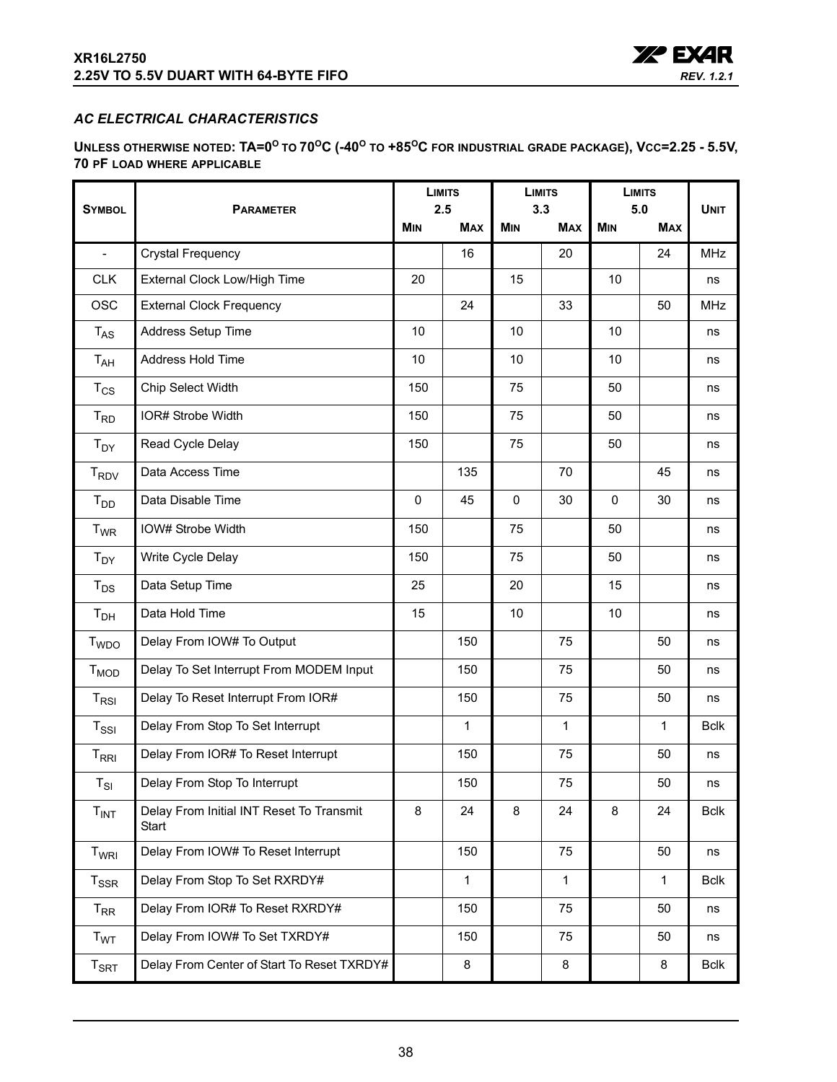

### <span id="page-37-0"></span>*AC ELECTRICAL CHARACTERISTICS*

<span id="page-37-1"></span>**UNLESS OTHERWISE NOTED: TA=0<sup>O</sup> TO 70OC (-40O TO +85OC FOR INDUSTRIAL GRADE PACKAGE), VCC=2.25 - 5.5V, 70 PF LOAD WHERE APPLICABLE**

|                             | <b>PARAMETER</b>                                  |             | <b>LIMITS</b><br>2.5 |             | <b>LIMITS</b>     |                   | <b>LIMITS</b> |             |
|-----------------------------|---------------------------------------------------|-------------|----------------------|-------------|-------------------|-------------------|---------------|-------------|
| <b>SYMBOL</b>               |                                                   |             | <b>MAX</b>           | <b>MIN</b>  | 3.3<br><b>MAX</b> | 5.0<br><b>MIN</b> | <b>MAX</b>    | <b>UNIT</b> |
| $\blacksquare$              | <b>Crystal Frequency</b>                          |             | 16                   |             | 20                |                   | 24            | <b>MHz</b>  |
| <b>CLK</b>                  | External Clock Low/High Time                      | 20          |                      | 15          |                   | 10                |               | ns          |
| <b>OSC</b>                  | <b>External Clock Frequency</b>                   |             | 24                   |             | 33                |                   | 50            | <b>MHz</b>  |
| $T_{AS}$                    | Address Setup Time                                | 10          |                      | 10          |                   | 10                |               | ns          |
| $T_{AH}$                    | Address Hold Time                                 | 10          |                      | 10          |                   | 10                |               | ns          |
| $T_{CS}$                    | Chip Select Width                                 | 150         |                      | 75          |                   | 50                |               | ns          |
| $T_{RD}$                    | IOR# Strobe Width                                 | 150         |                      | 75          |                   | 50                |               | ns          |
| $T_{DY}$                    | Read Cycle Delay                                  | 150         |                      | 75          |                   | 50                |               | ns          |
| <b>T<sub>RDV</sub></b>      | Data Access Time                                  |             | 135                  |             | 70                |                   | 45            | ns          |
| $T_{DD}$                    | Data Disable Time                                 | $\mathbf 0$ | 45                   | $\mathbf 0$ | 30                | $\mathbf 0$       | 30            | ns          |
| $T_{WR}$                    | IOW# Strobe Width                                 | 150         |                      | 75          |                   | 50                |               | ns          |
| $T_{DY}$                    | Write Cycle Delay                                 | 150         |                      | 75          |                   | 50                |               | ns          |
| $T_{DS}$                    | Data Setup Time                                   | 25          |                      | 20          |                   | 15                |               | ns          |
| T <sub>DH</sub>             | Data Hold Time                                    | 15          |                      | 10          |                   | 10                |               | ns          |
| <b>T</b> <sub>WDO</sub>     | Delay From IOW# To Output                         |             | 150                  |             | 75                |                   | 50            | ns          |
| $T_{MOD}$                   | Delay To Set Interrupt From MODEM Input           |             | 150                  |             | 75                |                   | 50            | ns          |
| $T_{RSI}$                   | Delay To Reset Interrupt From IOR#                |             | 150                  |             | 75                |                   | 50            | ns          |
| $T_{\rm SSI}$               | Delay From Stop To Set Interrupt                  |             | 1                    |             | $\mathbf{1}$      |                   | $\mathbf{1}$  | <b>Bclk</b> |
| $T_{\rm RRI}$               | Delay From IOR# To Reset Interrupt                |             | 150                  |             | 75                |                   | 50            | ns          |
| $T_{SI}$                    | Delay From Stop To Interrupt                      |             | 150                  |             | 75                |                   | 50            | ns          |
| T <sub>INT</sub>            | Delay From Initial INT Reset To Transmit<br>Start | 8           | 24                   | 8           | 24                | 8                 | 24            | <b>Bclk</b> |
| T <sub>WRI</sub>            | Delay From IOW# To Reset Interrupt                |             | 150                  |             | 75                |                   | 50            | ns          |
| $T_{SSR}$                   | Delay From Stop To Set RXRDY#                     |             | $\mathbf{1}$         |             | $\mathbf{1}$      |                   | $\mathbf{1}$  | <b>Bclk</b> |
| $T_{\sf RR}$                | Delay From IOR# To Reset RXRDY#                   |             | 150                  |             | 75                |                   | 50            | ns          |
| <b>T<sub>WT</sub></b>       | Delay From IOW# To Set TXRDY#                     |             | 150                  |             | 75                |                   | 50            | ns          |
| $\mathsf{T}_{\mathsf{SRT}}$ | Delay From Center of Start To Reset TXRDY#        |             | 8                    |             | 8                 |                   | 8             | <b>Bclk</b> |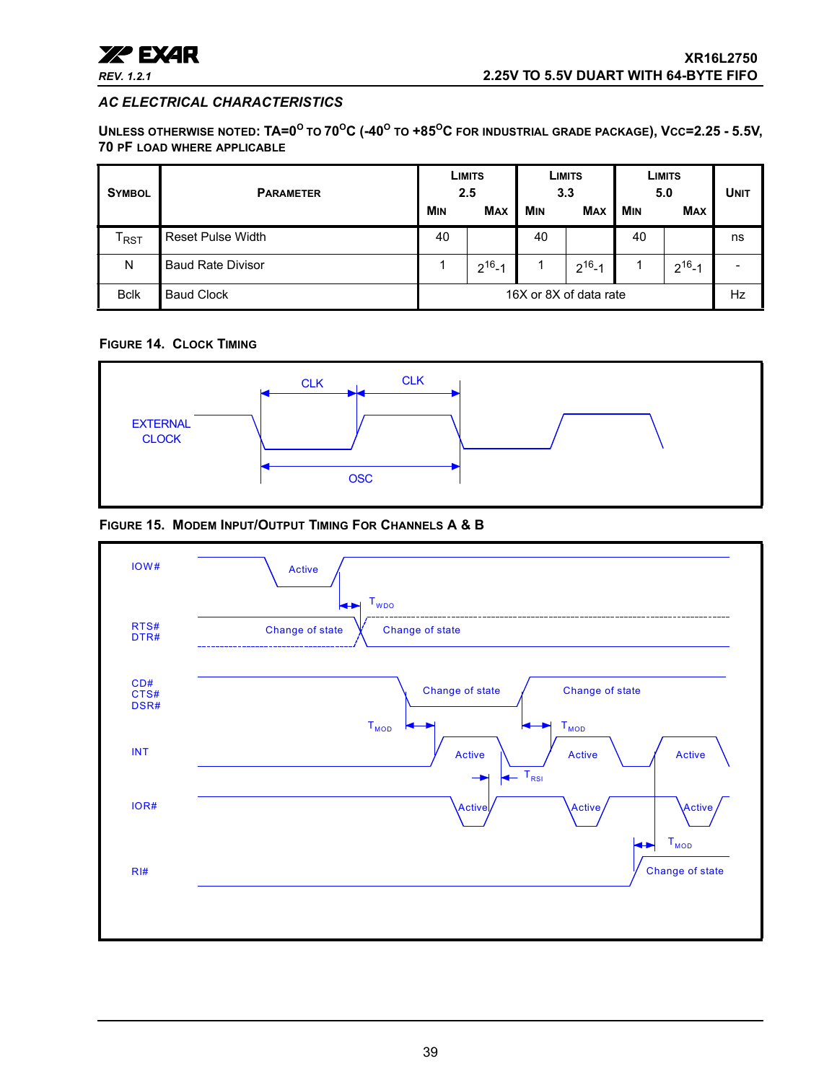

#### *AC ELECTRICAL CHARACTERISTICS*

**UNLESS OTHERWISE NOTED: TA=0<sup>O</sup> TO 70OC (-40O TO +85OC FOR INDUSTRIAL GRADE PACKAGE), VCC=2.25 - 5.5V, 70 PF LOAD WHERE APPLICABLE**

| <b>SYMBOL</b> | <b>PARAMETER</b>         |                        | LIMITS<br>2.5 | 3.3        | LIMITS       |            | LIMITS<br>5.0 | <b>UNIT</b> |
|---------------|--------------------------|------------------------|---------------|------------|--------------|------------|---------------|-------------|
|               |                          | <b>MIN</b>             | <b>MAX</b>    | <b>MIN</b> | <b>MAX</b>   | <b>MIN</b> | <b>MAX</b>    |             |
| l RST         | <b>Reset Pulse Width</b> | 40                     |               | 40         |              | 40         |               | ns          |
| N             | <b>Baud Rate Divisor</b> |                        | $2^{16} - 1$  |            | $2^{16} - 1$ |            | $2^{16} - 1$  |             |
| <b>Bclk</b>   | <b>Baud Clock</b>        | 16X or 8X of data rate |               |            |              | Hz         |               |             |

#### <span id="page-38-0"></span>**FIGURE 14. CLOCK TIMING**



#### <span id="page-38-1"></span>**FIGURE 15. MODEM INPUT/OUTPUT TIMING FOR CHANNELS A & B**

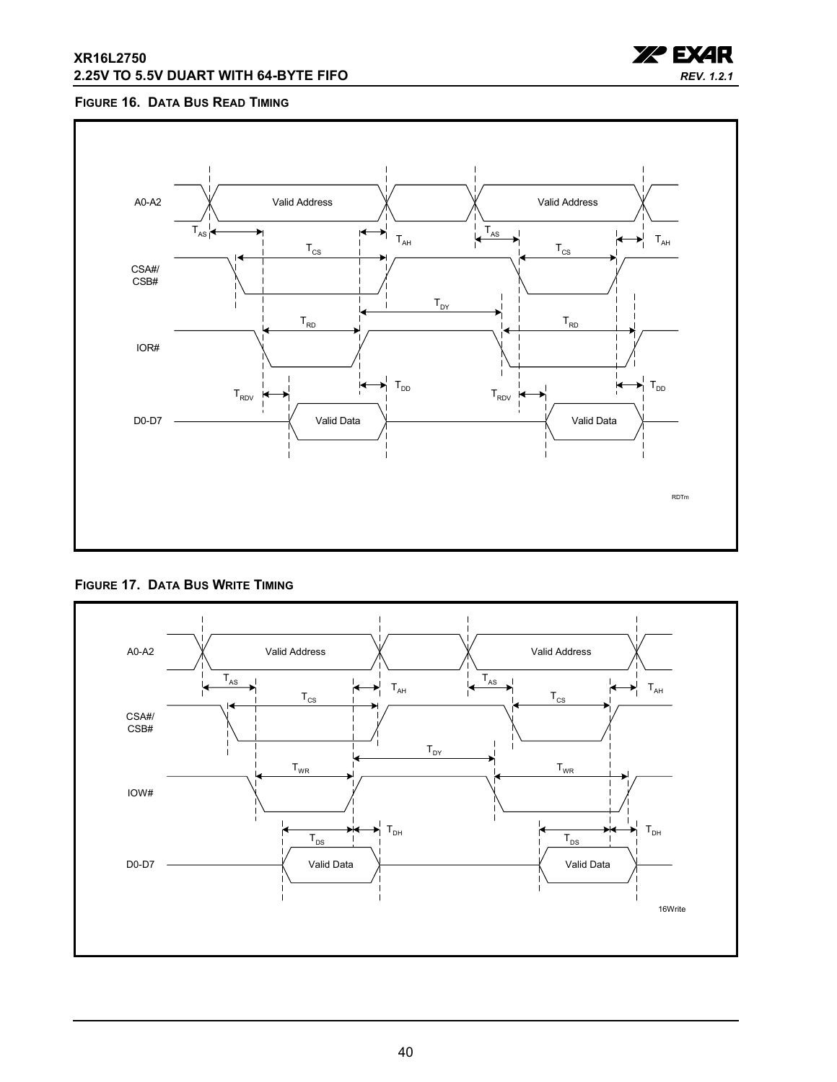#### **XR16L2750 2.25V TO 5.5V DUART WITH 64-BYTE FIFO**



#### <span id="page-39-1"></span>**FIGURE 16. DATA BUS READ TIMING**



<span id="page-39-0"></span>**FIGURE 17. DATA BUS WRITE TIMING**

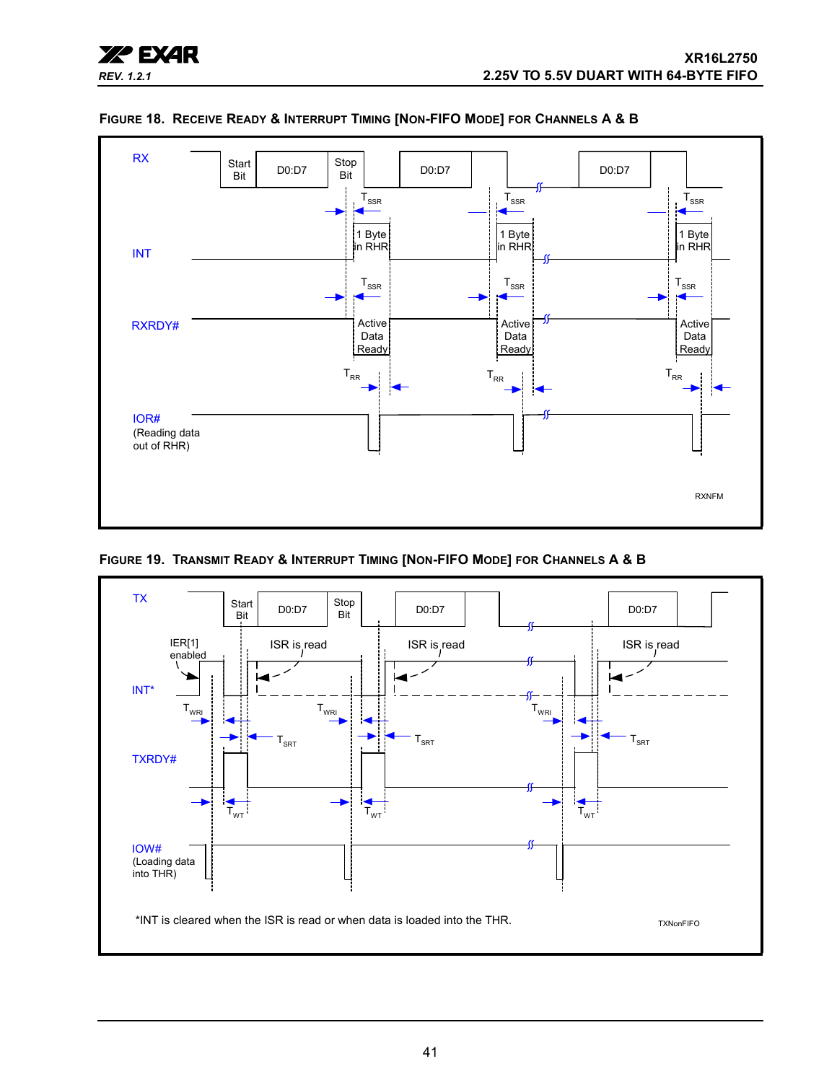



#### <span id="page-40-0"></span>**FIGURE 18. RECEIVE READY & INTERRUPT TIMING [NON-FIFO MODE] FOR CHANNELS A & B**

<span id="page-40-1"></span>**FIGURE 19. TRANSMIT READY & INTERRUPT TIMING [NON-FIFO MODE] FOR CHANNELS A & B**

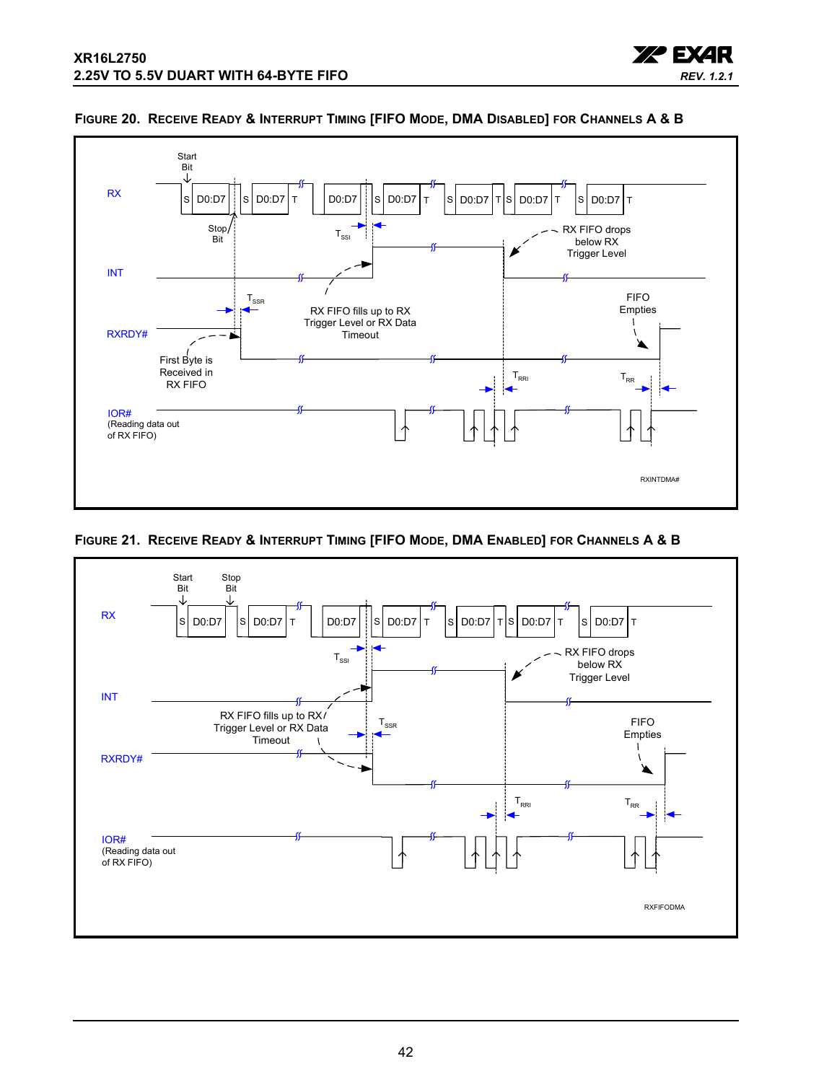



#### <span id="page-41-0"></span>**FIGURE 20. RECEIVE READY & INTERRUPT TIMING [FIFO MODE, DMA DISABLED] FOR CHANNELS A & B**

<span id="page-41-1"></span>

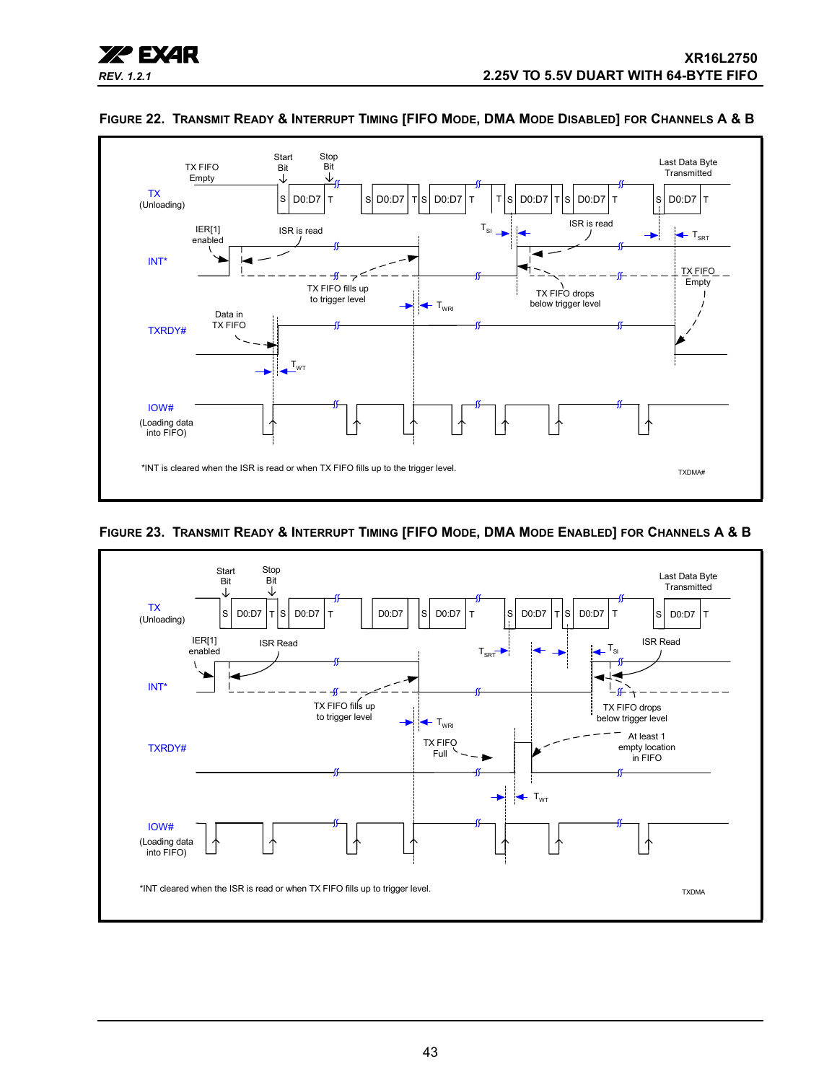



#### <span id="page-42-1"></span>**FIGURE 22. TRANSMIT READY & INTERRUPT TIMING [FIFO MODE, DMA MODE DISABLED] FOR CHANNELS A & B**

#### <span id="page-42-0"></span>**FIGURE 23. TRANSMIT READY & INTERRUPT TIMING [FIFO MODE, DMA MODE ENABLED] FOR CHANNELS A & B**

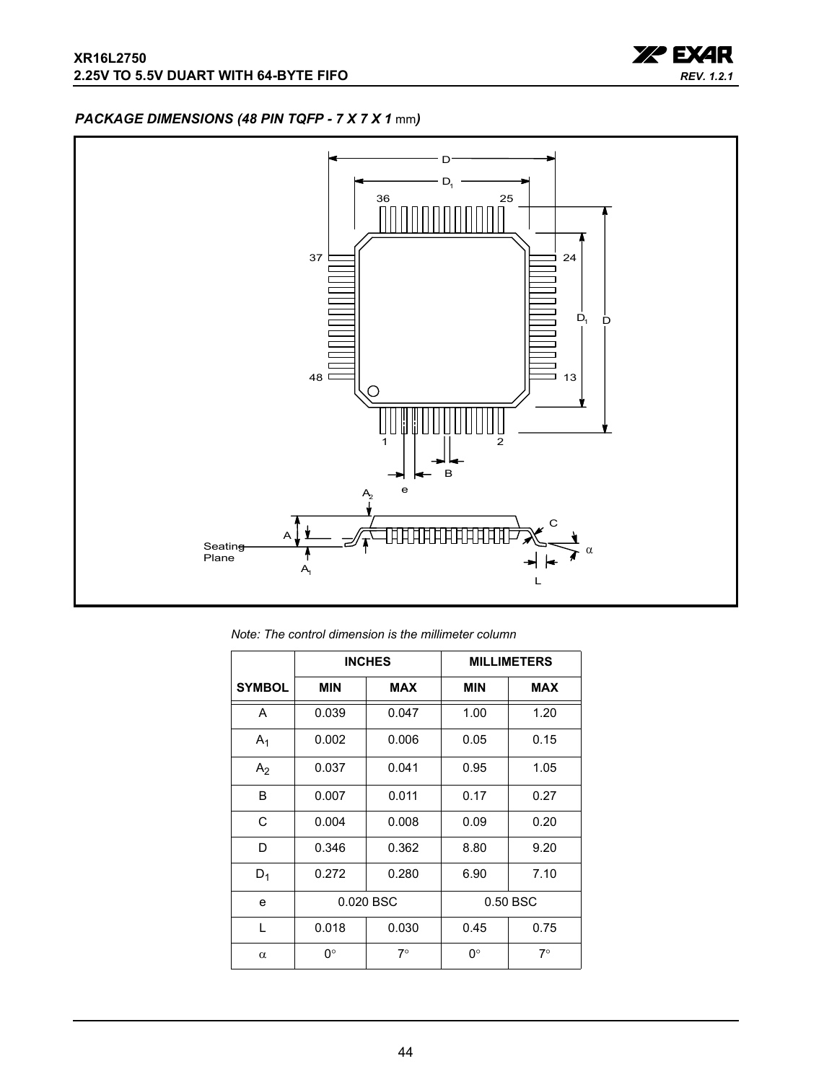

## <span id="page-43-0"></span>*PACKAGE DIMENSIONS (48 PIN TQFP - 7 X 7 X 1* mm*)*



*Note: The control dimension is the millimeter column*

|                |            | <b>INCHES</b> |            | <b>MILLIMETERS</b> |
|----------------|------------|---------------|------------|--------------------|
| <b>SYMBOL</b>  | <b>MIN</b> | <b>MAX</b>    | <b>MIN</b> | <b>MAX</b>         |
| A              | 0.039      | 0.047         | 1.00       | 1.20               |
| $A_1$          | 0.002      | 0.006         | 0.05       | 0.15               |
| A <sub>2</sub> | 0.037      | 0.041         | 0.95       | 1.05               |
| B              | 0.007      | 0.011         | 0.17       | 0.27               |
| C              | 0.004      | 0.008         | 0.09       | 0.20               |
| D              | 0.346      | 0.362         | 8.80       | 9.20               |
| $D_1$          | 0.272      | 0.280         | 6.90       | 7.10               |
| e              | 0.020 BSC  |               |            | 0.50 BSC           |
| L              | 0.018      | 0.030         | 0.45       | 0.75               |
| $\alpha$       | 0°         | $7^\circ$     | 0°         | $7^\circ$          |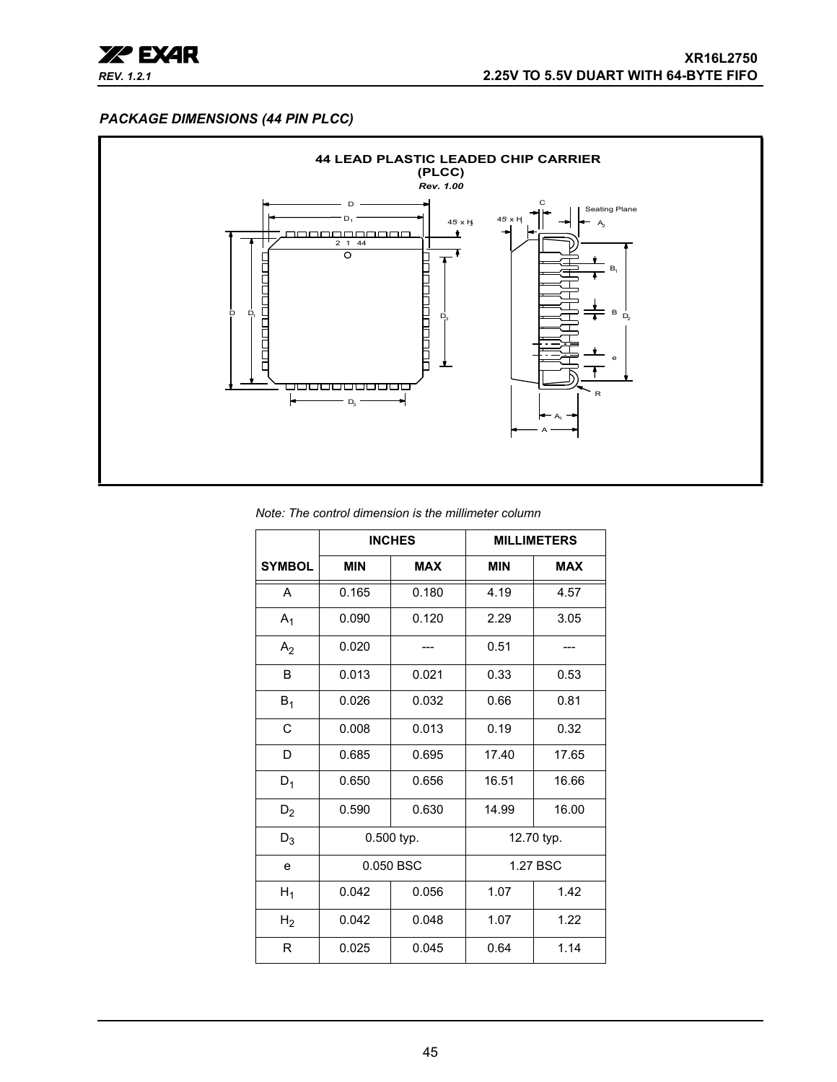

#### <span id="page-44-0"></span>*PACKAGE DIMENSIONS (44 PIN PLCC)*



#### *Note: The control dimension is the millimeter column*

|                |            | <b>INCHES</b> |            | <b>MILLIMETERS</b> |
|----------------|------------|---------------|------------|--------------------|
| <b>SYMBOL</b>  | <b>MIN</b> | <b>MAX</b>    | <b>MIN</b> | <b>MAX</b>         |
| A              | 0.165      | 0.180         | 4.19       | 4.57               |
| $A_1$          | 0.090      | 0.120         | 2.29       | 3.05               |
| A <sub>2</sub> | 0.020      |               | 0.51       |                    |
| B              | 0.013      | 0.021         | 0.33       | 0.53               |
| $B_1$          | 0.026      | 0.032         | 0.66       | 0.81               |
| C              | 0.008      | 0.013         | 0.19       | 0.32               |
| D              | 0.685      | 0.695         | 17.40      | 17.65              |
| $D_1$          | 0.650      | 0.656         | 16.51      | 16.66              |
| $D_2$          | 0.590      | 0.630         | 14.99      | 16.00              |
| $D_3$          |            | 0.500 typ.    |            | 12.70 typ.         |
| e              |            | 0.050 BSC     |            | 1.27 BSC           |
| $H_1$          | 0.042      | 0.056         | 1.07       | 1.42               |
| H <sub>2</sub> | 0.042      | 0.048         | 1.07       | 1.22               |
| R              | 0.025      | 0.045         | 0.64       | 1.14               |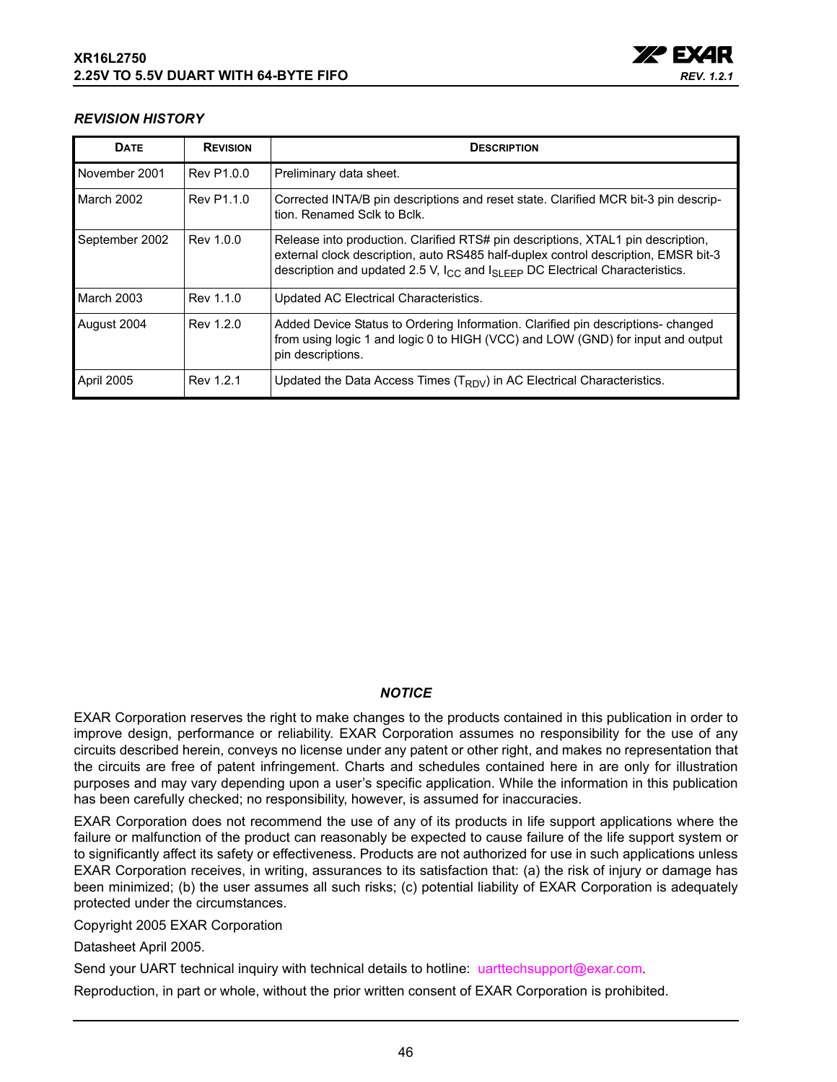

#### <span id="page-45-0"></span>*REVISION HISTORY*

| <b>DATE</b>       | <b>REVISION</b> | <b>DESCRIPTION</b>                                                                                                                                                                                                                                                     |
|-------------------|-----------------|------------------------------------------------------------------------------------------------------------------------------------------------------------------------------------------------------------------------------------------------------------------------|
| November 2001     | Rev P1.0.0      | Preliminary data sheet.                                                                                                                                                                                                                                                |
| March 2002        | Rev P1.1.0      | Corrected INTA/B pin descriptions and reset state. Clarified MCR bit-3 pin descrip-<br>tion. Renamed Sclk to Bclk.                                                                                                                                                     |
| September 2002    | Rev 1.0.0       | Release into production. Clarified RTS# pin descriptions, XTAL1 pin description,<br>external clock description, auto RS485 half-duplex control description, EMSR bit-3<br>description and updated 2.5 V, $I_{CC}$ and $I_{SI}$ $_{EFP}$ DC Electrical Characteristics. |
| <b>March 2003</b> | Rev 1.1.0       | Updated AC Electrical Characteristics.                                                                                                                                                                                                                                 |
| August 2004       | Rev 1.2.0       | Added Device Status to Ordering Information. Clarified pin descriptions- changed<br>from using logic 1 and logic 0 to HIGH (VCC) and LOW (GND) for input and output<br>pin descriptions.                                                                               |
| April 2005        | Rev 1.2.1       | Updated the Data Access Times (T <sub>RDV</sub> ) in AC Electrical Characteristics.                                                                                                                                                                                    |

#### *NOTICE*

EXAR Corporation reserves the right to make changes to the products contained in this publication in order to improve design, performance or reliability. EXAR Corporation assumes no responsibility for the use of any circuits described herein, conveys no license under any patent or other right, and makes no representation that the circuits are free of patent infringement. Charts and schedules contained here in are only for illustration purposes and may vary depending upon a user's specific application. While the information in this publication has been carefully checked; no responsibility, however, is assumed for inaccuracies.

EXAR Corporation does not recommend the use of any of its products in life support applications where the failure or malfunction of the product can reasonably be expected to cause failure of the life support system or to significantly affect its safety or effectiveness. Products are not authorized for use in such applications unless EXAR Corporation receives, in writing, assurances to its satisfaction that: (a) the risk of injury or damage has been minimized; (b) the user assumes all such risks; (c) potential liability of EXAR Corporation is adequately protected under the circumstances.

Copyright 2005 EXAR Corporation

Datasheet April 2005.

Send your UART technical inquiry with technical details to hotline: uarttechsupport@exar.com.

Reproduction, in part or whole, without the prior written consent of EXAR Corporation is prohibited.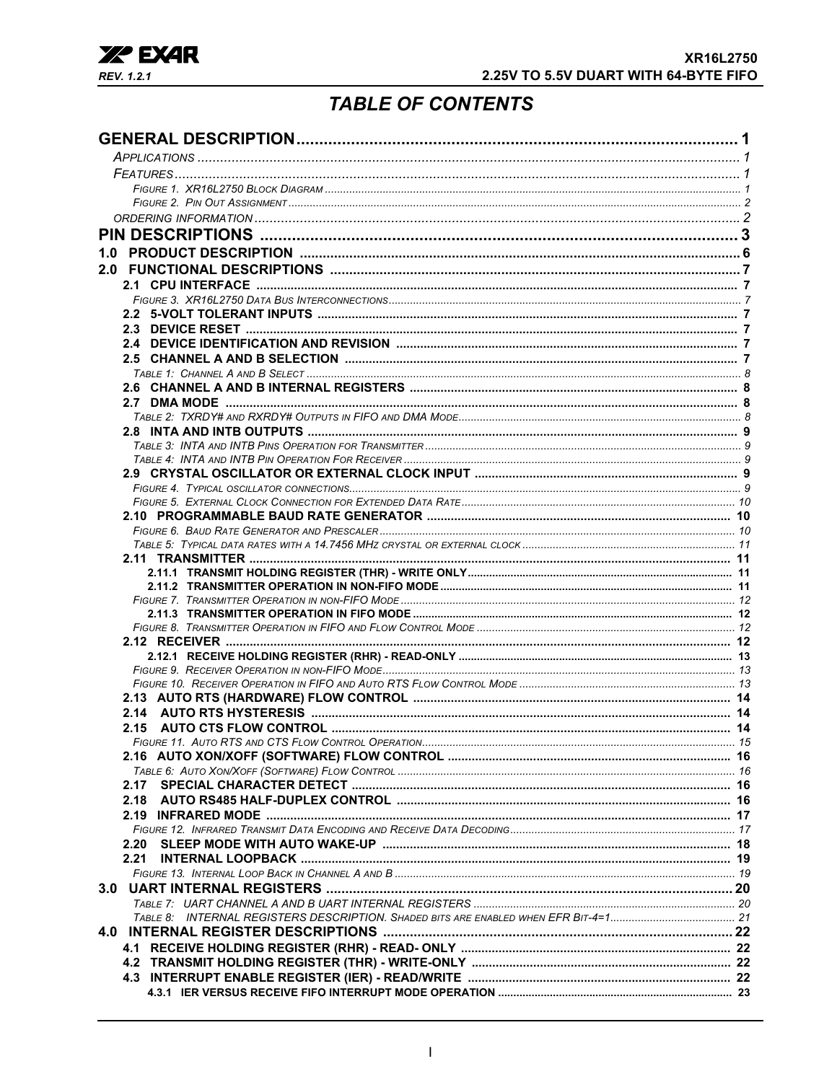

# **TABLE OF CONTENTS**

| 2.20 |  |
|------|--|
| 2.21 |  |
|      |  |
|      |  |
|      |  |
|      |  |
|      |  |
|      |  |
|      |  |
|      |  |
|      |  |
|      |  |